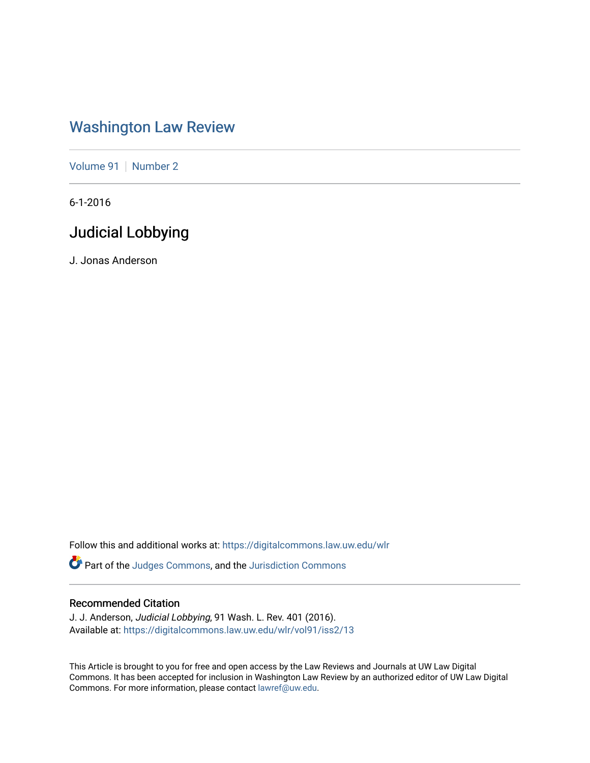# [Washington Law Review](https://digitalcommons.law.uw.edu/wlr)

[Volume 91](https://digitalcommons.law.uw.edu/wlr/vol91) | [Number 2](https://digitalcommons.law.uw.edu/wlr/vol91/iss2)

6-1-2016

# Judicial Lobbying

J. Jonas Anderson

Follow this and additional works at: [https://digitalcommons.law.uw.edu/wlr](https://digitalcommons.law.uw.edu/wlr?utm_source=digitalcommons.law.uw.edu%2Fwlr%2Fvol91%2Fiss2%2F13&utm_medium=PDF&utm_campaign=PDFCoverPages)

Part of the [Judges Commons,](http://network.bepress.com/hgg/discipline/849?utm_source=digitalcommons.law.uw.edu%2Fwlr%2Fvol91%2Fiss2%2F13&utm_medium=PDF&utm_campaign=PDFCoverPages) and the [Jurisdiction Commons](http://network.bepress.com/hgg/discipline/850?utm_source=digitalcommons.law.uw.edu%2Fwlr%2Fvol91%2Fiss2%2F13&utm_medium=PDF&utm_campaign=PDFCoverPages)

# Recommended Citation

J. J. Anderson, Judicial Lobbying, 91 Wash. L. Rev. 401 (2016). Available at: [https://digitalcommons.law.uw.edu/wlr/vol91/iss2/13](https://digitalcommons.law.uw.edu/wlr/vol91/iss2/13?utm_source=digitalcommons.law.uw.edu%2Fwlr%2Fvol91%2Fiss2%2F13&utm_medium=PDF&utm_campaign=PDFCoverPages) 

This Article is brought to you for free and open access by the Law Reviews and Journals at UW Law Digital Commons. It has been accepted for inclusion in Washington Law Review by an authorized editor of UW Law Digital Commons. For more information, please contact [lawref@uw.edu](mailto:lawref@uw.edu).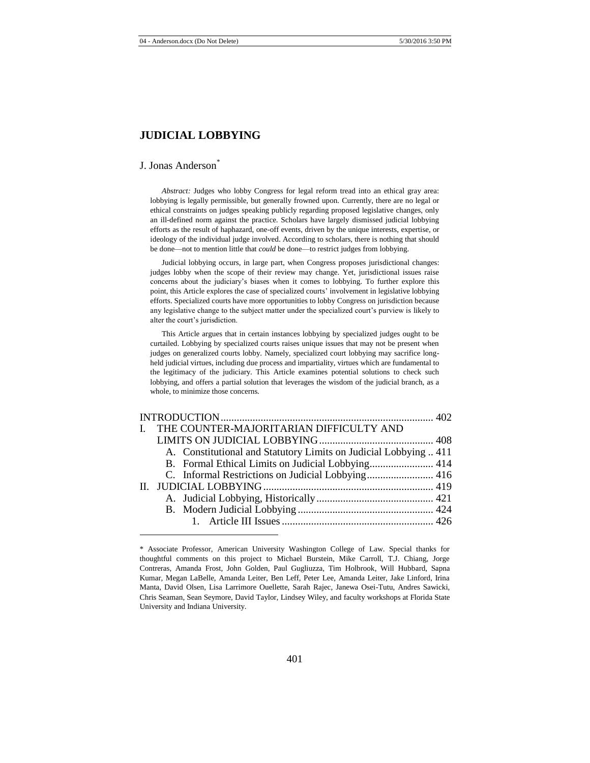# **JUDICIAL LOBBYING**

#### J. Jonas Anderson<sup>\*</sup>

l

*Abstract:* Judges who lobby Congress for legal reform tread into an ethical gray area: lobbying is legally permissible, but generally frowned upon. Currently, there are no legal or ethical constraints on judges speaking publicly regarding proposed legislative changes, only an ill-defined norm against the practice. Scholars have largely dismissed judicial lobbying efforts as the result of haphazard, one-off events, driven by the unique interests, expertise, or ideology of the individual judge involved. According to scholars, there is nothing that should be done—not to mention little that *could* be done—to restrict judges from lobbying.

Judicial lobbying occurs, in large part, when Congress proposes jurisdictional changes: judges lobby when the scope of their review may change. Yet, jurisdictional issues raise concerns about the judiciary's biases when it comes to lobbying. To further explore this point, this Article explores the case of specialized courts' involvement in legislative lobbying efforts. Specialized courts have more opportunities to lobby Congress on jurisdiction because any legislative change to the subject matter under the specialized court's purview is likely to alter the court's jurisdiction.

This Article argues that in certain instances lobbying by specialized judges ought to be curtailed. Lobbying by specialized courts raises unique issues that may not be present when judges on generalized courts lobby. Namely, specialized court lobbying may sacrifice longheld judicial virtues, including due process and impartiality, virtues which are fundamental to the legitimacy of the judiciary. This Article examines potential solutions to check such lobbying, and offers a partial solution that leverages the wisdom of the judicial branch, as a whole, to minimize those concerns.

|  | I. THE COUNTER-MAJORITARIAN DIFFICULTY AND                       |  |
|--|------------------------------------------------------------------|--|
|  |                                                                  |  |
|  | A. Constitutional and Statutory Limits on Judicial Lobbying  411 |  |
|  |                                                                  |  |
|  |                                                                  |  |
|  |                                                                  |  |
|  |                                                                  |  |
|  |                                                                  |  |
|  |                                                                  |  |

<sup>\*</sup> Associate Professor, American University Washington College of Law. Special thanks for thoughtful comments on this project to Michael Burstein, Mike Carroll, T.J. Chiang, Jorge Contreras, Amanda Frost, John Golden, Paul Gugliuzza, Tim Holbrook, Will Hubbard, Sapna Kumar, Megan LaBelle, Amanda Leiter, Ben Leff, Peter Lee, Amanda Leiter, Jake Linford, Irina Manta, David Olsen, Lisa Larrimore Ouellette, Sarah Rajec, Janewa Osei-Tutu, Andres Sawicki, Chris Seaman, Sean Seymore, David Taylor, Lindsey Wiley, and faculty workshops at Florida State University and Indiana University.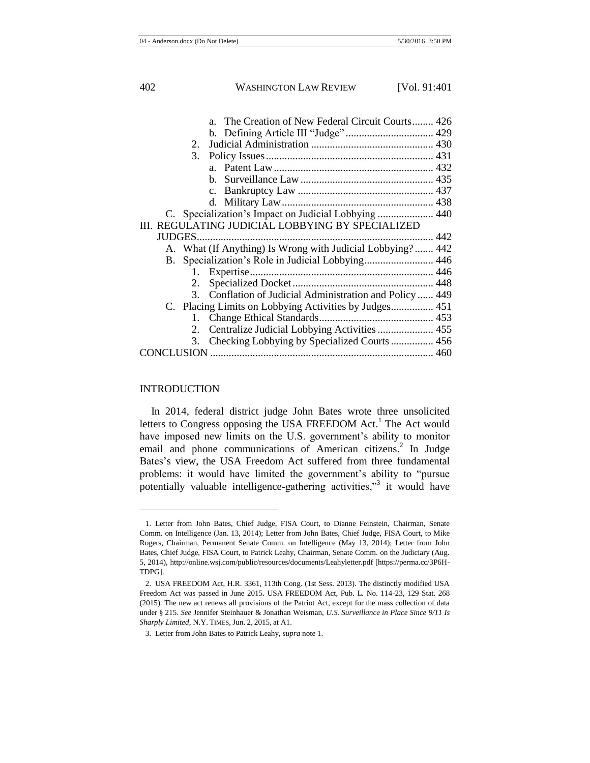| a. The Creation of New Federal Circuit Courts 426          |  |
|------------------------------------------------------------|--|
|                                                            |  |
| 2.                                                         |  |
| 3.                                                         |  |
|                                                            |  |
|                                                            |  |
|                                                            |  |
|                                                            |  |
|                                                            |  |
| III. REGULATING JUDICIAL LOBBYING BY SPECIALIZED           |  |
|                                                            |  |
| A. What (If Anything) Is Wrong with Judicial Lobbying? 442 |  |
|                                                            |  |
|                                                            |  |
|                                                            |  |
| 3. Conflation of Judicial Administration and Policy  449   |  |
|                                                            |  |
|                                                            |  |
| 2. Centralize Judicial Lobbying Activities  455            |  |
| 3. Checking Lobbying by Specialized Courts  456            |  |
|                                                            |  |
|                                                            |  |

## INTRODUCTION

<span id="page-2-1"></span>l

<span id="page-2-0"></span>In 2014, federal district judge John Bates wrote three unsolicited letters to Congress opposing the USA FREEDOM Act.<sup>1</sup> The Act would have imposed new limits on the U.S. government's ability to monitor email and phone communications of American citizens.<sup>2</sup> In Judge Bates's view, the USA Freedom Act suffered from three fundamental problems: it would have limited the government's ability to "pursue potentially valuable intelligence-gathering activities,"<sup>3</sup> it would have

<sup>1.</sup> Letter from John Bates, Chief Judge, FISA Court, to Dianne Feinstein, Chairman, Senate Comm. on Intelligence (Jan. 13, 2014); Letter from John Bates, Chief Judge, FISA Court, to Mike Rogers, Chairman, Permanent Senate Comm. on Intelligence (May 13, 2014); Letter from John Bates, Chief Judge, FISA Court, to Patrick Leahy, Chairman, Senate Comm. on the Judiciary (Aug. 5, 2014), http://online.wsj.com/public/resources/documents/Leahyletter.pdf [https://perma.cc/3P6H-TDPG].

<sup>2.</sup> USA FREEDOM Act, H.R. 3361, 113th Cong. (1st Sess. 2013). The distinctly modified USA Freedom Act was passed in June 2015. USA FREEDOM Act, Pub. L. No. 114-23, 129 Stat. 268 (2015). The new act renews all provisions of the Patriot Act, except for the mass collection of data under § 215. *See* Jennifer Steinhauer & Jonathan Weisman, *U.S. Surveillance in Place Since 9/11 Is Sharply Limited*, N.Y. TIMES, Jun. 2, 2015, at A1.

<sup>3.</sup> Letter from John Bates to Patrick Leahy, *supra* not[e 1.](#page-2-0)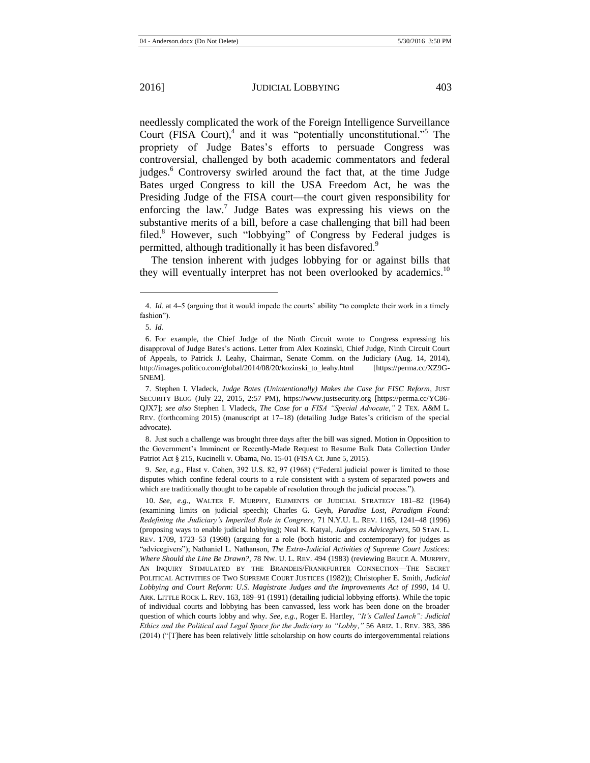<span id="page-3-1"></span>

<span id="page-3-3"></span>needlessly complicated the work of the Foreign Intelligence Surveillance Court (FISA Court), $4$  and it was "potentially unconstitutional." The propriety of Judge Bates's efforts to persuade Congress was controversial, challenged by both academic commentators and federal judges.<sup>6</sup> Controversy swirled around the fact that, at the time Judge Bates urged Congress to kill the USA Freedom Act, he was the Presiding Judge of the FISA court—the court given responsibility for enforcing the law.<sup>7</sup> Judge Bates was expressing his views on the substantive merits of a bill, before a case challenging that bill had been filed.<sup>8</sup> However, such "lobbying" of Congress by Federal judges is permitted, although traditionally it has been disfavored.<sup>9</sup>

<span id="page-3-2"></span><span id="page-3-0"></span>The tension inherent with judges lobbying for or against bills that they will eventually interpret has not been overlooked by academics.<sup>10</sup>

l

8. Just such a challenge was brought three days after the bill was signed. Motion in Opposition to the Government's Imminent or Recently-Made Request to Resume Bulk Data Collection Under Patriot Act § 215, Kucinelli v. Obama, No. 15-01 (FISA Ct. June 5, 2015).

9. *See, e.g.*, Flast v. Cohen, 392 U.S. 82, 97 (1968) ("Federal judicial power is limited to those disputes which confine federal courts to a rule consistent with a system of separated powers and which are traditionally thought to be capable of resolution through the judicial process.").

10. *See, e.g.*, WALTER F. MURPHY, ELEMENTS OF JUDICIAL STRATEGY 181–82 (1964) (examining limits on judicial speech); Charles G. Geyh, *Paradise Lost, Paradigm Found: Redefining the Judiciary's Imperiled Role in Congress*, 71 N.Y.U. L. REV. 1165, 1241–48 (1996) (proposing ways to enable judicial lobbying); Neal K. Katyal, *Judges as Advicegivers*, 50 STAN. L. REV. 1709, 1723–53 (1998) (arguing for a role (both historic and contemporary) for judges as "advicegivers"); Nathaniel L. Nathanson, *The Extra-Judicial Activities of Supreme Court Justices: Where Should the Line Be Drawn?*, 78 NW. U. L. REV. 494 (1983) (reviewing BRUCE A. MURPHY, AN INQUIRY STIMULATED BY THE BRANDEIS/FRANKFURTER CONNECTION—THE SECRET POLITICAL ACTIVITIES OF TWO SUPREME COURT JUSTICES (1982)); Christopher E. Smith, *Judicial Lobbying and Court Reform: U.S. Magistrate Judges and the Improvements Act of 1990*, 14 U. ARK. LITTLE ROCK L. REV. 163, 189–91 (1991) (detailing judicial lobbying efforts). While the topic of individual courts and lobbying has been canvassed, less work has been done on the broader question of which courts lobby and why. *See, e.g.*, Roger E. Hartley, *"It's Called Lunch": Judicial Ethics and the Political and Legal Space for the Judiciary to "Lobby*,*"* 56 ARIZ. L. REV. 383, 386 (2014) ("[T]here has been relatively little scholarship on how courts do intergovernmental relations

<sup>4.</sup> *Id.* at 4–5 (arguing that it would impede the courts' ability "to complete their work in a timely fashion").

<sup>5.</sup> *Id.*

<sup>6.</sup> For example, the Chief Judge of the Ninth Circuit wrote to Congress expressing his disapproval of Judge Bates's actions. Letter from Alex Kozinski, Chief Judge, Ninth Circuit Court of Appeals, to Patrick J. Leahy, Chairman, Senate Comm. on the Judiciary (Aug. 14, 2014), http://images.politico.com/global/2014/08/20/kozinski\_to\_leahy.html [https://perma.cc/XZ9G-5NEM].

<sup>7.</sup> Stephen I. Vladeck, *Judge Bates (Unintentionally) Makes the Case for FISC Reform*, JUST SECURITY BLOG (July 22, 2015, 2:57 PM), https://www.justsecurity.org [https://perma.cc/YC86- QJX7]; *see also* Stephen I. Vladeck, *The Case for a FISA "Special Advocate*,*"* 2 TEX. A&M L. REV. (forthcoming 2015) (manuscript at 17–18) (detailing Judge Bates's criticism of the special advocate).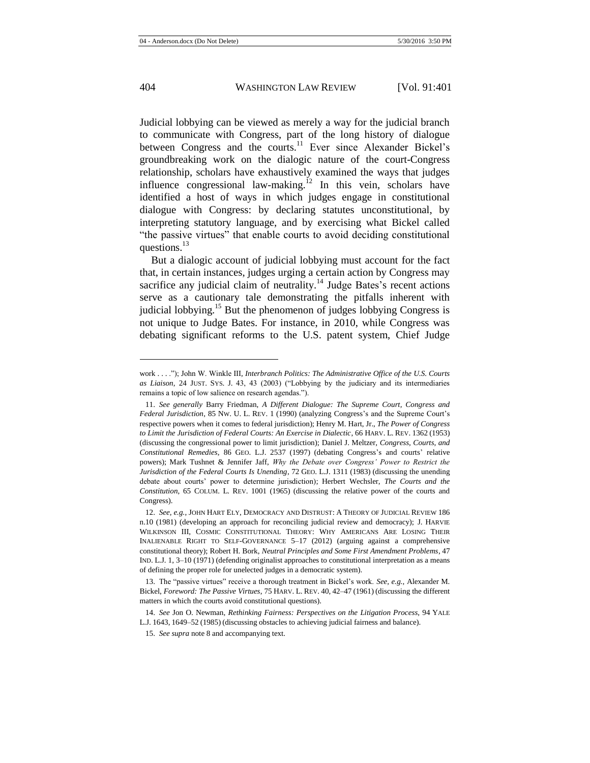<span id="page-4-0"></span>Judicial lobbying can be viewed as merely a way for the judicial branch to communicate with Congress, part of the long history of dialogue between Congress and the courts.<sup>11</sup> Ever since Alexander Bickel's groundbreaking work on the dialogic nature of the court-Congress relationship, scholars have exhaustively examined the ways that judges influence congressional law-making.<sup>12</sup> In this vein, scholars have identified a host of ways in which judges engage in constitutional dialogue with Congress: by declaring statutes unconstitutional, by interpreting statutory language, and by exercising what Bickel called "the passive virtues" that enable courts to avoid deciding constitutional questions. $^{13}$ 

But a dialogic account of judicial lobbying must account for the fact that, in certain instances, judges urging a certain action by Congress may sacrifice any judicial claim of neutrality.<sup>14</sup> Judge Bates's recent actions serve as a cautionary tale demonstrating the pitfalls inherent with judicial lobbying.<sup>15</sup> But the phenomenon of judges lobbying Congress is not unique to Judge Bates. For instance, in 2010, while Congress was debating significant reforms to the U.S. patent system, Chief Judge

work . . . ."); John W. Winkle III, *Interbranch Politics: The Administrative Office of the U.S. Courts as Liaison*, 24 JUST. SYS. J. 43, 43 (2003) ("Lobbying by the judiciary and its intermediaries remains a topic of low salience on research agendas.").

<sup>11.</sup> *See generally* Barry Friedman, *A Different Dialogue: The Supreme Court, Congress and Federal Jurisdiction*, 85 NW. U. L. REV. 1 (1990) (analyzing Congress's and the Supreme Court's respective powers when it comes to federal jurisdiction); Henry M. Hart, Jr., *The Power of Congress to Limit the Jurisdiction of Federal Courts: An Exercise in Dialectic*, 66 HARV. L. REV. 1362 (1953) (discussing the congressional power to limit jurisdiction); Daniel J. Meltzer, *Congress, Courts, and Constitutional Remedies*, 86 GEO. L.J. 2537 (1997) (debating Congress's and courts' relative powers); Mark Tushnet & Jennifer Jaff, *Why the Debate over Congress' Power to Restrict the Jurisdiction of the Federal Courts Is Unending*, 72 GEO. L.J. 1311 (1983) (discussing the unending debate about courts' power to determine jurisdiction); Herbert Wechsler, *The Courts and the Constitution*, 65 COLUM. L. REV. 1001 (1965) (discussing the relative power of the courts and Congress).

<sup>12.</sup> *See, e.g.*, JOHN HART ELY, DEMOCRACY AND DISTRUST: A THEORY OF JUDICIAL REVIEW 186 n.10 (1981) (developing an approach for reconciling judicial review and democracy); J. HARVIE WILKINSON III, COSMIC CONSTITUTIONAL THEORY: WHY AMERICANS ARE LOSING THEIR INALIENABLE RIGHT TO SELF-GOVERNANCE 5–17 (2012) (arguing against a comprehensive constitutional theory); Robert H. Bork, *Neutral Principles and Some First Amendment Problems*, 47 IND. L.J. 1, 3–10 (1971) (defending originalist approaches to constitutional interpretation as a means of defining the proper role for unelected judges in a democratic system).

<sup>13.</sup> The "passive virtues" receive a thorough treatment in Bickel's work. *See, e.g.*, Alexander M. Bickel, *Foreword: The Passive Virtues*, 75 HARV. L. REV. 40, 42–47 (1961) (discussing the different matters in which the courts avoid constitutional questions).

<sup>14.</sup> *See* Jon O. Newman, *Rethinking Fairness: Perspectives on the Litigation Process*, 94 YALE L.J. 1643, 1649–52 (1985) (discussing obstacles to achieving judicial fairness and balance).

<sup>15.</sup> *See supra* not[e 8](#page-3-0) and accompanying text.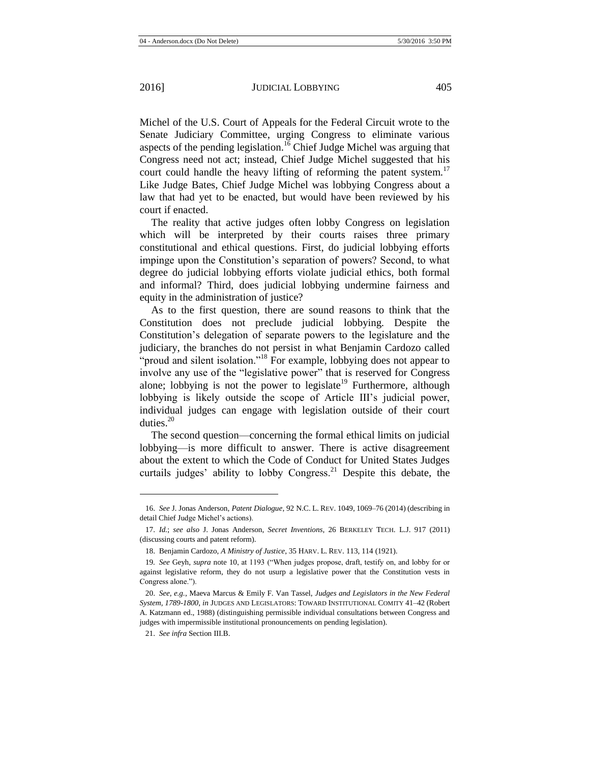<span id="page-5-0"></span>Michel of the U.S. Court of Appeals for the Federal Circuit wrote to the Senate Judiciary Committee, urging Congress to eliminate various aspects of the pending legislation.<sup>16</sup> Chief Judge Michel was arguing that Congress need not act; instead, Chief Judge Michel suggested that his court could handle the heavy lifting of reforming the patent system.<sup>17</sup> Like Judge Bates, Chief Judge Michel was lobbying Congress about a law that had yet to be enacted, but would have been reviewed by his court if enacted.

The reality that active judges often lobby Congress on legislation which will be interpreted by their courts raises three primary constitutional and ethical questions. First, do judicial lobbying efforts impinge upon the Constitution's separation of powers? Second, to what degree do judicial lobbying efforts violate judicial ethics, both formal and informal? Third, does judicial lobbying undermine fairness and equity in the administration of justice?

As to the first question, there are sound reasons to think that the Constitution does not preclude judicial lobbying. Despite the Constitution's delegation of separate powers to the legislature and the judiciary, the branches do not persist in what Benjamin Cardozo called "proud and silent isolation."<sup>18</sup> For example, lobbying does not appear to involve any use of the "legislative power" that is reserved for Congress alone; lobbying is not the power to legislate<sup>19</sup> Furthermore, although lobbying is likely outside the scope of Article III's judicial power, individual judges can engage with legislation outside of their court duties.<sup>20</sup>

<span id="page-5-1"></span>The second question—concerning the formal ethical limits on judicial lobbying—is more difficult to answer. There is active disagreement about the extent to which the Code of Conduct for United States Judges curtails judges' ability to lobby Congress.<sup>21</sup> Despite this debate, the

<sup>16.</sup> *See* J. Jonas Anderson, *Patent Dialogue*, 92 N.C. L. REV. 1049, 1069–76 (2014) (describing in detail Chief Judge Michel's actions).

<sup>17.</sup> *Id.*; *see also* J. Jonas Anderson, *Secret Inventions*, 26 BERKELEY TECH. L.J. 917 (2011) (discussing courts and patent reform).

<sup>18.</sup> Benjamin Cardozo, *A Ministry of Justice*, 35 HARV. L. REV. 113, 114 (1921).

<sup>19</sup>*. See* Geyh, *supra* note [10,](#page-3-1) at 1193 ("When judges propose, draft, testify on, and lobby for or against legislative reform, they do not usurp a legislative power that the Constitution vests in Congress alone.").

<sup>20.</sup> *See, e.g.*, Maeva Marcus & Emily F. Van Tassel, *Judges and Legislators in the New Federal System, 1789-1800*, *in* JUDGES AND LEGISLATORS: TOWARD INSTITUTIONAL COMITY 41–42 (Robert A. Katzmann ed., 1988) (distinguishing permissible individual consultations between Congress and judges with impermissible institutional pronouncements on pending legislation).

<sup>21.</sup> *See infra* Section III.B.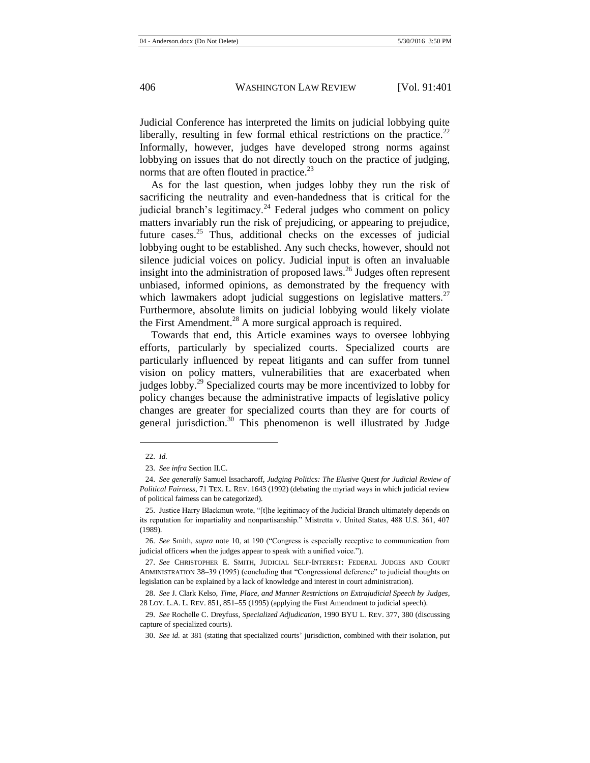Judicial Conference has interpreted the limits on judicial lobbying quite liberally, resulting in few formal ethical restrictions on the practice.<sup>22</sup> Informally, however, judges have developed strong norms against lobbying on issues that do not directly touch on the practice of judging, norms that are often flouted in practice. $^{23}$ 

As for the last question, when judges lobby they run the risk of sacrificing the neutrality and even-handedness that is critical for the judicial branch's legitimacy.<sup>24</sup> Federal judges who comment on policy matters invariably run the risk of prejudicing, or appearing to prejudice, future cases.<sup>25</sup> Thus, additional checks on the excesses of judicial lobbying ought to be established. Any such checks, however, should not silence judicial voices on policy. Judicial input is often an invaluable insight into the administration of proposed laws.<sup>26</sup> Judges often represent unbiased, informed opinions, as demonstrated by the frequency with which lawmakers adopt judicial suggestions on legislative matters. $27$ Furthermore, absolute limits on judicial lobbying would likely violate the First Amendment.<sup>28</sup> A more surgical approach is required.

<span id="page-6-1"></span><span id="page-6-0"></span>Towards that end, this Article examines ways to oversee lobbying efforts, particularly by specialized courts. Specialized courts are particularly influenced by repeat litigants and can suffer from tunnel vision on policy matters, vulnerabilities that are exacerbated when judges lobby.<sup>29</sup> Specialized courts may be more incentivized to lobby for policy changes because the administrative impacts of legislative policy changes are greater for specialized courts than they are for courts of general jurisdiction.<sup>30</sup> This phenomenon is well illustrated by Judge

<sup>22.</sup> *Id.*

<sup>23.</sup> *See infra* Section II.C.

<sup>24.</sup> *See generally* Samuel Issacharoff, *Judging Politics: The Elusive Quest for Judicial Review of Political Fairness*, 71 TEX. L. REV. 1643 (1992) (debating the myriad ways in which judicial review of political fairness can be categorized).

<sup>25.</sup> Justice Harry Blackmun wrote, "[t]he legitimacy of the Judicial Branch ultimately depends on its reputation for impartiality and nonpartisanship." Mistretta v. United States, 488 U.S. 361, 407 (1989).

<sup>26.</sup> *See* Smith, *supra* note [10,](#page-3-1) at 190 ("Congress is especially receptive to communication from judicial officers when the judges appear to speak with a unified voice.").

<sup>27.</sup> *See* CHRISTOPHER E. SMITH, JUDICIAL SELF-INTEREST: FEDERAL JUDGES AND COURT ADMINISTRATION 38–39 (1995) (concluding that "Congressional deference" to judicial thoughts on legislation can be explained by a lack of knowledge and interest in court administration).

<sup>28.</sup> *See* J. Clark Kelso, *Time, Place, and Manner Restrictions on Extrajudicial Speech by Judges*, 28 LOY. L.A. L. REV. 851, 851–55 (1995) (applying the First Amendment to judicial speech).

<sup>29.</sup> *See* Rochelle C. Dreyfuss, *Specialized Adjudication*, 1990 BYU L. REV. 377, 380 (discussing capture of specialized courts).

<sup>30.</sup> *See id.* at 381 (stating that specialized courts' jurisdiction, combined with their isolation, put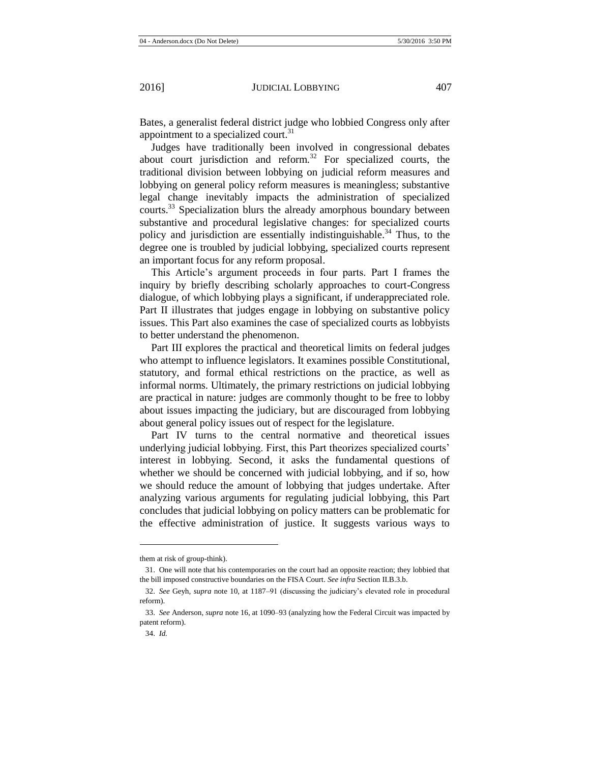Bates, a generalist federal district judge who lobbied Congress only after appointment to a specialized court.<sup>31</sup>

Judges have traditionally been involved in congressional debates about court jurisdiction and reform.<sup>32</sup> For specialized courts, the traditional division between lobbying on judicial reform measures and lobbying on general policy reform measures is meaningless; substantive legal change inevitably impacts the administration of specialized courts.<sup>33</sup> Specialization blurs the already amorphous boundary between substantive and procedural legislative changes: for specialized courts policy and jurisdiction are essentially indistinguishable.<sup>34</sup> Thus, to the degree one is troubled by judicial lobbying, specialized courts represent an important focus for any reform proposal.

This Article's argument proceeds in four parts. Part I frames the inquiry by briefly describing scholarly approaches to court-Congress dialogue, of which lobbying plays a significant, if underappreciated role. Part II illustrates that judges engage in lobbying on substantive policy issues. This Part also examines the case of specialized courts as lobbyists to better understand the phenomenon.

Part III explores the practical and theoretical limits on federal judges who attempt to influence legislators. It examines possible Constitutional, statutory, and formal ethical restrictions on the practice, as well as informal norms. Ultimately, the primary restrictions on judicial lobbying are practical in nature: judges are commonly thought to be free to lobby about issues impacting the judiciary, but are discouraged from lobbying about general policy issues out of respect for the legislature.

Part IV turns to the central normative and theoretical issues underlying judicial lobbying. First, this Part theorizes specialized courts' interest in lobbying. Second, it asks the fundamental questions of whether we should be concerned with judicial lobbying, and if so, how we should reduce the amount of lobbying that judges undertake. After analyzing various arguments for regulating judicial lobbying, this Part concludes that judicial lobbying on policy matters can be problematic for the effective administration of justice. It suggests various ways to

them at risk of group-think).

<sup>31.</sup> One will note that his contemporaries on the court had an opposite reaction; they lobbied that the bill imposed constructive boundaries on the FISA Court. *See infra* Section II.B.3.b.

<sup>32.</sup> *See* Geyh, *supra* not[e 10,](#page-3-1) at 1187–91 (discussing the judiciary's elevated role in procedural reform).

<sup>33.</sup> *See* Anderson, *supra* not[e 16,](#page-5-0) at 1090–93 (analyzing how the Federal Circuit was impacted by patent reform).

<sup>34.</sup> *Id.*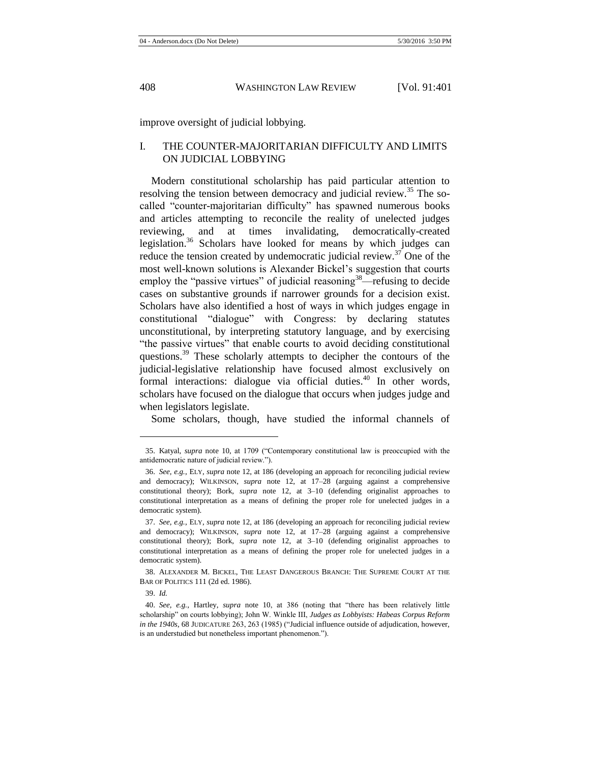improve oversight of judicial lobbying.

# I. THE COUNTER-MAJORITARIAN DIFFICULTY AND LIMITS ON JUDICIAL LOBBYING

Modern constitutional scholarship has paid particular attention to resolving the tension between democracy and judicial review.<sup>35</sup> The socalled "counter-majoritarian difficulty" has spawned numerous books and articles attempting to reconcile the reality of unelected judges reviewing, and at times invalidating, democratically-created legislation.<sup>36</sup> Scholars have looked for means by which judges can reduce the tension created by undemocratic judicial review. $37$  One of the most well-known solutions is Alexander Bickel's suggestion that courts employ the "passive virtues" of judicial reasoning<sup>38</sup>—refusing to decide cases on substantive grounds if narrower grounds for a decision exist. Scholars have also identified a host of ways in which judges engage in constitutional "dialogue" with Congress: by declaring statutes unconstitutional, by interpreting statutory language, and by exercising "the passive virtues" that enable courts to avoid deciding constitutional questions.<sup>39</sup> These scholarly attempts to decipher the contours of the judicial-legislative relationship have focused almost exclusively on formal interactions: dialogue via official duties.<sup>40</sup> In other words, scholars have focused on the dialogue that occurs when judges judge and when legislators legislate.

<span id="page-8-0"></span>Some scholars, though, have studied the informal channels of

38. ALEXANDER M. BICKEL, THE LEAST DANGEROUS BRANCH: THE SUPREME COURT AT THE BAR OF POLITICS 111 (2d ed. 1986).

39. *Id.*

<sup>35.</sup> Katyal, *supra* note [10,](#page-3-1) at 1709 ("Contemporary constitutional law is preoccupied with the antidemocratic nature of judicial review.").

<sup>36.</sup> *See, e.g.*, ELY, *supra* not[e 12,](#page-4-0) at 186 (developing an approach for reconciling judicial review and democracy); WILKINSON, *supra* note [12,](#page-4-0) at 17–28 (arguing against a comprehensive constitutional theory); Bork, *supra* note [12,](#page-4-0) at 3–10 (defending originalist approaches to constitutional interpretation as a means of defining the proper role for unelected judges in a democratic system).

<sup>37.</sup> *See, e.g.*, ELY, *supra* not[e 12,](#page-4-0) at 186 (developing an approach for reconciling judicial review and democracy); WILKINSON, *supra* note [12,](#page-4-0) at 17–28 (arguing against a comprehensive constitutional theory); Bork, *supra* note [12,](#page-4-0) at 3–10 (defending originalist approaches to constitutional interpretation as a means of defining the proper role for unelected judges in a democratic system).

<sup>40.</sup> *See, e.g.*, Hartley, *supra* note [10,](#page-3-1) at 386 (noting that "there has been relatively little scholarship" on courts lobbying); John W. Winkle III, *Judges as Lobbyists: Habeas Corpus Reform in the 1940s*, 68 JUDICATURE 263, 263 (1985) ("Judicial influence outside of adjudication, however, is an understudied but nonetheless important phenomenon.").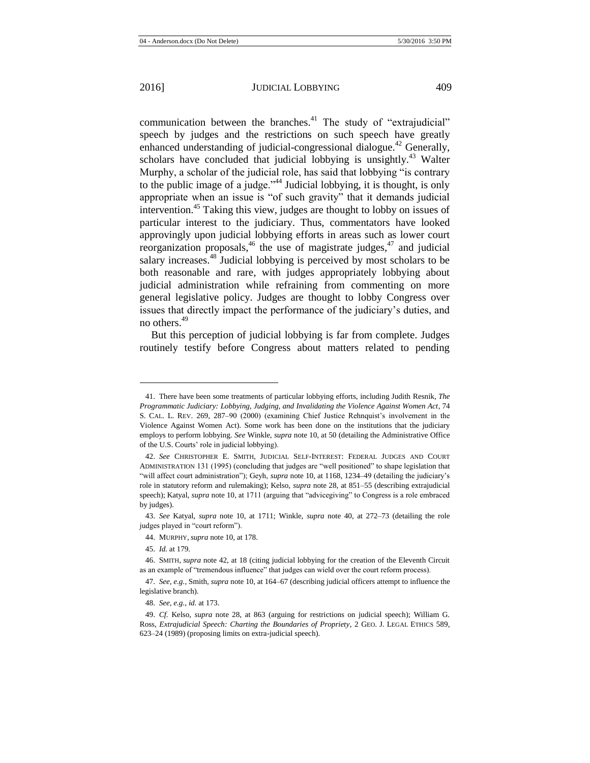<span id="page-9-1"></span><span id="page-9-0"></span>communication between the branches.<sup>41</sup> The study of "extrajudicial" speech by judges and the restrictions on such speech have greatly enhanced understanding of judicial-congressional dialogue.<sup>42</sup> Generally, scholars have concluded that judicial lobbying is unsightly.<sup>43</sup> Walter Murphy, a scholar of the judicial role, has said that lobbying "is contrary to the public image of a judge."<sup>44</sup> Judicial lobbying, it is thought, is only appropriate when an issue is "of such gravity" that it demands judicial intervention.<sup>45</sup> Taking this view, judges are thought to lobby on issues of particular interest to the judiciary. Thus, commentators have looked approvingly upon judicial lobbying efforts in areas such as lower court reorganization proposals,  $46$  the use of magistrate judges,  $47$  and judicial salary increases.<sup>48</sup> Judicial lobbying is perceived by most scholars to be both reasonable and rare, with judges appropriately lobbying about judicial administration while refraining from commenting on more general legislative policy. Judges are thought to lobby Congress over issues that directly impact the performance of the judiciary's duties, and no others.<sup>49</sup>

<span id="page-9-2"></span>But this perception of judicial lobbying is far from complete. Judges routinely testify before Congress about matters related to pending

<sup>41.</sup> There have been some treatments of particular lobbying efforts, including Judith Resnik, *The Programmatic Judiciary: Lobbying, Judging, and Invalidating the Violence Against Women Act*, 74 S. CAL. L. REV. 269, 287–90 (2000) (examining Chief Justice Rehnquist's involvement in the Violence Against Women Act). Some work has been done on the institutions that the judiciary employs to perform lobbying. *See* Winkle, *supra* note [10,](#page-3-1) at 50 (detailing the Administrative Office of the U.S. Courts' role in judicial lobbying).

<sup>42.</sup> *See* CHRISTOPHER E. SMITH, JUDICIAL SELF-INTEREST: FEDERAL JUDGES AND COURT ADMINISTRATION 131 (1995) (concluding that judges are "well positioned" to shape legislation that "will affect court administration"); Geyh, *supra* not[e 10,](#page-3-1) at 1168, 1234–49 (detailing the judiciary's role in statutory reform and rulemaking); Kelso, *supra* not[e 28,](#page-6-0) at 851–55 (describing extrajudicial speech); Katyal, *supra* not[e 10,](#page-3-1) at 1711 (arguing that "advicegiving" to Congress is a role embraced by judges).

<sup>43.</sup> *See* Katyal, *supra* note [10,](#page-3-1) at 1711; Winkle, *supra* note [40,](#page-8-0) at 272–73 (detailing the role judges played in "court reform").

<sup>44.</sup> MURPHY, *supra* not[e 10,](#page-3-1) at 178.

<sup>45.</sup> *Id.* at 179.

<sup>46.</sup> SMITH, *supra* not[e 42,](#page-9-0) at 18 (citing judicial lobbying for the creation of the Eleventh Circuit as an example of "tremendous influence" that judges can wield over the court reform process).

<sup>47.</sup> *See, e.g.*, Smith, *supra* not[e 10,](#page-3-1) at 164–67 (describing judicial officers attempt to influence the legislative branch).

<sup>48.</sup> *See, e.g.*, *id.* at 173.

<sup>49.</sup> *Cf.* Kelso, *supra* note [28,](#page-6-0) at 863 (arguing for restrictions on judicial speech); William G. Ross, *Extrajudicial Speech: Charting the Boundaries of Propriety*, 2 GEO. J. LEGAL ETHICS 589, 623–24 (1989) (proposing limits on extra-judicial speech).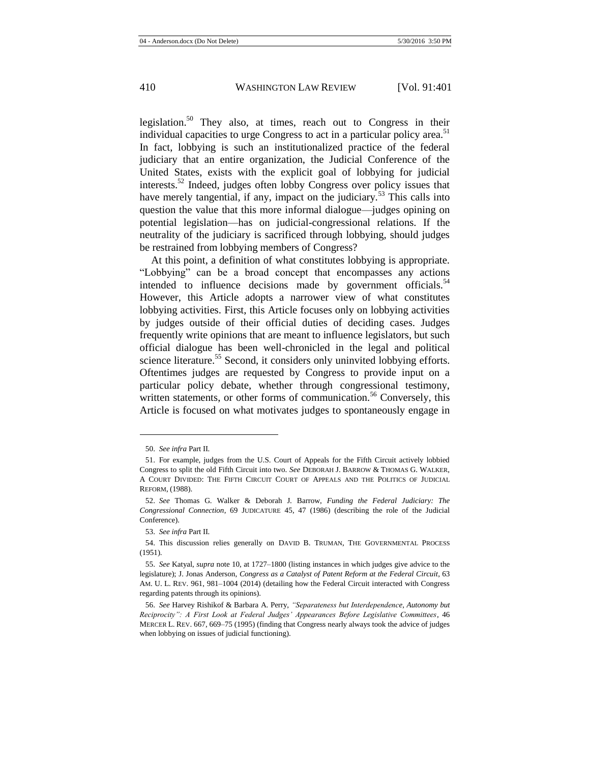<span id="page-10-0"></span>legislation.<sup>50</sup> They also, at times, reach out to Congress in their individual capacities to urge Congress to act in a particular policy area.<sup>51</sup> In fact, lobbying is such an institutionalized practice of the federal judiciary that an entire organization, the Judicial Conference of the United States, exists with the explicit goal of lobbying for judicial interests.<sup>52</sup> Indeed, judges often lobby Congress over policy issues that have merely tangential, if any, impact on the judiciary.<sup>53</sup> This calls into question the value that this more informal dialogue—judges opining on potential legislation—has on judicial-congressional relations. If the neutrality of the judiciary is sacrificed through lobbying, should judges be restrained from lobbying members of Congress?

At this point, a definition of what constitutes lobbying is appropriate. "Lobbying" can be a broad concept that encompasses any actions intended to influence decisions made by government officials. $54$ However, this Article adopts a narrower view of what constitutes lobbying activities. First, this Article focuses only on lobbying activities by judges outside of their official duties of deciding cases. Judges frequently write opinions that are meant to influence legislators, but such official dialogue has been well-chronicled in the legal and political science literature.<sup>55</sup> Second, it considers only uninvited lobbying efforts. Oftentimes judges are requested by Congress to provide input on a particular policy debate, whether through congressional testimony, written statements, or other forms of communication.<sup>56</sup> Conversely, this Article is focused on what motivates judges to spontaneously engage in

<sup>50.</sup> *See infra* Part II.

<sup>51.</sup> For example, judges from the U.S. Court of Appeals for the Fifth Circuit actively lobbied Congress to split the old Fifth Circuit into two. *See* DEBORAH J. BARROW & THOMAS G. WALKER, A COURT DIVIDED: THE FIFTH CIRCUIT COURT OF APPEALS AND THE POLITICS OF JUDICIAL REFORM, (1988).

<sup>52.</sup> *See* Thomas G. Walker & Deborah J. Barrow, *Funding the Federal Judiciary: The Congressional Connection*, 69 JUDICATURE 45, 47 (1986) (describing the role of the Judicial Conference).

<sup>53.</sup> *See infra* Part II.

<sup>54.</sup> This discussion relies generally on DAVID B. TRUMAN, THE GOVERNMENTAL PROCESS (1951).

<sup>55.</sup> *See* Katyal, *supra* not[e 10,](#page-3-1) at 1727–1800 (listing instances in which judges give advice to the legislature); J. Jonas Anderson, *Congress as a Catalyst of Patent Reform at the Federal Circuit*, 63 AM. U. L. REV. 961, 981–1004 (2014) (detailing how the Federal Circuit interacted with Congress regarding patents through its opinions).

<sup>56.</sup> *See* Harvey Rishikof & Barbara A. Perry, *"Separateness but Interdependence, Autonomy but Reciprocity": A First Look at Federal Judges' Appearances Before Legislative Committees*, 46 MERCER L. REV. 667, 669–75 (1995) (finding that Congress nearly always took the advice of judges when lobbying on issues of judicial functioning).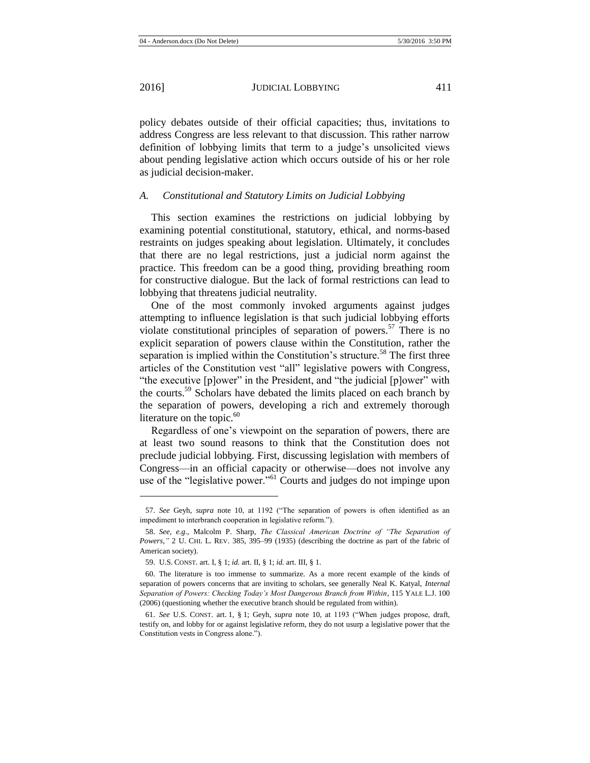policy debates outside of their official capacities; thus, invitations to address Congress are less relevant to that discussion. This rather narrow definition of lobbying limits that term to a judge's unsolicited views about pending legislative action which occurs outside of his or her role as judicial decision-maker.

#### *A. Constitutional and Statutory Limits on Judicial Lobbying*

This section examines the restrictions on judicial lobbying by examining potential constitutional, statutory, ethical, and norms-based restraints on judges speaking about legislation. Ultimately, it concludes that there are no legal restrictions, just a judicial norm against the practice. This freedom can be a good thing, providing breathing room for constructive dialogue. But the lack of formal restrictions can lead to lobbying that threatens judicial neutrality.

One of the most commonly invoked arguments against judges attempting to influence legislation is that such judicial lobbying efforts violate constitutional principles of separation of powers.<sup>57</sup> There is no explicit separation of powers clause within the Constitution, rather the separation is implied within the Constitution's structure.<sup>58</sup> The first three articles of the Constitution vest "all" legislative powers with Congress, "the executive [p]ower" in the President, and "the judicial [p]ower" with the courts.<sup>59</sup> Scholars have debated the limits placed on each branch by the separation of powers, developing a rich and extremely thorough literature on the topic. $60$ 

Regardless of one's viewpoint on the separation of powers, there are at least two sound reasons to think that the Constitution does not preclude judicial lobbying. First, discussing legislation with members of Congress—in an official capacity or otherwise—does not involve any use of the "legislative power."<sup>61</sup> Courts and judges do not impinge upon

<sup>57.</sup> *See* Geyh, *supra* note [10,](#page-3-1) at 1192 ("The separation of powers is often identified as an impediment to interbranch cooperation in legislative reform.").

<sup>58.</sup> *See, e.g.*, Malcolm P. Sharp, *The Classical American Doctrine of "The Separation of Powers*,*"* 2 U. CHI. L. REV. 385, 395–99 (1935) (describing the doctrine as part of the fabric of American society).

<sup>59.</sup> U.S. CONST. art. I, § 1; *id.* art. II, § 1; *id.* art. III, § 1.

<sup>60.</sup> The literature is too immense to summarize. As a more recent example of the kinds of separation of powers concerns that are inviting to scholars, see generally Neal K. Katyal, *Internal Separation of Powers: Checking Today's Most Dangerous Branch from Within*, 115 YALE L.J. 100 (2006) (questioning whether the executive branch should be regulated from within).

<sup>61.</sup> *See* U.S. CONST. art. 1, § 1; Geyh, *supra* note [10,](#page-3-1) at 1193 ("When judges propose, draft, testify on, and lobby for or against legislative reform, they do not usurp a legislative power that the Constitution vests in Congress alone.").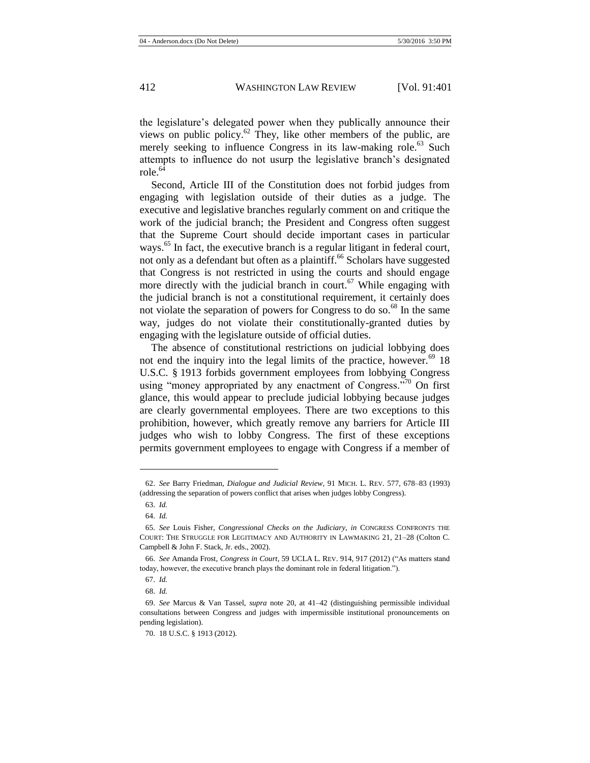the legislature's delegated power when they publically announce their views on public policy. $62$  They, like other members of the public, are merely seeking to influence Congress in its law-making role.<sup>63</sup> Such attempts to influence do not usurp the legislative branch's designated role $^{64}$ 

Second, Article III of the Constitution does not forbid judges from engaging with legislation outside of their duties as a judge. The executive and legislative branches regularly comment on and critique the work of the judicial branch; the President and Congress often suggest that the Supreme Court should decide important cases in particular ways.<sup>65</sup> In fact, the executive branch is a regular litigant in federal court, not only as a defendant but often as a plaintiff.<sup>66</sup> Scholars have suggested that Congress is not restricted in using the courts and should engage more directly with the judicial branch in court.<sup>67</sup> While engaging with the judicial branch is not a constitutional requirement, it certainly does not violate the separation of powers for Congress to do so.<sup>68</sup> In the same way, judges do not violate their constitutionally-granted duties by engaging with the legislature outside of official duties.

The absence of constitutional restrictions on judicial lobbying does not end the inquiry into the legal limits of the practice, however. $69$  18 U.S.C. § 1913 forbids government employees from lobbying Congress using "money appropriated by any enactment of Congress."<sup>70</sup> On first glance, this would appear to preclude judicial lobbying because judges are clearly governmental employees. There are two exceptions to this prohibition, however, which greatly remove any barriers for Article III judges who wish to lobby Congress. The first of these exceptions permits government employees to engage with Congress if a member of

l

68. *Id.*

<sup>62.</sup> *See* Barry Friedman, *Dialogue and Judicial Review,* 91 MICH. L. REV. 577, 678–83 (1993) (addressing the separation of powers conflict that arises when judges lobby Congress).

<sup>63.</sup> *Id.*

<sup>64.</sup> *Id.*

<sup>65.</sup> *See* Louis Fisher, *Congressional Checks on the Judiciary*, *in* CONGRESS CONFRONTS THE COURT: THE STRUGGLE FOR LEGITIMACY AND AUTHORITY IN LAWMAKING 21, 21–28 (Colton C. Campbell & John F. Stack, Jr. eds., 2002).

<sup>66.</sup> *See* Amanda Frost, *Congress in Court*, 59 UCLA L. REV. 914, 917 (2012) ("As matters stand today, however, the executive branch plays the dominant role in federal litigation.").

<sup>67.</sup> *Id.*

<sup>69.</sup> *See* Marcus & Van Tassel, *supra* note [20,](#page-5-1) at 41–42 (distinguishing permissible individual consultations between Congress and judges with impermissible institutional pronouncements on pending legislation).

<sup>70.</sup> 18 U.S.C. § 1913 (2012).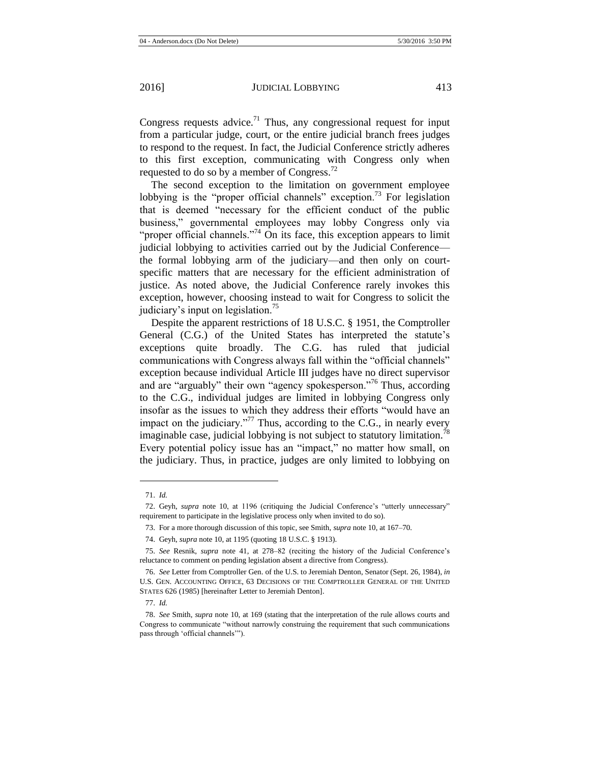Congress requests advice.<sup>71</sup> Thus, any congressional request for input from a particular judge, court, or the entire judicial branch frees judges to respond to the request. In fact, the Judicial Conference strictly adheres to this first exception, communicating with Congress only when requested to do so by a member of Congress.<sup>72</sup>

The second exception to the limitation on government employee lobbying is the "proper official channels" exception.<sup>73</sup> For legislation that is deemed "necessary for the efficient conduct of the public business," governmental employees may lobby Congress only via "proper official channels."<sup>74</sup> On its face, this exception appears to limit judicial lobbying to activities carried out by the Judicial Conference the formal lobbying arm of the judiciary—and then only on courtspecific matters that are necessary for the efficient administration of justice. As noted above, the Judicial Conference rarely invokes this exception, however, choosing instead to wait for Congress to solicit the judiciary's input on legislation.<sup>75</sup>

<span id="page-13-0"></span>Despite the apparent restrictions of 18 U.S.C. § 1951, the Comptroller General (C.G.) of the United States has interpreted the statute's exceptions quite broadly. The C.G. has ruled that judicial communications with Congress always fall within the "official channels" exception because individual Article III judges have no direct supervisor and are "arguably" their own "agency spokesperson."<sup>76</sup> Thus, according to the C.G., individual judges are limited in lobbying Congress only insofar as the issues to which they address their efforts "would have an impact on the judiciary. $177$  Thus, according to the C.G., in nearly every imaginable case, judicial lobbying is not subject to statutory limitation.<sup>78</sup> Every potential policy issue has an "impact," no matter how small, on the judiciary. Thus, in practice, judges are only limited to lobbying on

<sup>71.</sup> *Id.*

<sup>72.</sup> Geyh, *supra* note [10,](#page-3-1) at 1196 (critiquing the Judicial Conference's "utterly unnecessary" requirement to participate in the legislative process only when invited to do so).

<sup>73.</sup> For a more thorough discussion of this topic, see Smith, *supra* not[e 10,](#page-3-1) at 167–70.

<sup>74.</sup> Geyh, *supra* not[e 10,](#page-3-1) at 1195 (quoting 18 U.S.C. § 1913).

<sup>75.</sup> *See* Resnik, *supra* note [41,](#page-9-1) at 278–82 (reciting the history of the Judicial Conference's reluctance to comment on pending legislation absent a directive from Congress).

<sup>76.</sup> *See* Letter from Comptroller Gen. of the U.S. to Jeremiah Denton, Senator (Sept. 26, 1984), *in* U.S. GEN. ACCOUNTING OFFICE, 63 DECISIONS OF THE COMPTROLLER GENERAL OF THE UNITED STATES 626 (1985) [hereinafter Letter to Jeremiah Denton].

<sup>77.</sup> *Id.*

<sup>78.</sup> *See* Smith, *supra* not[e 10,](#page-3-1) at 169 (stating that the interpretation of the rule allows courts and Congress to communicate "without narrowly construing the requirement that such communications pass through 'official channels'").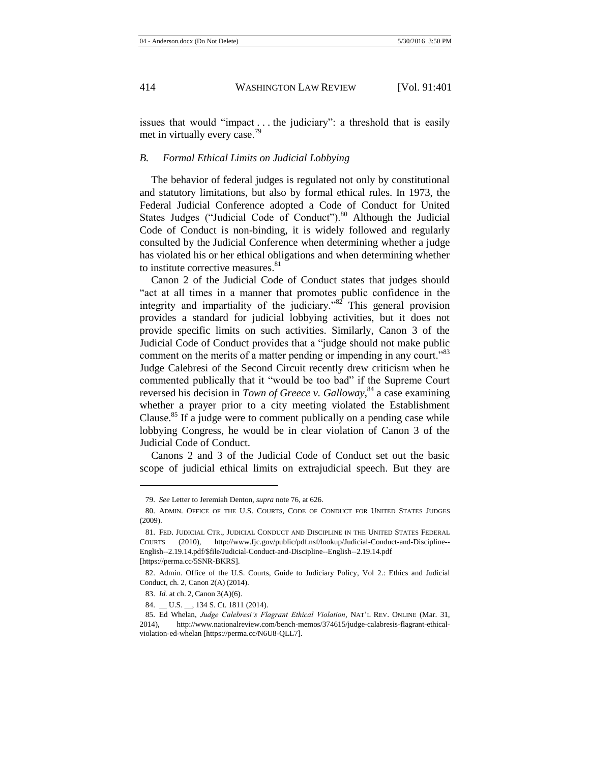issues that would "impact . . . the judiciary": a threshold that is easily met in virtually every case.<sup>79</sup>

#### *B. Formal Ethical Limits on Judicial Lobbying*

The behavior of federal judges is regulated not only by constitutional and statutory limitations, but also by formal ethical rules. In 1973, the Federal Judicial Conference adopted a Code of Conduct for United States Judges ("Judicial Code of Conduct"). $80$  Although the Judicial Code of Conduct is non-binding, it is widely followed and regularly consulted by the Judicial Conference when determining whether a judge has violated his or her ethical obligations and when determining whether to institute corrective measures.  $81$ 

<span id="page-14-0"></span>Canon 2 of the Judicial Code of Conduct states that judges should "act at all times in a manner that promotes public confidence in the integrity and impartiality of the judiciary.<sup> $32$ </sup> This general provision provides a standard for judicial lobbying activities, but it does not provide specific limits on such activities. Similarly, Canon 3 of the Judicial Code of Conduct provides that a "judge should not make public comment on the merits of a matter pending or impending in any court."<sup>83</sup> Judge Calebresi of the Second Circuit recently drew criticism when he commented publically that it "would be too bad" if the Supreme Court reversed his decision in *Town of Greece v. Galloway*, <sup>84</sup> a case examining whether a prayer prior to a city meeting violated the Establishment Clause.<sup>85</sup> If a judge were to comment publically on a pending case while lobbying Congress, he would be in clear violation of Canon 3 of the Judicial Code of Conduct.

Canons 2 and 3 of the Judicial Code of Conduct set out the basic scope of judicial ethical limits on extrajudicial speech. But they are

<sup>79.</sup> *See* Letter to Jeremiah Denton, *supra* not[e 76,](#page-13-0) at 626.

<sup>80.</sup> ADMIN. OFFICE OF THE U.S. COURTS, CODE OF CONDUCT FOR UNITED STATES JUDGES (2009).

<sup>81.</sup> FED. JUDICIAL CTR., JUDICIAL CONDUCT AND DISCIPLINE IN THE UNITED STATES FEDERAL COURTS (2010), http://www.fjc.gov/public/pdf.nsf/lookup/Judicial-Conduct-and-Discipline-- English--2.19.14.pdf/\$file/Judicial-Conduct-and-Discipline--English--2.19.14.pdf [https://perma.cc/5SNR-BKRS].

<sup>82.</sup> Admin. Office of the U.S. Courts, Guide to Judiciary Policy, Vol 2.: Ethics and Judicial Conduct, ch. 2, Canon 2(A) (2014).

<sup>83.</sup> *Id.* at ch. 2, Canon 3(A)(6).

<sup>84.</sup> \_\_ U.S. \_\_, 134 S. Ct. 1811 (2014).

<sup>85.</sup> Ed Whelan, *Judge Calebresi's Flagrant Ethical Violation*, NAT'L REV. ONLINE (Mar. 31, 2014), http://www.nationalreview.com/bench-memos/374615/judge-calabresis-flagrant-ethicalviolation-ed-whelan [https://perma.cc/N6U8-QLL7]*.*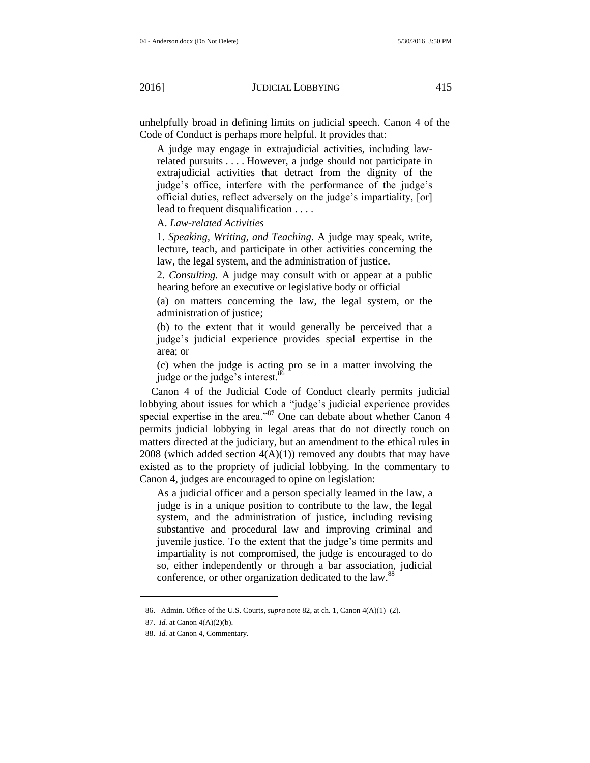unhelpfully broad in defining limits on judicial speech. Canon 4 of the Code of Conduct is perhaps more helpful. It provides that:

A judge may engage in extrajudicial activities, including lawrelated pursuits . . . . However, a judge should not participate in extrajudicial activities that detract from the dignity of the judge's office, interfere with the performance of the judge's official duties, reflect adversely on the judge's impartiality, [or] lead to frequent disqualification . . . .

A. *Law-related Activities*

1. *Speaking, Writing, and Teaching*. A judge may speak, write, lecture, teach, and participate in other activities concerning the law, the legal system, and the administration of justice.

2. *Consulting.* A judge may consult with or appear at a public hearing before an executive or legislative body or official

(a) on matters concerning the law, the legal system, or the administration of justice;

(b) to the extent that it would generally be perceived that a judge's judicial experience provides special expertise in the area; or

(c) when the judge is acting pro se in a matter involving the judge or the judge's interest.<sup>86</sup>

Canon 4 of the Judicial Code of Conduct clearly permits judicial lobbying about issues for which a "judge's judicial experience provides special expertise in the area."<sup>87</sup> One can debate about whether Canon 4 permits judicial lobbying in legal areas that do not directly touch on matters directed at the judiciary, but an amendment to the ethical rules in  $2008$  (which added section  $4(A)(1)$ ) removed any doubts that may have existed as to the propriety of judicial lobbying. In the commentary to Canon 4, judges are encouraged to opine on legislation:

As a judicial officer and a person specially learned in the law, a judge is in a unique position to contribute to the law, the legal system, and the administration of justice, including revising substantive and procedural law and improving criminal and juvenile justice. To the extent that the judge's time permits and impartiality is not compromised, the judge is encouraged to do so, either independently or through a bar association, judicial conference, or other organization dedicated to the law.<sup>88</sup>

<sup>86.</sup> Admin. Office of the U.S. Courts, *supra* not[e 82,](#page-14-0) at ch. 1, Canon 4(A)(1)–(2).

<sup>87.</sup> *Id.* at Canon 4(A)(2)(b).

<sup>88.</sup> *Id.* at Canon 4, Commentary.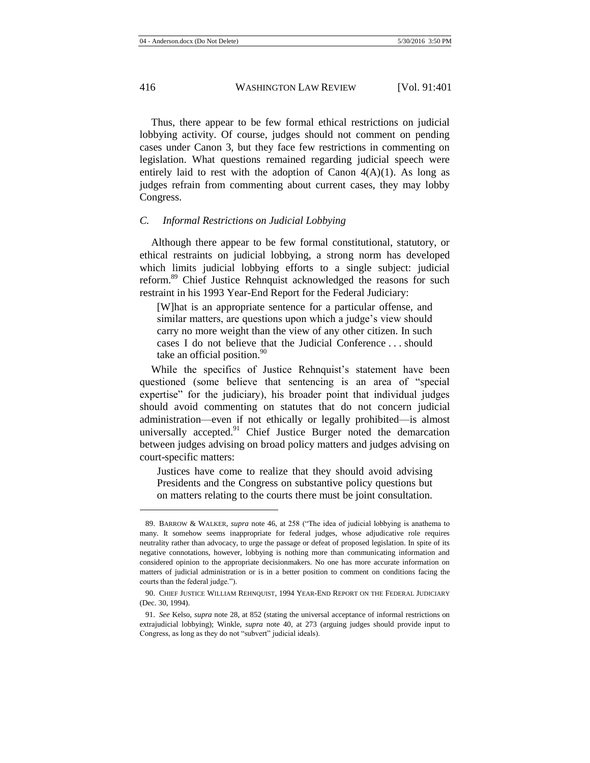Thus, there appear to be few formal ethical restrictions on judicial lobbying activity. Of course, judges should not comment on pending cases under Canon 3, but they face few restrictions in commenting on legislation. What questions remained regarding judicial speech were entirely laid to rest with the adoption of Canon  $4(A)(1)$ . As long as judges refrain from commenting about current cases, they may lobby Congress.

### *C. Informal Restrictions on Judicial Lobbying*

Although there appear to be few formal constitutional, statutory, or ethical restraints on judicial lobbying, a strong norm has developed which limits judicial lobbying efforts to a single subject: judicial reform.<sup>89</sup> Chief Justice Rehnquist acknowledged the reasons for such restraint in his 1993 Year-End Report for the Federal Judiciary:

[W]hat is an appropriate sentence for a particular offense, and similar matters, are questions upon which a judge's view should carry no more weight than the view of any other citizen. In such cases I do not believe that the Judicial Conference . . . should take an official position. $90$ 

While the specifics of Justice Rehnquist's statement have been questioned (some believe that sentencing is an area of "special expertise" for the judiciary), his broader point that individual judges should avoid commenting on statutes that do not concern judicial administration—even if not ethically or legally prohibited—is almost universally accepted.<sup>91</sup> Chief Justice Burger noted the demarcation between judges advising on broad policy matters and judges advising on court-specific matters:

Justices have come to realize that they should avoid advising Presidents and the Congress on substantive policy questions but on matters relating to the courts there must be joint consultation.

<sup>89.</sup> BARROW & WALKER, *supra* note [46,](#page-9-2) at 258 ("The idea of judicial lobbying is anathema to many. It somehow seems inappropriate for federal judges, whose adjudicative role requires neutrality rather than advocacy, to urge the passage or defeat of proposed legislation. In spite of its negative connotations, however, lobbying is nothing more than communicating information and considered opinion to the appropriate decisionmakers. No one has more accurate information on matters of judicial administration or is in a better position to comment on conditions facing the courts than the federal judge.").

<sup>90.</sup> CHIEF JUSTICE WILLIAM REHNQUIST, 1994 YEAR-END REPORT ON THE FEDERAL JUDICIARY (Dec. 30, 1994).

<sup>91.</sup> *See* Kelso, *supra* not[e 28,](#page-6-0) at 852 (stating the universal acceptance of informal restrictions on extrajudicial lobbying); Winkle, *supra* note [40,](#page-8-0) at 273 (arguing judges should provide input to Congress, as long as they do not "subvert" judicial ideals).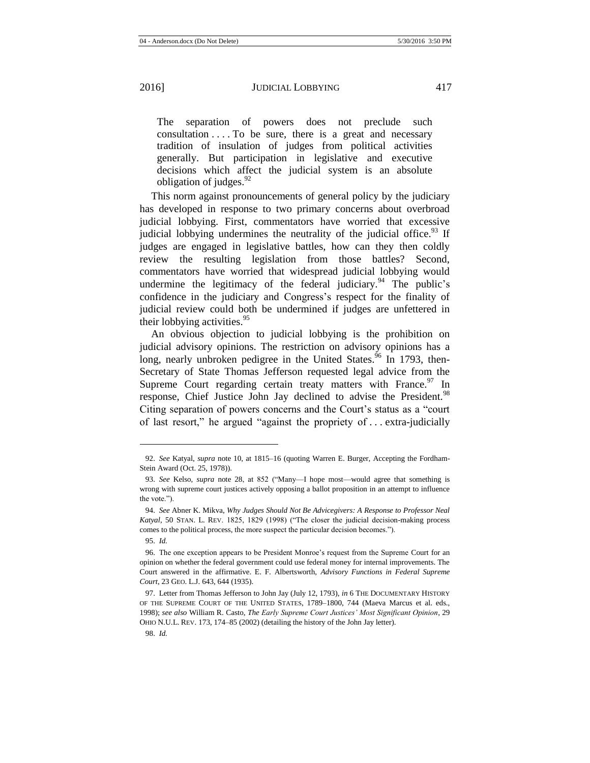The separation of powers does not preclude such consultation  $\dots$ . To be sure, there is a great and necessary tradition of insulation of judges from political activities generally. But participation in legislative and executive decisions which affect the judicial system is an absolute obligation of judges.  $92$ 

This norm against pronouncements of general policy by the judiciary has developed in response to two primary concerns about overbroad judicial lobbying. First, commentators have worried that excessive judicial lobbying undermines the neutrality of the judicial office.<sup>93</sup> If judges are engaged in legislative battles, how can they then coldly review the resulting legislation from those battles? Second, commentators have worried that widespread judicial lobbying would undermine the legitimacy of the federal judiciary. <sup>94</sup> The public's confidence in the judiciary and Congress's respect for the finality of judicial review could both be undermined if judges are unfettered in their lobbying activities. $95$ 

<span id="page-17-0"></span>An obvious objection to judicial lobbying is the prohibition on judicial advisory opinions. The restriction on advisory opinions has a long, nearly unbroken pedigree in the United States.<sup>96</sup> In 1793, then-Secretary of State Thomas Jefferson requested legal advice from the Supreme Court regarding certain treaty matters with France.<sup>97</sup> In response, Chief Justice John Jay declined to advise the President.<sup>98</sup> Citing separation of powers concerns and the Court's status as a "court of last resort," he argued "against the propriety of . . . extra-judicially

<sup>92.</sup> *See* Katyal, *supra* note [10,](#page-3-1) at 1815–16 (quoting Warren E. Burger, Accepting the Fordham-Stein Award (Oct. 25, 1978)).

<sup>93.</sup> *See* Kelso, *supra* note [28,](#page-6-0) at 852 ("Many—I hope most—would agree that something is wrong with supreme court justices actively opposing a ballot proposition in an attempt to influence the vote.").

<sup>94.</sup> *See* Abner K. Mikva, *Why Judges Should Not Be Advicegivers: A Response to Professor Neal Katyal*, 50 STAN. L. REV. 1825, 1829 (1998) ("The closer the judicial decision-making process comes to the political process, the more suspect the particular decision becomes.").

<sup>95.</sup> *Id.*

<sup>96.</sup> The one exception appears to be President Monroe's request from the Supreme Court for an opinion on whether the federal government could use federal money for internal improvements. The Court answered in the affirmative. E. F. Albertsworth, *Advisory Functions in Federal Supreme Court*, 23 GEO. L.J. 643, 644 (1935).

<sup>97.</sup> Letter from Thomas Jefferson to John Jay (July 12, 1793), *in* 6 THE DOCUMENTARY HISTORY OF THE SUPREME COURT OF THE UNITED STATES, 1789–1800, 744 (Maeva Marcus et al. eds., 1998); *see also* William R. Casto, *The Early Supreme Court Justices' Most Significant Opinion*, 29 OHIO N.U.L. REV. 173, 174–85 (2002) (detailing the history of the John Jay letter).

<sup>98.</sup> *Id.*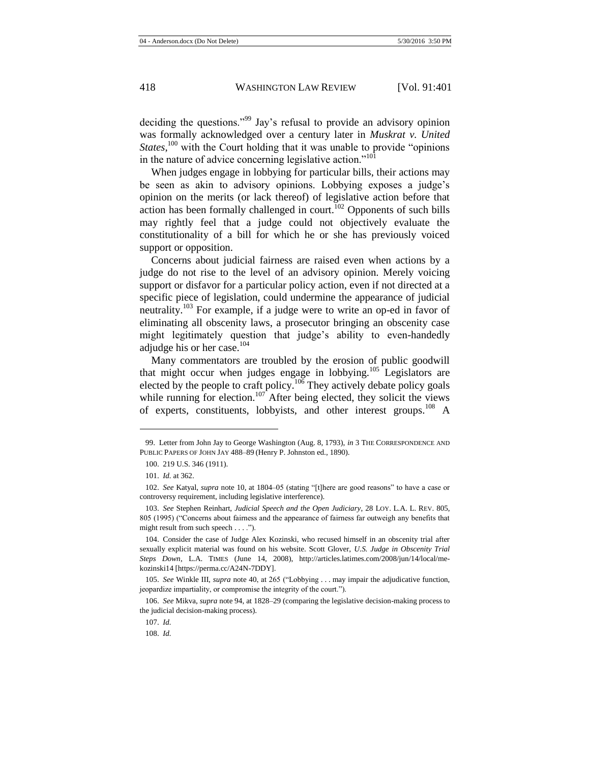deciding the questions."<sup>99</sup> Jay's refusal to provide an advisory opinion was formally acknowledged over a century later in *Muskrat v. United*  States,<sup>100</sup> with the Court holding that it was unable to provide "opinions" in the nature of advice concerning legislative action."<sup>101</sup>

When judges engage in lobbying for particular bills, their actions may be seen as akin to advisory opinions. Lobbying exposes a judge's opinion on the merits (or lack thereof) of legislative action before that action has been formally challenged in court.<sup>102</sup> Opponents of such bills may rightly feel that a judge could not objectively evaluate the constitutionality of a bill for which he or she has previously voiced support or opposition.

<span id="page-18-0"></span>Concerns about judicial fairness are raised even when actions by a judge do not rise to the level of an advisory opinion. Merely voicing support or disfavor for a particular policy action, even if not directed at a specific piece of legislation, could undermine the appearance of judicial neutrality.<sup>103</sup> For example, if a judge were to write an op-ed in favor of eliminating all obscenity laws, a prosecutor bringing an obscenity case might legitimately question that judge's ability to even-handedly adjudge his or her case. $104$ 

Many commentators are troubled by the erosion of public goodwill that might occur when judges engage in lobbying.<sup>105</sup> Legislators are elected by the people to craft policy.<sup>106</sup> They actively debate policy goals while running for election.<sup>107</sup> After being elected, they solicit the views of experts, constituents, lobbyists, and other interest groups.<sup>108</sup> A

l

108. *Id.*

<sup>99.</sup> Letter from John Jay to George Washington (Aug. 8, 1793), *in* 3 THE CORRESPONDENCE AND PUBLIC PAPERS OF JOHN JAY 488–89 (Henry P. Johnston ed., 1890).

<sup>100.</sup> 219 U.S. 346 (1911).

<sup>101.</sup> *Id.* at 362.

<sup>102.</sup> *See* Katyal, *supra* not[e 10,](#page-3-1) at 1804–05 (stating "[t]here are good reasons" to have a case or controversy requirement, including legislative interference).

<sup>103.</sup> *See* Stephen Reinhart, *Judicial Speech and the Open Judiciary*, 28 LOY. L.A. L. REV. 805, 805 (1995) ("Concerns about fairness and the appearance of fairness far outweigh any benefits that might result from such speech . . . .").

<sup>104.</sup> Consider the case of Judge Alex Kozinski, who recused himself in an obscenity trial after sexually explicit material was found on his website. Scott Glover, *U.S. Judge in Obscenity Trial Steps Down*, L.A. TIMES (June 14, 2008), http://articles.latimes.com/2008/jun/14/local/mekozinski14 [https://perma.cc/A24N-7DDY].

<sup>105.</sup> *See* Winkle III, *supra* note [40,](#page-8-0) at 265 ("Lobbying . . . may impair the adjudicative function, jeopardize impartiality, or compromise the integrity of the court.").

<sup>106.</sup> *See* Mikva, *supra* not[e 94,](#page-17-0) at 1828–29 (comparing the legislative decision-making process to the judicial decision-making process).

<sup>107.</sup> *Id.*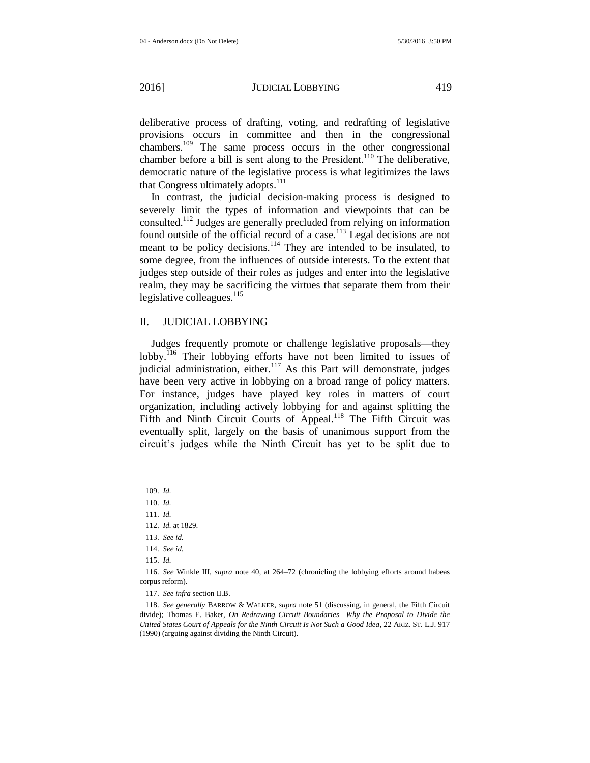deliberative process of drafting, voting, and redrafting of legislative provisions occurs in committee and then in the congressional chambers.<sup>109</sup> The same process occurs in the other congressional chamber before a bill is sent along to the President.<sup>110</sup> The deliberative, democratic nature of the legislative process is what legitimizes the laws that Congress ultimately adopts. $111$ 

In contrast, the judicial decision-making process is designed to severely limit the types of information and viewpoints that can be consulted. <sup>112</sup> Judges are generally precluded from relying on information found outside of the official record of a case.<sup>113</sup> Legal decisions are not meant to be policy decisions.<sup>114</sup> They are intended to be insulated, to some degree, from the influences of outside interests. To the extent that judges step outside of their roles as judges and enter into the legislative realm, they may be sacrificing the virtues that separate them from their legislative colleagues. $^{115}$ 

# II. JUDICIAL LOBBYING

Judges frequently promote or challenge legislative proposals—they lobby.<sup>116</sup> Their lobbying efforts have not been limited to issues of judicial administration, either. $117$  As this Part will demonstrate, judges have been very active in lobbying on a broad range of policy matters. For instance, judges have played key roles in matters of court organization, including actively lobbying for and against splitting the Fifth and Ninth Circuit Courts of Appeal.<sup>118</sup> The Fifth Circuit was eventually split, largely on the basis of unanimous support from the circuit's judges while the Ninth Circuit has yet to be split due to

109. *Id.*

<sup>110.</sup> *Id.*

<sup>111.</sup> *Id.*

<sup>112.</sup> *Id.* at 1829.

<sup>113.</sup> *See id.*

<sup>114.</sup> *See id.*

<sup>115.</sup> *Id.*

<sup>116.</sup> *See* Winkle III, *supra* note [40,](#page-8-0) at 264–72 (chronicling the lobbying efforts around habeas corpus reform).

<sup>117.</sup> *See infra* section II.B.

<sup>118.</sup> *See generally* BARROW & WALKER, *supra* not[e 51](#page-10-0) (discussing, in general, the Fifth Circuit divide); Thomas E. Baker, *On Redrawing Circuit Boundaries—Why the Proposal to Divide the United States Court of Appeals for the Ninth Circuit Is Not Such a Good Idea*, 22 ARIZ. ST. L.J. 917 (1990) (arguing against dividing the Ninth Circuit).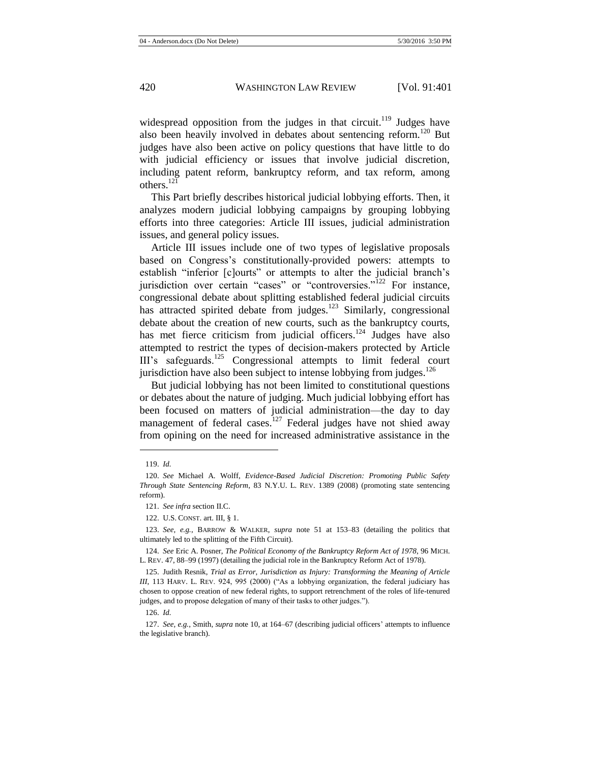widespread opposition from the judges in that circuit.<sup>119</sup> Judges have also been heavily involved in debates about sentencing reform.<sup>120</sup> But judges have also been active on policy questions that have little to do with judicial efficiency or issues that involve judicial discretion, including patent reform, bankruptcy reform, and tax reform, among others.<sup>121</sup>

This Part briefly describes historical judicial lobbying efforts. Then, it analyzes modern judicial lobbying campaigns by grouping lobbying efforts into three categories: Article III issues, judicial administration issues, and general policy issues.

Article III issues include one of two types of legislative proposals based on Congress's constitutionally-provided powers: attempts to establish "inferior [c]ourts" or attempts to alter the judicial branch's jurisdiction over certain "cases" or "controversies."<sup>122</sup> For instance. congressional debate about splitting established federal judicial circuits has attracted spirited debate from judges.<sup>123</sup> Similarly, congressional debate about the creation of new courts, such as the bankruptcy courts, has met fierce criticism from judicial officers.<sup>124</sup> Judges have also attempted to restrict the types of decision-makers protected by Article III's safeguards.<sup>125</sup> Congressional attempts to limit federal court jurisdiction have also been subject to intense lobbying from judges.<sup>126</sup>

<span id="page-20-0"></span>But judicial lobbying has not been limited to constitutional questions or debates about the nature of judging. Much judicial lobbying effort has been focused on matters of judicial administration—the day to day management of federal cases.<sup>127</sup> Federal judges have not shied away from opining on the need for increased administrative assistance in the

<sup>119.</sup> *Id.*

<sup>120.</sup> *See* Michael A. Wolff, *Evidence-Based Judicial Discretion: Promoting Public Safety Through State Sentencing Reform*, 83 N.Y.U. L. REV. 1389 (2008) (promoting state sentencing reform).

<sup>121.</sup> *See infra* section II.C.

<sup>122.</sup> U.S. CONST. art. III, § 1.

<sup>123.</sup> *See, e.g.*, BARROW & WALKER, *supra* note [51](#page-10-0) at 153–83 (detailing the politics that ultimately led to the splitting of the Fifth Circuit).

<sup>124.</sup> *See* Eric A. Posner, *The Political Economy of the Bankruptcy Reform Act of 1978*, 96 MICH. L. REV. 47, 88–99 (1997) (detailing the judicial role in the Bankruptcy Reform Act of 1978).

<sup>125.</sup> Judith Resnik, *Trial as Error, Jurisdiction as Injury: Transforming the Meaning of Article III*, 113 HARV. L. REV. 924, 995 (2000) ("As a lobbying organization, the federal judiciary has chosen to oppose creation of new federal rights, to support retrenchment of the roles of life-tenured judges, and to propose delegation of many of their tasks to other judges.").

<sup>126.</sup> *Id.*

<sup>127.</sup> *See, e.g.*, Smith, *supra* not[e 10,](#page-3-1) at 164–67 (describing judicial officers' attempts to influence the legislative branch).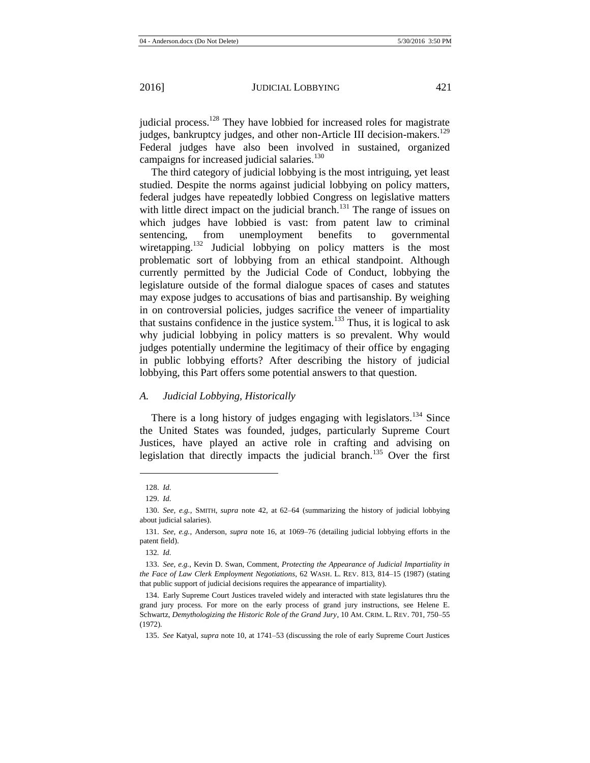judicial process.<sup>128</sup> They have lobbied for increased roles for magistrate judges, bankruptcy judges, and other non-Article III decision-makers.<sup>129</sup> Federal judges have also been involved in sustained, organized campaigns for increased judicial salaries.<sup>130</sup>

The third category of judicial lobbying is the most intriguing, yet least studied. Despite the norms against judicial lobbying on policy matters, federal judges have repeatedly lobbied Congress on legislative matters with little direct impact on the judicial branch.<sup>131</sup> The range of issues on which judges have lobbied is vast: from patent law to criminal sentencing, from unemployment benefits to governmental wiretapping.<sup>132</sup> Judicial lobbying on policy matters is the most problematic sort of lobbying from an ethical standpoint. Although currently permitted by the Judicial Code of Conduct, lobbying the legislature outside of the formal dialogue spaces of cases and statutes may expose judges to accusations of bias and partisanship. By weighing in on controversial policies, judges sacrifice the veneer of impartiality that sustains confidence in the justice system.<sup>133</sup> Thus, it is logical to ask why judicial lobbying in policy matters is so prevalent. Why would judges potentially undermine the legitimacy of their office by engaging in public lobbying efforts? After describing the history of judicial lobbying, this Part offers some potential answers to that question.

## *A. Judicial Lobbying, Historically*

There is a long history of judges engaging with legislators.<sup>134</sup> Since the United States was founded, judges, particularly Supreme Court Justices, have played an active role in crafting and advising on legislation that directly impacts the judicial branch.<sup>135</sup> Over the first

<sup>128.</sup> *Id.*

<sup>129.</sup> *Id.*

<sup>130.</sup> *See, e.g.*, SMITH, *supra* note [42,](#page-9-0) at 62–64 (summarizing the history of judicial lobbying about judicial salaries).

<sup>131.</sup> *See, e.g.*, Anderson, *supra* note [16,](#page-5-0) at 1069–76 (detailing judicial lobbying efforts in the patent field).

<sup>132</sup>*. Id.*

<sup>133.</sup> *See, e.g.*, Kevin D. Swan, Comment, *Protecting the Appearance of Judicial Impartiality in the Face of Law Clerk Employment Negotiations*, 62 WASH. L. REV. 813, 814–15 (1987) (stating that public support of judicial decisions requires the appearance of impartiality).

<sup>134.</sup> Early Supreme Court Justices traveled widely and interacted with state legislatures thru the grand jury process. For more on the early process of grand jury instructions, see Helene E. Schwartz, *Demythologizing the Historic Role of the Grand Jury*, 10 AM. CRIM. L. REV. 701, 750–55 (1972).

<sup>135.</sup> *See* Katyal, *supra* not[e 10,](#page-3-1) at 1741–53 (discussing the role of early Supreme Court Justices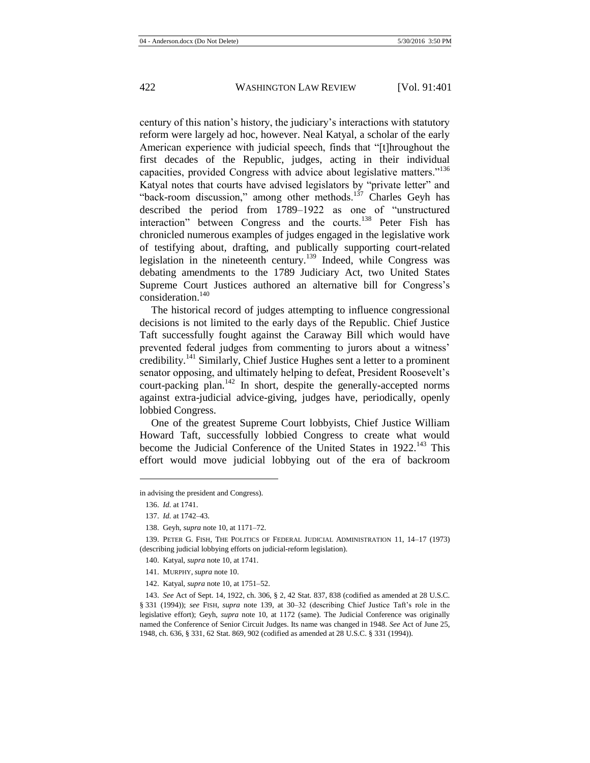century of this nation's history, the judiciary's interactions with statutory reform were largely ad hoc, however. Neal Katyal, a scholar of the early American experience with judicial speech, finds that "[t]hroughout the first decades of the Republic, judges, acting in their individual capacities, provided Congress with advice about legislative matters."<sup>136</sup> Katyal notes that courts have advised legislators by "private letter" and "back-room discussion," among other methods.<sup>137</sup> Charles Geyh has described the period from 1789–1922 as one of "unstructured interaction" between Congress and the courts.<sup>138</sup> Peter Fish has chronicled numerous examples of judges engaged in the legislative work of testifying about, drafting, and publically supporting court-related legislation in the nineteenth century.<sup>139</sup> Indeed, while Congress was debating amendments to the 1789 Judiciary Act, two United States Supreme Court Justices authored an alternative bill for Congress's consideration.<sup>140</sup>

<span id="page-22-0"></span>The historical record of judges attempting to influence congressional decisions is not limited to the early days of the Republic. Chief Justice Taft successfully fought against the Caraway Bill which would have prevented federal judges from commenting to jurors about a witness' credibility.<sup>141</sup> Similarly, Chief Justice Hughes sent a letter to a prominent senator opposing, and ultimately helping to defeat, President Roosevelt's court-packing plan.<sup>142</sup> In short, despite the generally-accepted norms against extra-judicial advice-giving, judges have, periodically, openly lobbied Congress.

One of the greatest Supreme Court lobbyists, Chief Justice William Howard Taft, successfully lobbied Congress to create what would become the Judicial Conference of the United States in 1922.<sup>143</sup> This effort would move judicial lobbying out of the era of backroom

in advising the president and Congress).

<sup>136.</sup> *Id.* at 1741.

<sup>137.</sup> *Id.* at 1742–43.

<sup>138.</sup> Geyh, *supra* not[e 10,](#page-3-1) at 1171–72.

<sup>139.</sup> PETER G. FISH, THE POLITICS OF FEDERAL JUDICIAL ADMINISTRATION 11, 14–17 (1973) (describing judicial lobbying efforts on judicial-reform legislation).

<sup>140.</sup> Katyal, *supra* not[e 10,](#page-3-1) at 1741.

<sup>141.</sup> MURPHY, *supra* not[e 10.](#page-3-1)

<sup>142.</sup> Katyal, *supra* not[e 10,](#page-3-1) at 1751–52.

<sup>143.</sup> *See* Act of Sept. 14, 1922, ch. 306, § 2, 42 Stat. 837, 838 (codified as amended at 28 U.S.C. § 331 (1994)); *see* FISH, *supra* note [139,](#page-22-0) at 30–32 (describing Chief Justice Taft's role in the legislative effort); Geyh, *supra* note [10,](#page-3-1) at 1172 (same). The Judicial Conference was originally named the Conference of Senior Circuit Judges. Its name was changed in 1948. *See* Act of June 25, 1948, ch. 636, § 331, 62 Stat. 869, 902 (codified as amended at 28 U.S.C. § 331 (1994)).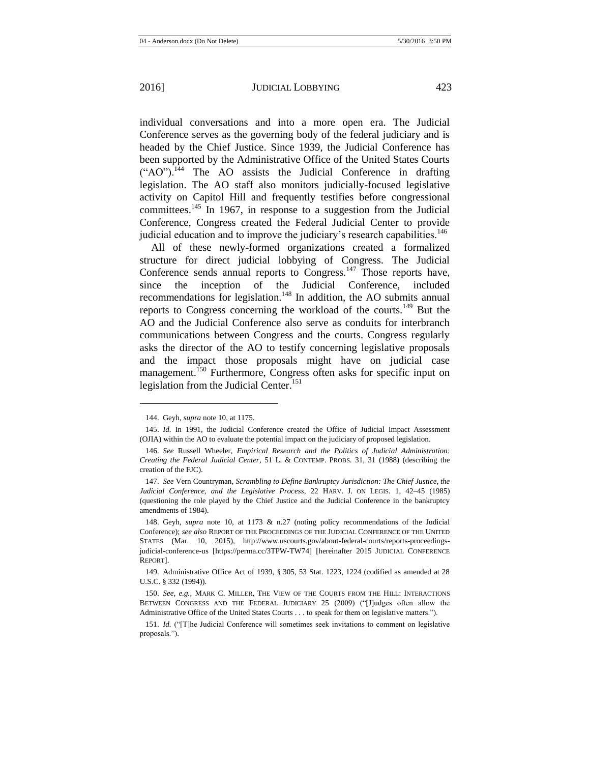individual conversations and into a more open era. The Judicial Conference serves as the governing body of the federal judiciary and is headed by the Chief Justice. Since 1939, the Judicial Conference has been supported by the Administrative Office of the United States Courts  $({}^{\circ}AO$ )<sup>144</sup> The AO assists the Judicial Conference in drafting legislation. The AO staff also monitors judicially-focused legislative activity on Capitol Hill and frequently testifies before congressional committees.<sup>145</sup> In 1967, in response to a suggestion from the Judicial Conference, Congress created the Federal Judicial Center to provide judicial education and to improve the judiciary's research capabilities.<sup>146</sup>

<span id="page-23-1"></span><span id="page-23-0"></span>All of these newly-formed organizations created a formalized structure for direct judicial lobbying of Congress. The Judicial Conference sends annual reports to Congress.<sup>147</sup> Those reports have, since the inception of the Judicial Conference, included recommendations for legislation.<sup>148</sup> In addition, the AO submits annual reports to Congress concerning the workload of the courts.<sup>149</sup> But the AO and the Judicial Conference also serve as conduits for interbranch communications between Congress and the courts. Congress regularly asks the director of the AO to testify concerning legislative proposals and the impact those proposals might have on judicial case management.<sup>150</sup> Furthermore, Congress often asks for specific input on legislation from the Judicial Center.<sup>151</sup>

<sup>144.</sup> Geyh, *supra* not[e 10,](#page-3-1) at 1175.

<sup>145.</sup> *Id.* In 1991, the Judicial Conference created the Office of Judicial Impact Assessment (OJIA) within the AO to evaluate the potential impact on the judiciary of proposed legislation.

<sup>146.</sup> *See* Russell Wheeler, *Empirical Research and the Politics of Judicial Administration: Creating the Federal Judicial Center*, 51 L. & CONTEMP. PROBS. 31, 31 (1988) (describing the creation of the FJC).

<sup>147.</sup> *See* Vern Countryman, *Scrambling to Define Bankruptcy Jurisdiction: The Chief Justice, the Judicial Conference, and the Legislative Process*, 22 HARV. J. ON LEGIS. 1, 42–45 (1985) (questioning the role played by the Chief Justice and the Judicial Conference in the bankruptcy amendments of 1984).

<sup>148.</sup> Geyh, *supra* note [10,](#page-3-1) at 1173 & n.27 (noting policy recommendations of the Judicial Conference); *see also* REPORT OF THE PROCEEDINGS OF THE JUDICIAL CONFERENCE OF THE UNITED STATES (Mar. 10, 2015), http://www.uscourts.gov/about-federal-courts/reports-proceedingsjudicial-conference-us [https://perma.cc/3TPW-TW74] [hereinafter 2015 JUDICIAL CONFERENCE REPORT].

<sup>149.</sup> Administrative Office Act of 1939, § 305, 53 Stat. 1223, 1224 (codified as amended at 28 U.S.C. § 332 (1994)).

<sup>150.</sup> *See, e.g.*, MARK C. MILLER, THE VIEW OF THE COURTS FROM THE HILL: INTERACTIONS BETWEEN CONGRESS AND THE FEDERAL JUDICIARY 25 (2009) ("[J]udges often allow the Administrative Office of the United States Courts . . . to speak for them on legislative matters.").

<sup>151.</sup> *Id.* ("[T]he Judicial Conference will sometimes seek invitations to comment on legislative proposals.").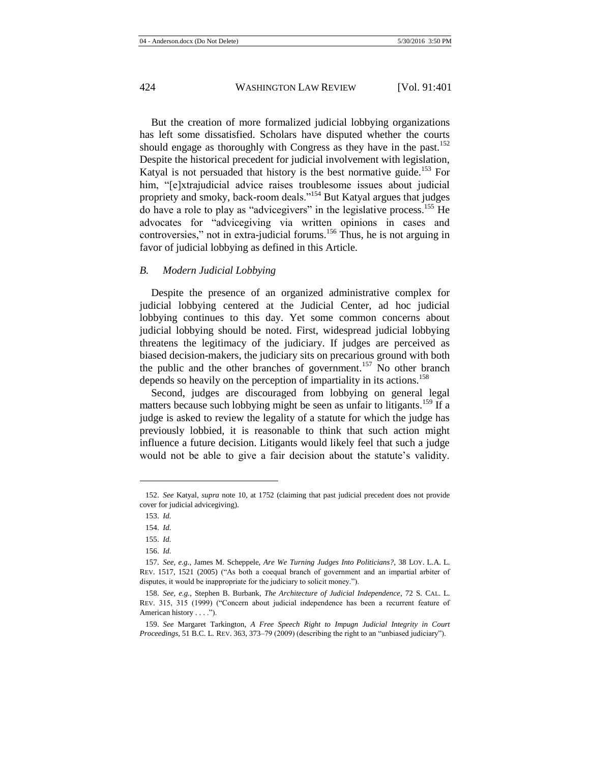But the creation of more formalized judicial lobbying organizations has left some dissatisfied. Scholars have disputed whether the courts should engage as thoroughly with Congress as they have in the past.<sup>152</sup> Despite the historical precedent for judicial involvement with legislation, Katyal is not persuaded that history is the best normative guide.<sup>153</sup> For him, "[e]xtrajudicial advice raises troublesome issues about judicial propriety and smoky, back-room deals."<sup>154</sup> But Katyal argues that judges do have a role to play as "advicegivers" in the legislative process.<sup>155</sup> He advocates for "advicegiving via written opinions in cases and controversies," not in extra-judicial forums.<sup>156</sup> Thus, he is not arguing in favor of judicial lobbying as defined in this Article.

#### *B. Modern Judicial Lobbying*

Despite the presence of an organized administrative complex for judicial lobbying centered at the Judicial Center, ad hoc judicial lobbying continues to this day. Yet some common concerns about judicial lobbying should be noted. First, widespread judicial lobbying threatens the legitimacy of the judiciary. If judges are perceived as biased decision-makers, the judiciary sits on precarious ground with both the public and the other branches of government.<sup>157</sup> No other branch depends so heavily on the perception of impartiality in its actions.<sup>158</sup>

<span id="page-24-1"></span><span id="page-24-0"></span>Second, judges are discouraged from lobbying on general legal matters because such lobbying might be seen as unfair to litigants.<sup>159</sup> If a judge is asked to review the legality of a statute for which the judge has previously lobbied, it is reasonable to think that such action might influence a future decision. Litigants would likely feel that such a judge would not be able to give a fair decision about the statute's validity.

<sup>152.</sup> *See* Katyal, *supra* note [10,](#page-3-1) at 1752 (claiming that past judicial precedent does not provide cover for judicial advicegiving).

<sup>153.</sup> *Id.*

<sup>154.</sup> *Id.*

<sup>155.</sup> *Id.*

<sup>156.</sup> *Id.*

<sup>157.</sup> *See, e.g.*, James M. Scheppele, *Are We Turning Judges Into Politicians?*, 38 LOY. L.A. L. REV. 1517, 1521 (2005) ("As both a coequal branch of government and an impartial arbiter of disputes, it would be inappropriate for the judiciary to solicit money.").

<sup>158.</sup> *See, e.g.*, Stephen B. Burbank, *The Architecture of Judicial Independence*, 72 S. CAL. L. REV. 315, 315 (1999) ("Concern about judicial independence has been a recurrent feature of American history . . . .").

<sup>159.</sup> *See* Margaret Tarkington, *A Free Speech Right to Impugn Judicial Integrity in Court Proceedings,* 51 B.C. L. REV. 363, 373–79 (2009) (describing the right to an "unbiased judiciary").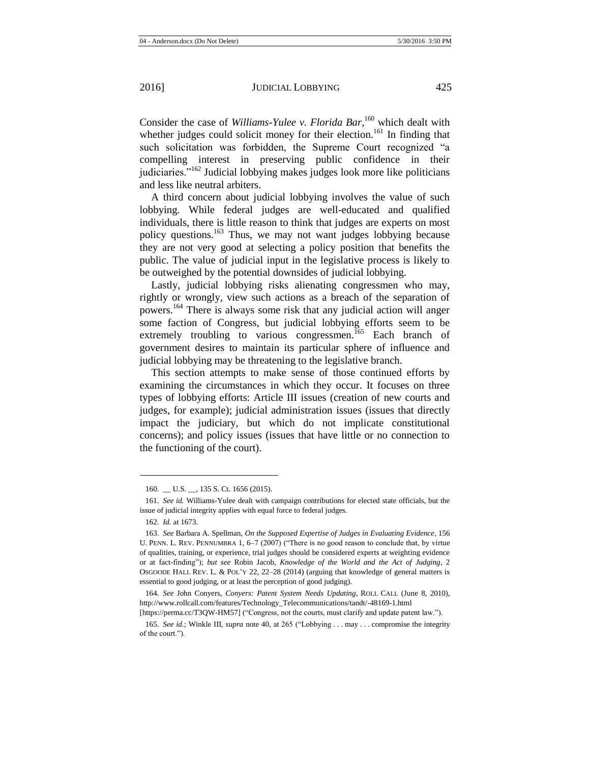Consider the case of *Williams-Yulee v. Florida Bar*,<sup>160</sup> which dealt with whether judges could solicit money for their election.<sup>161</sup> In finding that such solicitation was forbidden, the Supreme Court recognized "a compelling interest in preserving public confidence in their judiciaries. $162$  Judicial lobbying makes judges look more like politicians and less like neutral arbiters.

A third concern about judicial lobbying involves the value of such lobbying. While federal judges are well-educated and qualified individuals, there is little reason to think that judges are experts on most policy questions.<sup>163</sup> Thus, we may not want judges lobbying because they are not very good at selecting a policy position that benefits the public. The value of judicial input in the legislative process is likely to be outweighed by the potential downsides of judicial lobbying.

Lastly, judicial lobbying risks alienating congressmen who may, rightly or wrongly, view such actions as a breach of the separation of powers.<sup>164</sup> There is always some risk that any judicial action will anger some faction of Congress, but judicial lobbying efforts seem to be extremely troubling to various congressmen.<sup>165</sup> Each branch of government desires to maintain its particular sphere of influence and judicial lobbying may be threatening to the legislative branch.

This section attempts to make sense of those continued efforts by examining the circumstances in which they occur. It focuses on three types of lobbying efforts: Article III issues (creation of new courts and judges, for example); judicial administration issues (issues that directly impact the judiciary, but which do not implicate constitutional concerns); and policy issues (issues that have little or no connection to the functioning of the court).

<sup>160.</sup> \_\_ U.S. \_\_, 135 S. Ct. 1656 (2015).

<sup>161.</sup> *See id.* Williams-Yulee dealt with campaign contributions for elected state officials, but the issue of judicial integrity applies with equal force to federal judges.

<sup>162.</sup> *Id.* at 1673.

<sup>163.</sup> *See* Barbara A. Spellman, *On the Supposed Expertise of Judges in Evaluating Evidence*, 156 U. PENN. L. REV. PENNUMBRA 1, 6–7 (2007) ("There is no good reason to conclude that, by virtue of qualities, training, or experience, trial judges should be considered experts at weighting evidence or at fact-finding"); *but see* Robin Jacob, *Knowledge of the World and the Act of Judging*, 2 OSGOODE HALL REV. L. & POL'Y 22, 22–28 (2014) (arguing that knowledge of general matters is essential to good judging, or at least the perception of good judging).

<sup>164.</sup> *See* John Conyers, *Conyers: Patent System Needs Updating*, ROLL CALL (June 8, 2010), http://www.rollcall.com/features/Technology\_Telecommunications/tandt/-48169-1.html

<sup>[</sup>https://perma.cc/T3QW-HM57] ("Congress, not the courts, must clarify and update patent law.").

<sup>165.</sup> *See id.*; Winkle III, *supra* note [40,](#page-8-0) at 265 ("Lobbying . . . may . . . compromise the integrity of the court.").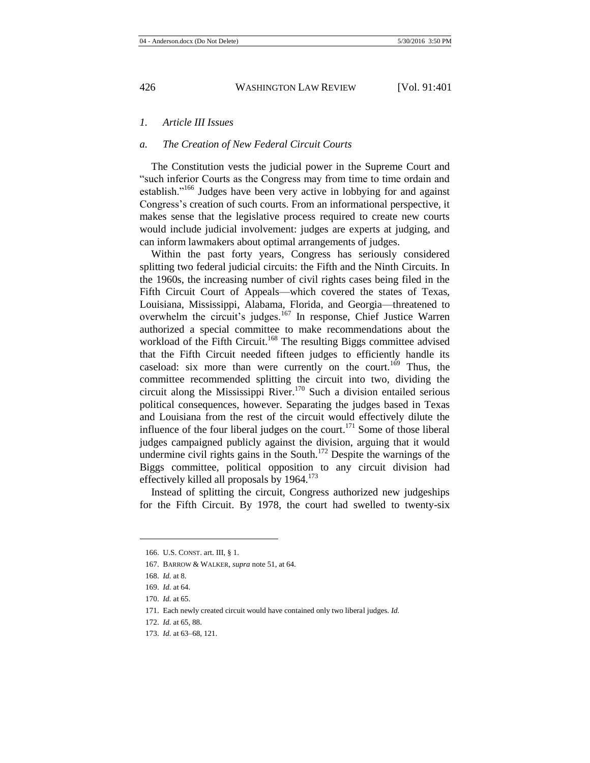# *1. Article III Issues*

#### *a. The Creation of New Federal Circuit Courts*

The Constitution vests the judicial power in the Supreme Court and "such inferior Courts as the Congress may from time to time ordain and establish."<sup>166</sup> Judges have been very active in lobbying for and against Congress's creation of such courts. From an informational perspective, it makes sense that the legislative process required to create new courts would include judicial involvement: judges are experts at judging, and can inform lawmakers about optimal arrangements of judges.

Within the past forty years, Congress has seriously considered splitting two federal judicial circuits: the Fifth and the Ninth Circuits. In the 1960s, the increasing number of civil rights cases being filed in the Fifth Circuit Court of Appeals—which covered the states of Texas, Louisiana, Mississippi, Alabama, Florida, and Georgia—threatened to overwhelm the circuit's judges.<sup>167</sup> In response, Chief Justice Warren authorized a special committee to make recommendations about the workload of the Fifth Circuit.<sup>168</sup> The resulting Biggs committee advised that the Fifth Circuit needed fifteen judges to efficiently handle its caseload: six more than were currently on the court.<sup>169</sup> Thus, the committee recommended splitting the circuit into two, dividing the circuit along the Mississippi River.<sup>170</sup> Such a division entailed serious political consequences, however. Separating the judges based in Texas and Louisiana from the rest of the circuit would effectively dilute the influence of the four liberal judges on the court.<sup>171</sup> Some of those liberal judges campaigned publicly against the division, arguing that it would undermine civil rights gains in the South.<sup>172</sup> Despite the warnings of the Biggs committee, political opposition to any circuit division had effectively killed all proposals by  $1964$ <sup>173</sup>

Instead of splitting the circuit, Congress authorized new judgeships for the Fifth Circuit. By 1978, the court had swelled to twenty-six

<sup>166.</sup> U.S. CONST. art. III, § 1.

<sup>167.</sup> BARROW & WALKER, *supra* not[e 51,](#page-10-0) at 64.

<sup>168.</sup> *Id.* at 8.

<sup>169.</sup> *Id.* at 64.

<sup>170.</sup> *Id.* at 65.

<sup>171.</sup> Each newly created circuit would have contained only two liberal judges. *Id.*

<sup>172.</sup> *Id.* at 65, 88.

<sup>173.</sup> *Id.* at 63–68, 121.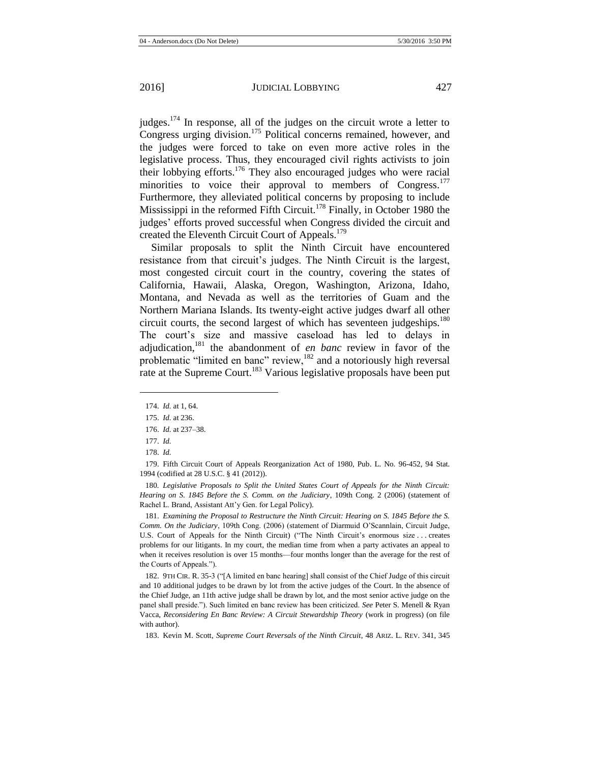judges.<sup>174</sup> In response, all of the judges on the circuit wrote a letter to Congress urging division.<sup>175</sup> Political concerns remained, however, and the judges were forced to take on even more active roles in the legislative process. Thus, they encouraged civil rights activists to join their lobbying efforts.<sup>176</sup> They also encouraged judges who were racial minorities to voice their approval to members of Congress.<sup>177</sup> Furthermore, they alleviated political concerns by proposing to include Mississippi in the reformed Fifth Circuit.<sup>178</sup> Finally, in October 1980 the judges' efforts proved successful when Congress divided the circuit and created the Eleventh Circuit Court of Appeals.<sup>179</sup>

Similar proposals to split the Ninth Circuit have encountered resistance from that circuit's judges. The Ninth Circuit is the largest, most congested circuit court in the country, covering the states of California, Hawaii, Alaska, Oregon, Washington, Arizona, Idaho, Montana, and Nevada as well as the territories of Guam and the Northern Mariana Islands. Its twenty-eight active judges dwarf all other circuit courts, the second largest of which has seventeen judgeships. $180$ The court's size and massive caseload has led to delays in adjudication,<sup>181</sup> the abandonment of *en banc* review in favor of the problematic "limited en banc" review, $182$  and a notoriously high reversal rate at the Supreme Court.<sup>183</sup> Various legislative proposals have been put

<sup>174.</sup> *Id.* at 1, 64.

<sup>175.</sup> *Id.* at 236.

<sup>176.</sup> *Id.* at 237–38.

<sup>177.</sup> *Id.*

<sup>178.</sup> *Id.*

<sup>179.</sup> Fifth Circuit Court of Appeals Reorganization Act of 1980, Pub. L. No. 96-452, 94 Stat. 1994 (codified at 28 U.S.C. § 41 (2012)).

<sup>180</sup>*. Legislative Proposals to Split the United States Court of Appeals for the Ninth Circuit: Hearing on S. 1845 Before the S. Comm. on the Judiciary*, 109th Cong. 2 (2006) (statement of Rachel L. Brand, Assistant Att'y Gen. for Legal Policy).

<sup>181.</sup> *Examining the Proposal to Restructure the Ninth Circuit: Hearing on S. 1845 Before the S. Comm. On the Judiciary*, 109th Cong. (2006) (statement of Diarmuid O'Scannlain, Circuit Judge, U.S. Court of Appeals for the Ninth Circuit) ("The Ninth Circuit's enormous size . . . creates problems for our litigants. In my court, the median time from when a party activates an appeal to when it receives resolution is over 15 months—four months longer than the average for the rest of the Courts of Appeals.").

<sup>182.</sup> 9TH CIR. R. 35-3 ("[A limited en banc hearing] shall consist of the Chief Judge of this circuit and 10 additional judges to be drawn by lot from the active judges of the Court. In the absence of the Chief Judge, an 11th active judge shall be drawn by lot, and the most senior active judge on the panel shall preside."). Such limited en banc review has been criticized. *See* Peter S. Menell & Ryan Vacca, *Reconsidering En Banc Review: A Circuit Stewardship Theory* (work in progress) (on file with author).

<sup>183.</sup> Kevin M. Scott, *Supreme Court Reversals of the Ninth Circuit*, 48 ARIZ. L. REV. 341, 345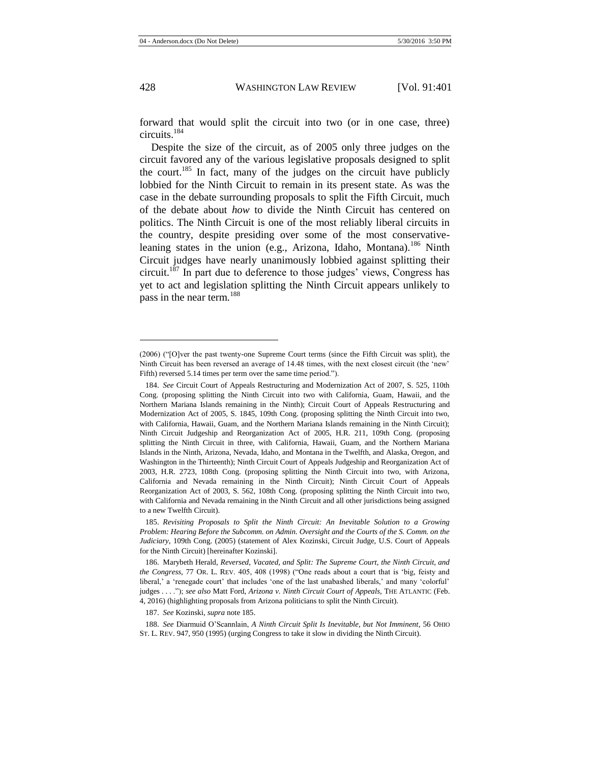forward that would split the circuit into two (or in one case, three) circuits.<sup>184</sup>

<span id="page-28-0"></span>Despite the size of the circuit, as of 2005 only three judges on the circuit favored any of the various legislative proposals designed to split the court.<sup>185</sup> In fact, many of the judges on the circuit have publicly lobbied for the Ninth Circuit to remain in its present state. As was the case in the debate surrounding proposals to split the Fifth Circuit, much of the debate about *how* to divide the Ninth Circuit has centered on politics. The Ninth Circuit is one of the most reliably liberal circuits in the country, despite presiding over some of the most conservativeleaning states in the union (e.g., Arizona, Idaho, Montana).<sup>186</sup> Ninth Circuit judges have nearly unanimously lobbied against splitting their circuit.<sup>187</sup> In part due to deference to those judges' views, Congress has yet to act and legislation splitting the Ninth Circuit appears unlikely to pass in the near term.<sup>188</sup>

187. *See* Kozinski, *supra* not[e 185.](#page-28-0)

188. *See* Diarmuid O'Scannlain, *A Ninth Circuit Split Is Inevitable, but Not Imminent*, 56 OHIO ST. L. REV. 947, 950 (1995) (urging Congress to take it slow in dividing the Ninth Circuit).

<sup>(2006) (&</sup>quot;[O]ver the past twenty-one Supreme Court terms (since the Fifth Circuit was split), the Ninth Circuit has been reversed an average of 14.48 times, with the next closest circuit (the 'new' Fifth) reversed 5.14 times per term over the same time period.").

<sup>184.</sup> *See* Circuit Court of Appeals Restructuring and Modernization Act of 2007, S. 525, 110th Cong. (proposing splitting the Ninth Circuit into two with California, Guam, Hawaii, and the Northern Mariana Islands remaining in the Ninth); Circuit Court of Appeals Restructuring and Modernization Act of 2005, S. 1845, 109th Cong. (proposing splitting the Ninth Circuit into two, with California, Hawaii, Guam, and the Northern Mariana Islands remaining in the Ninth Circuit); Ninth Circuit Judgeship and Reorganization Act of 2005, H.R. 211, 109th Cong. (proposing splitting the Ninth Circuit in three, with California, Hawaii, Guam, and the Northern Mariana Islands in the Ninth, Arizona, Nevada, Idaho, and Montana in the Twelfth, and Alaska, Oregon, and Washington in the Thirteenth); Ninth Circuit Court of Appeals Judgeship and Reorganization Act of 2003, H.R. 2723, 108th Cong. (proposing splitting the Ninth Circuit into two, with Arizona, California and Nevada remaining in the Ninth Circuit); Ninth Circuit Court of Appeals Reorganization Act of 2003, S. 562, 108th Cong. (proposing splitting the Ninth Circuit into two, with California and Nevada remaining in the Ninth Circuit and all other jurisdictions being assigned to a new Twelfth Circuit).

<sup>185.</sup> *Revisiting Proposals to Split the Ninth Circuit: An Inevitable Solution to a Growing Problem: Hearing Before the Subcomm. on Admin. Oversight and the Courts of the S. Comm. on the Judiciary*, 109th Cong. (2005) (statement of Alex Kozinski, Circuit Judge, U.S. Court of Appeals for the Ninth Circuit) [hereinafter Kozinski].

<sup>186.</sup> Marybeth Herald, *Reversed, Vacated, and Split: The Supreme Court, the Ninth Circuit, and the Congress*, 77 OR. L. REV. 405, 408 (1998) ("One reads about a court that is 'big, feisty and liberal,' a 'renegade court' that includes 'one of the last unabashed liberals,' and many 'colorful' judges . . . ."); *see also* Matt Ford, *Arizona v. Ninth Circuit Court of Appeals*, THE ATLANTIC (Feb. 4, 2016) (highlighting proposals from Arizona politicians to split the Ninth Circuit).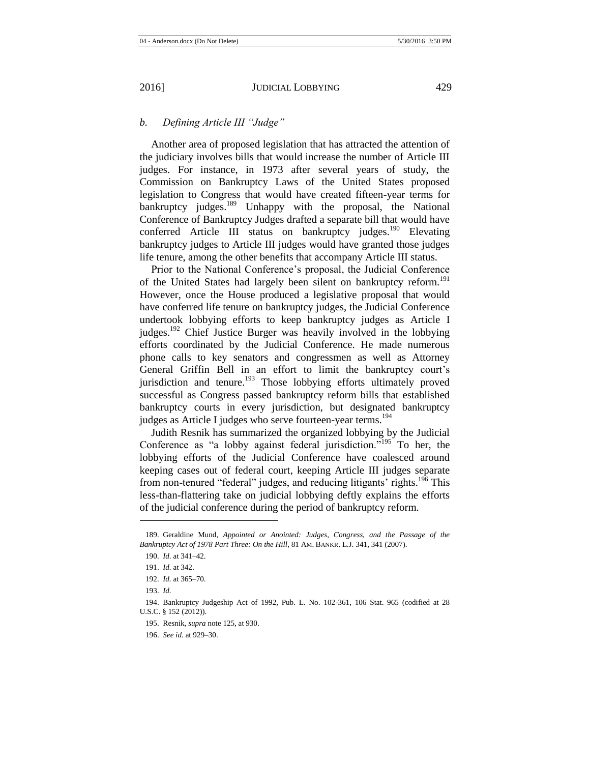# *b. Defining Article III "Judge"*

Another area of proposed legislation that has attracted the attention of the judiciary involves bills that would increase the number of Article III judges. For instance, in 1973 after several years of study, the Commission on Bankruptcy Laws of the United States proposed legislation to Congress that would have created fifteen-year terms for bankruptcy judges.<sup>189</sup> Unhappy with the proposal, the National Conference of Bankruptcy Judges drafted a separate bill that would have conferred Article III status on bankruptcy judges.<sup>190</sup> Elevating bankruptcy judges to Article III judges would have granted those judges life tenure, among the other benefits that accompany Article III status.

Prior to the National Conference's proposal, the Judicial Conference of the United States had largely been silent on bankruptcy reform.<sup>191</sup> However, once the House produced a legislative proposal that would have conferred life tenure on bankruptcy judges, the Judicial Conference undertook lobbying efforts to keep bankruptcy judges as Article I judges.<sup>192</sup> Chief Justice Burger was heavily involved in the lobbying efforts coordinated by the Judicial Conference. He made numerous phone calls to key senators and congressmen as well as Attorney General Griffin Bell in an effort to limit the bankruptcy court's jurisdiction and tenure.<sup>193</sup> Those lobbying efforts ultimately proved successful as Congress passed bankruptcy reform bills that established bankruptcy courts in every jurisdiction, but designated bankruptcy judges as Article I judges who serve fourteen-year terms.<sup>194</sup>

Judith Resnik has summarized the organized lobbying by the Judicial Conference as "a lobby against federal jurisdiction."<sup>195</sup> To her, the lobbying efforts of the Judicial Conference have coalesced around keeping cases out of federal court, keeping Article III judges separate from non-tenured "federal" judges, and reducing litigants' rights.<sup>196</sup> This less-than-flattering take on judicial lobbying deftly explains the efforts of the judicial conference during the period of bankruptcy reform.

<sup>189.</sup> Geraldine Mund, *Appointed or Anointed: Judges, Congress, and the Passage of the Bankruptcy Act of 1978 Part Three: On the Hill*, 81 AM. BANKR. L.J. 341, 341 (2007).

<sup>190.</sup> *Id.* at 341–42.

<sup>191.</sup> *Id.* at 342.

<sup>192.</sup> *Id.* at 365–70.

<sup>193.</sup> *Id.*

<sup>194.</sup> Bankruptcy Judgeship Act of 1992, Pub. L. No. 102-361, 106 Stat. 965 (codified at 28 U.S.C. § 152 (2012)).

<sup>195.</sup> Resnik, *supra* not[e 125,](#page-20-0) at 930.

<sup>196.</sup> *See id.* at 929–30.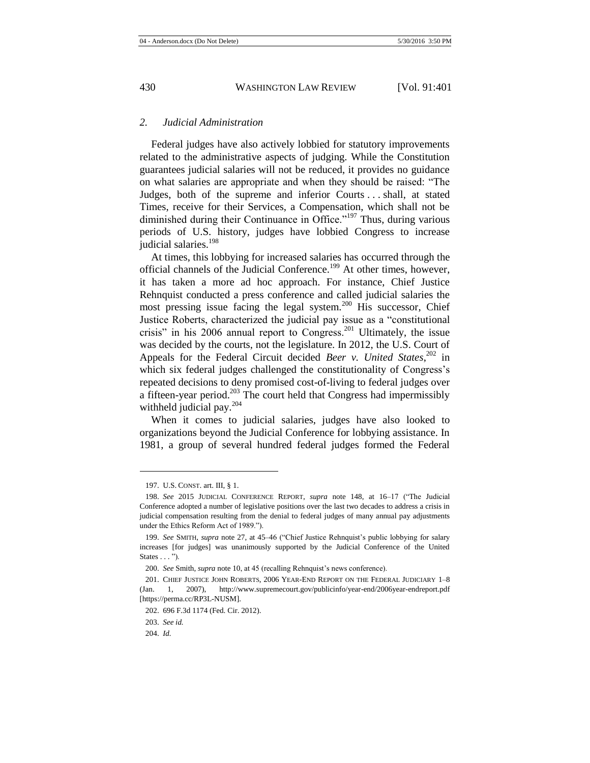## *2. Judicial Administration*

Federal judges have also actively lobbied for statutory improvements related to the administrative aspects of judging. While the Constitution guarantees judicial salaries will not be reduced, it provides no guidance on what salaries are appropriate and when they should be raised: "The Judges, both of the supreme and inferior Courts . . . shall, at stated Times, receive for their Services, a Compensation, which shall not be diminished during their Continuance in Office."<sup>197</sup> Thus, during various periods of U.S. history, judges have lobbied Congress to increase judicial salaries.<sup>198</sup>

At times, this lobbying for increased salaries has occurred through the official channels of the Judicial Conference.<sup>199</sup> At other times, however, it has taken a more ad hoc approach. For instance, Chief Justice Rehnquist conducted a press conference and called judicial salaries the most pressing issue facing the legal system.<sup>200</sup> His successor, Chief Justice Roberts, characterized the judicial pay issue as a "constitutional crisis" in his  $2006$  annual report to Congress.<sup>201</sup> Ultimately, the issue was decided by the courts, not the legislature. In 2012, the U.S. Court of Appeals for the Federal Circuit decided *Beer v. United States*,<sup>202</sup> in which six federal judges challenged the constitutionality of Congress's repeated decisions to deny promised cost-of-living to federal judges over a fifteen-year period.<sup>203</sup> The court held that Congress had impermissibly withheld judicial pay.<sup>204</sup>

When it comes to judicial salaries, judges have also looked to organizations beyond the Judicial Conference for lobbying assistance. In 1981, a group of several hundred federal judges formed the Federal

<sup>197.</sup> U.S. CONST. art. III, § 1.

<sup>198.</sup> *See* 2015 JUDICIAL CONFERENCE REPORT, *supra* note [148,](#page-23-0) at 16–17 ("The Judicial Conference adopted a number of legislative positions over the last two decades to address a crisis in judicial compensation resulting from the denial to federal judges of many annual pay adjustments under the Ethics Reform Act of 1989.").

<sup>199.</sup> *See* SMITH, *supra* note [27,](#page-6-1) at 45–46 ("Chief Justice Rehnquist's public lobbying for salary increases [for judges] was unanimously supported by the Judicial Conference of the United States . . . ").

<sup>200.</sup> *See* Smith, *supra* not[e 10,](#page-3-1) at 45 (recalling Rehnquist's news conference).

<sup>201.</sup> CHIEF JUSTICE JOHN ROBERTS, 2006 YEAR-END REPORT ON THE FEDERAL JUDICIARY 1–8 (Jan. 1, 2007), http://www.supremecourt.gov/publicinfo/year-end/2006year-endreport.pdf [https://perma.cc/RP3L-NUSM].

<sup>202.</sup> 696 F.3d 1174 (Fed. Cir. 2012).

<sup>203.</sup> *See id.*

<sup>204.</sup> *Id.*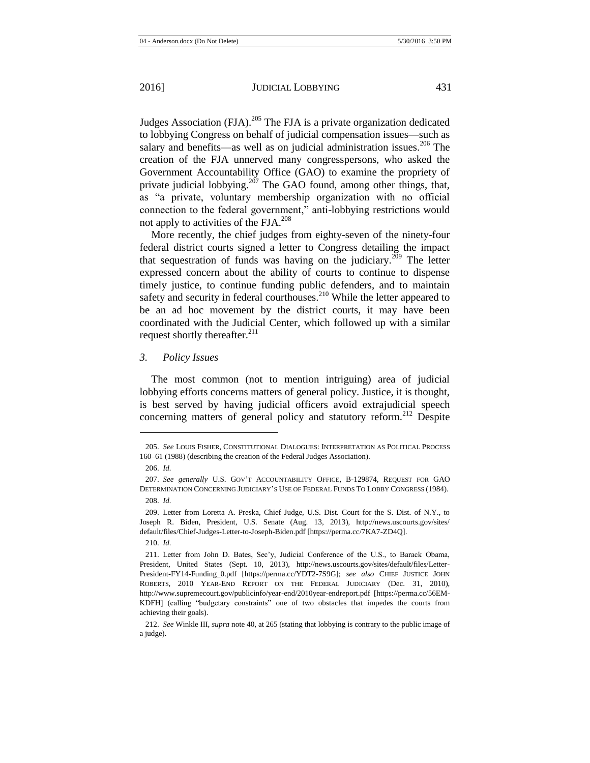Judges Association (FJA).<sup>205</sup> The FJA is a private organization dedicated to lobbying Congress on behalf of judicial compensation issues—such as salary and benefits—as well as on judicial administration issues.<sup>206</sup> The creation of the FJA unnerved many congresspersons, who asked the Government Accountability Office (GAO) to examine the propriety of private judicial lobbying.<sup>207</sup> The GAO found, among other things, that, as "a private, voluntary membership organization with no official connection to the federal government," anti-lobbying restrictions would not apply to activities of the FJA. 208

More recently, the chief judges from eighty-seven of the ninety-four federal district courts signed a letter to Congress detailing the impact that sequestration of funds was having on the judiciary.<sup>209</sup> The letter expressed concern about the ability of courts to continue to dispense timely justice, to continue funding public defenders, and to maintain safety and security in federal courthouses.<sup>210</sup> While the letter appeared to be an ad hoc movement by the district courts, it may have been coordinated with the Judicial Center, which followed up with a similar request shortly thereafter. $^{211}$ 

## <span id="page-31-0"></span>*3. Policy Issues*

The most common (not to mention intriguing) area of judicial lobbying efforts concerns matters of general policy. Justice, it is thought, is best served by having judicial officers avoid extrajudicial speech concerning matters of general policy and statutory reform.<sup>212</sup> Despite

<sup>205.</sup> *See* LOUIS FISHER, CONSTITUTIONAL DIALOGUES: INTERPRETATION AS POLITICAL PROCESS 160–61 (1988) (describing the creation of the Federal Judges Association).

<sup>206.</sup> *Id.*

<sup>207.</sup> *See generally* U.S. GOV'T ACCOUNTABILITY OFFICE, B-129874, REQUEST FOR GAO DETERMINATION CONCERNING JUDICIARY'S USE OF FEDERAL FUNDS TO LOBBY CONGRESS (1984). 208. *Id.*

<sup>209.</sup> Letter from Loretta A. Preska, Chief Judge, U.S. Dist. Court for the S. Dist. of N.Y., to Joseph R. Biden, President, U.S. Senate (Aug. 13, 2013), http://news.uscourts.gov/sites/ default/files/Chief-Judges-Letter-to-Joseph-Biden.pdf [https://perma.cc/7KA7-ZD4Q].

<sup>210.</sup> *Id.*

<sup>211.</sup> Letter from John D. Bates, Sec'y, Judicial Conference of the U.S., to Barack Obama, President, United States (Sept. 10, 2013), http://news.uscourts.gov/sites/default/files/Letter-President-FY14-Funding\_0.pdf [https://perma.cc/YDT2-7S9G]; *see also* CHIEF JUSTICE JOHN ROBERTS, 2010 YEAR-END REPORT ON THE FEDERAL JUDICIARY (Dec. 31, 2010), http://www.supremecourt.gov/publicinfo/year-end/2010year-endreport.pdf [https://perma.cc/56EM-KDFH] (calling "budgetary constraints" one of two obstacles that impedes the courts from achieving their goals).

<sup>212.</sup> *See* Winkle III, *supra* not[e 40,](#page-8-0) at 265 (stating that lobbying is contrary to the public image of a judge).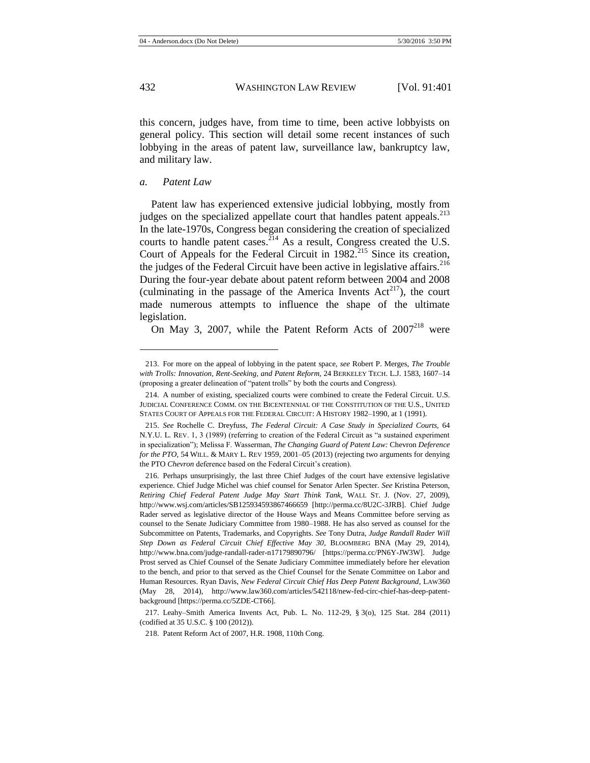this concern, judges have, from time to time, been active lobbyists on general policy. This section will detail some recent instances of such lobbying in the areas of patent law, surveillance law, bankruptcy law, and military law.

#### *a. Patent Law*

Patent law has experienced extensive judicial lobbying, mostly from judges on the specialized appellate court that handles patent appeals.<sup>213</sup> In the late-1970s, Congress began considering the creation of specialized courts to handle patent cases.  $^{214}$  As a result, Congress created the U.S. Court of Appeals for the Federal Circuit in 1982.<sup>215</sup> Since its creation, the judges of the Federal Circuit have been active in legislative affairs.<sup>216</sup> During the four-year debate about patent reform between 2004 and 2008 (culminating in the passage of the America Invents  $Act^{217}$ ), the court made numerous attempts to influence the shape of the ultimate legislation.

<span id="page-32-0"></span>On May 3, 2007, while the Patent Reform Acts of  $2007^{218}$  were

<sup>213.</sup> For more on the appeal of lobbying in the patent space, *see* Robert P. Merges, *The Trouble with Trolls: Innovation, Rent-Seeking, and Patent Reform,* 24 BERKELEY TECH. L.J. 1583, 1607–14 (proposing a greater delineation of "patent trolls" by both the courts and Congress).

<sup>214.</sup> A number of existing, specialized courts were combined to create the Federal Circuit. U.S. JUDICIAL CONFERENCE COMM. ON THE BICENTENNIAL OF THE CONSTITUTION OF THE U.S., UNITED STATES COURT OF APPEALS FOR THE FEDERAL CIRCUIT: A HISTORY 1982–1990, at 1 (1991).

<sup>215.</sup> *See* Rochelle C. Dreyfuss, *The Federal Circuit: A Case Study in Specialized Courts,* 64 N.Y.U. L. REV. 1, 3 (1989) (referring to creation of the Federal Circuit as "a sustained experiment in specialization"); Melissa F. Wasserman, *The Changing Guard of Patent Law:* Chevron *Deference for the PTO*, 54 WILL. & MARY L. REV 1959, 2001–05 (2013) (rejecting two arguments for denying the PTO *Chevron* deference based on the Federal Circuit's creation).

<sup>216.</sup> Perhaps unsurprisingly, the last three Chief Judges of the court have extensive legislative experience. Chief Judge Michel was chief counsel for Senator Arlen Specter. *See* Kristina Peterson, *Retiring Chief Federal Patent Judge May Start Think Tank,* WALL ST. J. (Nov. 27, 2009), http://www.wsj.com/articles/SB125934593867466659 [http://perma.cc/8U2C-3JRB]. Chief Judge Rader served as legislative director of the House Ways and Means Committee before serving as counsel to the Senate Judiciary Committee from 1980–1988. He has also served as counsel for the Subcommittee on Patents, Trademarks, and Copyrights. *See* Tony Dutra, *Judge Randall Rader Will Step Down as Federal Circuit Chief Effective May 30*, BLOOMBERG BNA (May 29, 2014), http://www.bna.com/judge-randall-rader-n17179890796/ [https://perma.cc/PN6Y-JW3W]. Judge Prost served as Chief Counsel of the Senate Judiciary Committee immediately before her elevation to the bench, and prior to that served as the Chief Counsel for the Senate Committee on Labor and Human Resources. Ryan Davis, *New Federal Circuit Chief Has Deep Patent Background*, LAW360 (May 28, 2014), http://www.law360.com/articles/542118/new-fed-circ-chief-has-deep-patentbackground [https://perma.cc/5ZDE-CT66].

<sup>217.</sup> Leahy–Smith America Invents Act, Pub. L. No. 112-29, § 3(o), 125 Stat. 284 (2011) (codified at 35 U.S.C. § 100 (2012)).

<sup>218.</sup> Patent Reform Act of 2007, H.R. 1908, 110th Cong.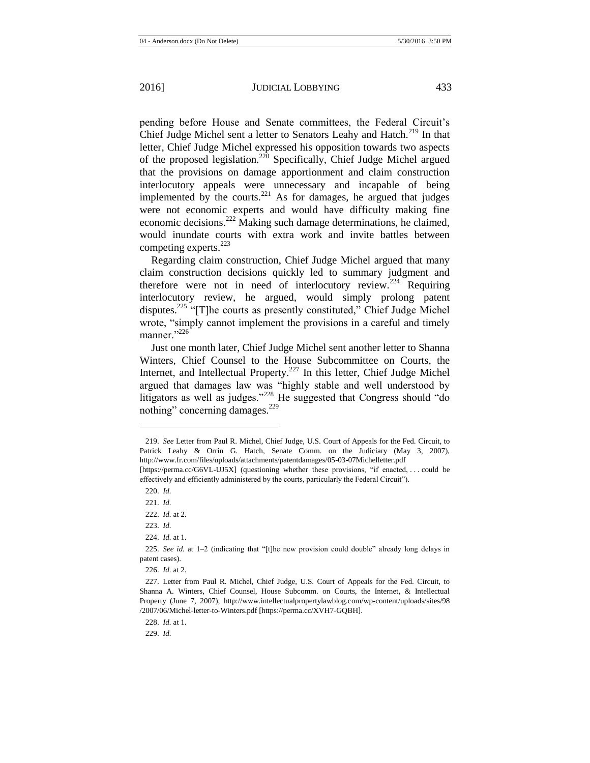<span id="page-33-0"></span>pending before House and Senate committees, the Federal Circuit's Chief Judge Michel sent a letter to Senators Leahy and Hatch.<sup>219</sup> In that letter, Chief Judge Michel expressed his opposition towards two aspects of the proposed legislation.<sup>220</sup> Specifically, Chief Judge Michel argued that the provisions on damage apportionment and claim construction interlocutory appeals were unnecessary and incapable of being implemented by the courts. $^{221}$  As for damages, he argued that judges were not economic experts and would have difficulty making fine economic decisions.<sup>222</sup> Making such damage determinations, he claimed, would inundate courts with extra work and invite battles between competing experts. $^{223}$ 

Regarding claim construction, Chief Judge Michel argued that many claim construction decisions quickly led to summary judgment and therefore were not in need of interlocutory review.<sup>224</sup> Requiring interlocutory review, he argued, would simply prolong patent disputes.<sup>225</sup> "[T]he courts as presently constituted," Chief Judge Michel wrote, "simply cannot implement the provisions in a careful and timely manner."<sup>226</sup>

<span id="page-33-1"></span>Just one month later, Chief Judge Michel sent another letter to Shanna Winters, Chief Counsel to the House Subcommittee on Courts, the Internet, and Intellectual Property.<sup>227</sup> In this letter, Chief Judge Michel argued that damages law was "highly stable and well understood by litigators as well as judges."<sup>228</sup> He suggested that Congress should "do nothing" concerning damages.<sup>229</sup>

 $\overline{\phantom{a}}$ 

226. *Id.* at 2.

229. *Id.*

<sup>219.</sup> *See* Letter from Paul R. Michel, Chief Judge, U.S. Court of Appeals for the Fed. Circuit, to Patrick Leahy & Orrin G. Hatch, Senate Comm. on the Judiciary (May 3, 2007), http://www.fr.com/files/uploads/attachments/patentdamages/05-03-07Michelletter.pdf

<sup>[</sup>https://perma.cc/G6VL-UJ5X] (questioning whether these provisions, "if enacted, . . . could be effectively and efficiently administered by the courts, particularly the Federal Circuit").

<sup>220.</sup> *Id.*

<sup>221.</sup> *Id.*

<sup>222.</sup> *Id.* at 2.

<sup>223.</sup> *Id.*

<sup>224.</sup> *Id.* at 1.

<sup>225.</sup> *See id.* at 1–2 (indicating that "[t]he new provision could double" already long delays in patent cases).

<sup>227.</sup> Letter from Paul R. Michel, Chief Judge, U.S. Court of Appeals for the Fed. Circuit, to Shanna A. Winters, Chief Counsel, House Subcomm. on Courts, the Internet, & Intellectual Property (June 7, 2007), http://www.intellectualpropertylawblog.com/wp-content/uploads/sites/98 /2007/06/Michel-letter-to-Winters.pdf [https://perma.cc/XVH7-GQBH].

<sup>228.</sup> *Id.* at 1.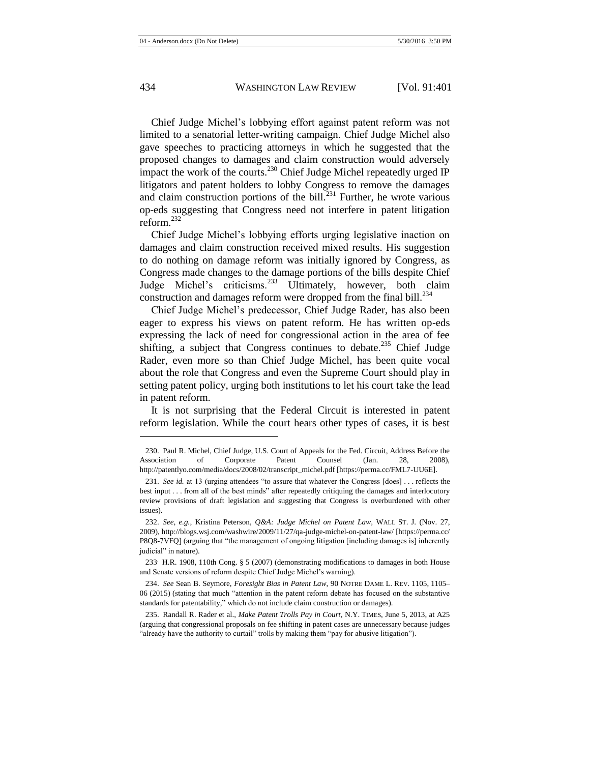Chief Judge Michel's lobbying effort against patent reform was not limited to a senatorial letter-writing campaign. Chief Judge Michel also gave speeches to practicing attorneys in which he suggested that the proposed changes to damages and claim construction would adversely impact the work of the courts.<sup>230</sup> Chief Judge Michel repeatedly urged IP litigators and patent holders to lobby Congress to remove the damages and claim construction portions of the bill.<sup>231</sup> Further, he wrote various op-eds suggesting that Congress need not interfere in patent litigation reform.<sup>232</sup>

Chief Judge Michel's lobbying efforts urging legislative inaction on damages and claim construction received mixed results. His suggestion to do nothing on damage reform was initially ignored by Congress, as Congress made changes to the damage portions of the bills despite Chief Judge Michel's criticisms.<sup>233</sup> Ultimately, however, both claim construction and damages reform were dropped from the final bill. $^{234}$ 

Chief Judge Michel's predecessor, Chief Judge Rader, has also been eager to express his views on patent reform. He has written op-eds expressing the lack of need for congressional action in the area of fee shifting, a subject that Congress continues to debate.<sup>235</sup> Chief Judge Rader, even more so than Chief Judge Michel, has been quite vocal about the role that Congress and even the Supreme Court should play in setting patent policy, urging both institutions to let his court take the lead in patent reform.

It is not surprising that the Federal Circuit is interested in patent reform legislation. While the court hears other types of cases, it is best

233. H.R. 1908, 110th Cong. § 5 (2007) (demonstrating modifications to damages in both House and Senate versions of reform despite Chief Judge Michel's warning).

234. *See* Sean B. Seymore, *Foresight Bias in Patent Law*, 90 NOTRE DAME L. REV. 1105, 1105– 06 (2015) (stating that much "attention in the patent reform debate has focused on the substantive standards for patentability," which do not include claim construction or damages).

<sup>230.</sup> Paul R. Michel, Chief Judge, U.S. Court of Appeals for the Fed. Circuit, Address Before the Association of Corporate Patent Counsel (Jan. 28, 2008), http://patentlyo.com/media/docs/2008/02/transcript\_michel.pdf [https://perma.cc/FML7-UU6E].

<sup>231.</sup> *See id.* at 13 (urging attendees "to assure that whatever the Congress [does] . . . reflects the best input . . . from all of the best minds" after repeatedly critiquing the damages and interlocutory review provisions of draft legislation and suggesting that Congress is overburdened with other issues).

<sup>232.</sup> *See, e.g.*, Kristina Peterson, *Q&A: Judge Michel on Patent Law*, WALL ST. J. (Nov. 27, 2009), http://blogs.wsj.com/washwire/2009/11/27/qa-judge-michel-on-patent-law/ [https://perma.cc/ P8Q8-7VFQ] (arguing that "the management of ongoing litigation [including damages is] inherently judicial" in nature).

<sup>235.</sup> Randall R. Rader et al., *Make Patent Trolls Pay in Court*, N.Y. TIMES, June 5, 2013, at A25 (arguing that congressional proposals on fee shifting in patent cases are unnecessary because judges "already have the authority to curtail" trolls by making them "pay for abusive litigation").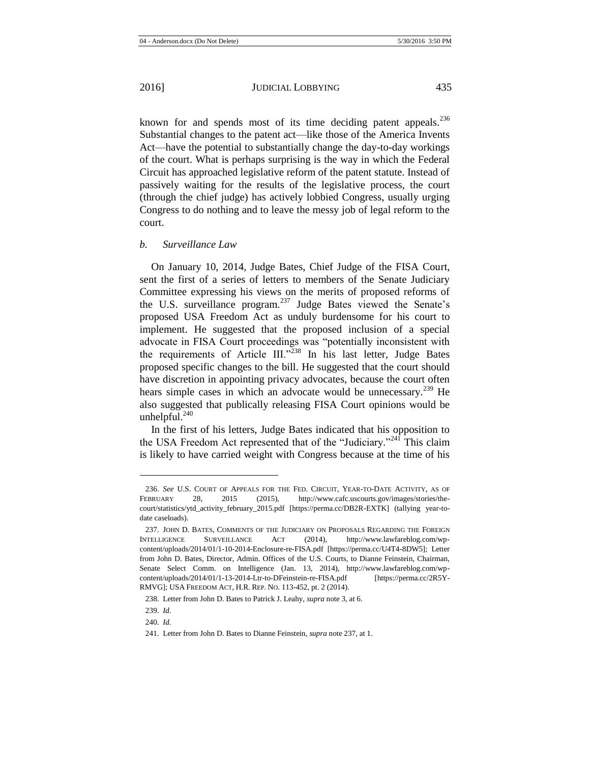known for and spends most of its time deciding patent appeals.<sup>236</sup> Substantial changes to the patent act—like those of the America Invents Act—have the potential to substantially change the day-to-day workings of the court. What is perhaps surprising is the way in which the Federal Circuit has approached legislative reform of the patent statute. Instead of passively waiting for the results of the legislative process, the court (through the chief judge) has actively lobbied Congress, usually urging Congress to do nothing and to leave the messy job of legal reform to the court.

# *b. Surveillance Law*

<span id="page-35-0"></span>On January 10, 2014, Judge Bates, Chief Judge of the FISA Court, sent the first of a series of letters to members of the Senate Judiciary Committee expressing his views on the merits of proposed reforms of the U.S. surveillance program.<sup>237</sup> Judge Bates viewed the Senate's proposed USA Freedom Act as unduly burdensome for his court to implement. He suggested that the proposed inclusion of a special advocate in FISA Court proceedings was "potentially inconsistent with the requirements of Article III."<sup>238</sup> In his last letter, Judge Bates proposed specific changes to the bill. He suggested that the court should have discretion in appointing privacy advocates, because the court often hears simple cases in which an advocate would be unnecessary.<sup>239</sup> He also suggested that publically releasing FISA Court opinions would be unhelpful. $^{240}$ 

In the first of his letters, Judge Bates indicated that his opposition to the USA Freedom Act represented that of the "Judiciary."<sup>241</sup> This claim is likely to have carried weight with Congress because at the time of his

<sup>236.</sup> *See* U.S. COURT OF APPEALS FOR THE FED. CIRCUIT, YEAR-TO-DATE ACTIVITY, AS OF FEBRUARY 28, 2015 (2015), http://www.cafc.uscourts.gov/images/stories/thecourt/statistics/ytd\_activity\_february\_2015.pdf [https://perma.cc/DB2R-EXTK] (tallying year-todate caseloads).

<sup>237.</sup> JOHN D. BATES, COMMENTS OF THE JUDICIARY ON PROPOSALS REGARDING THE FOREIGN INTELLIGENCE SURVEILLANCE ACT (2014), http://www.lawfareblog.com/wpcontent/uploads/2014/01/1-10-2014-Enclosure-re-FISA.pdf [https://perma.cc/U4T4-8DW5]; Letter from John D. Bates, Director, Admin. Offices of the U.S. Courts, to Dianne Feinstein, Chairman, Senate Select Comm. on Intelligence (Jan. 13, 2014), http://www.lawfareblog.com/wpcontent/uploads/2014/01/1-13-2014-Ltr-to-DFeinstein-re-FISA.pdf [https://perma.cc/2R5Y-RMVG]; USA FREEDOM ACT, H.R. REP. NO. 113-452, pt. 2 (2014).

<sup>238.</sup> Letter from John D. Bates to Patrick J. Leahy, *supra* not[e 3,](#page-2-1) at 6.

<sup>239.</sup> *Id.*

<sup>240.</sup> *Id.*

<sup>241.</sup> Letter from John D. Bates to Dianne Feinstein, *supra* not[e 237,](#page-35-0) a[t 1.](#page-2-0)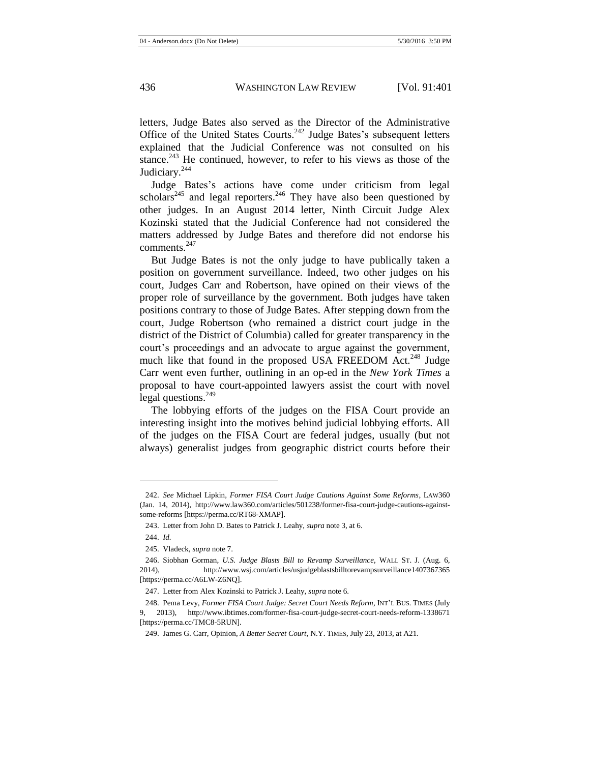letters, Judge Bates also served as the Director of the Administrative Office of the United States Courts.<sup>242</sup> Judge Bates's subsequent letters explained that the Judicial Conference was not consulted on his stance.<sup>243</sup> He continued, however, to refer to his views as those of the Judiciary.<sup>244</sup>

Judge Bates's actions have come under criticism from legal scholars<sup>245</sup> and legal reporters.<sup>246</sup> They have also been questioned by other judges. In an August 2014 letter, Ninth Circuit Judge Alex Kozinski stated that the Judicial Conference had not considered the matters addressed by Judge Bates and therefore did not endorse his comments $^{247}$ 

But Judge Bates is not the only judge to have publically taken a position on government surveillance. Indeed, two other judges on his court, Judges Carr and Robertson, have opined on their views of the proper role of surveillance by the government. Both judges have taken positions contrary to those of Judge Bates. After stepping down from the court, Judge Robertson (who remained a district court judge in the district of the District of Columbia) called for greater transparency in the court's proceedings and an advocate to argue against the government, much like that found in the proposed USA FREEDOM Act.<sup>248</sup> Judge Carr went even further, outlining in an op-ed in the *New York Times* a proposal to have court-appointed lawyers assist the court with novel legal questions. $^{249}$ 

<span id="page-36-1"></span><span id="page-36-0"></span>The lobbying efforts of the judges on the FISA Court provide an interesting insight into the motives behind judicial lobbying efforts. All of the judges on the FISA Court are federal judges, usually (but not always) generalist judges from geographic district courts before their

<sup>242.</sup> *See* Michael Lipkin, *Former FISA Court Judge Cautions Against Some Reforms*, LAW360 (Jan. 14, 2014), http://www.law360.com/articles/501238/former-fisa-court-judge-cautions-againstsome-reforms [https://perma.cc/RT68-XMAP].

<sup>243.</sup> Letter from John D. Bates to Patrick J. Leahy, *supra* not[e 3,](#page-2-1) at 6.

<sup>244.</sup> *Id.*

<sup>245.</sup> Vladeck, *supra* not[e 7.](#page-3-2)

<sup>246.</sup> Siobhan Gorman, *U.S. Judge Blasts Bill to Revamp Surveillance*, WALL ST. J. (Aug. 6, 2014), http://www.wsj.com/articles/usjudgeblastsbilltorevampsurveillance1407367365 [https://perma.cc/A6LW-Z6NQ].

<sup>247.</sup> Letter from Alex Kozinski to Patrick J. Leahy, *supra* not[e 6.](#page-3-3)

<sup>248.</sup> Pema Levy, *Former FISA Court Judge: Secret Court Needs Reform*, INT'L BUS. TIMES (July 9, 2013), http://www.ibtimes.com/former-fisa-court-judge-secret-court-needs-reform-1338671 [https://perma.cc/TMC8-5RUN].

<sup>249.</sup> James G. Carr, Opinion, *A Better Secret Court*, N.Y. TIMES, July 23, 2013, at A21.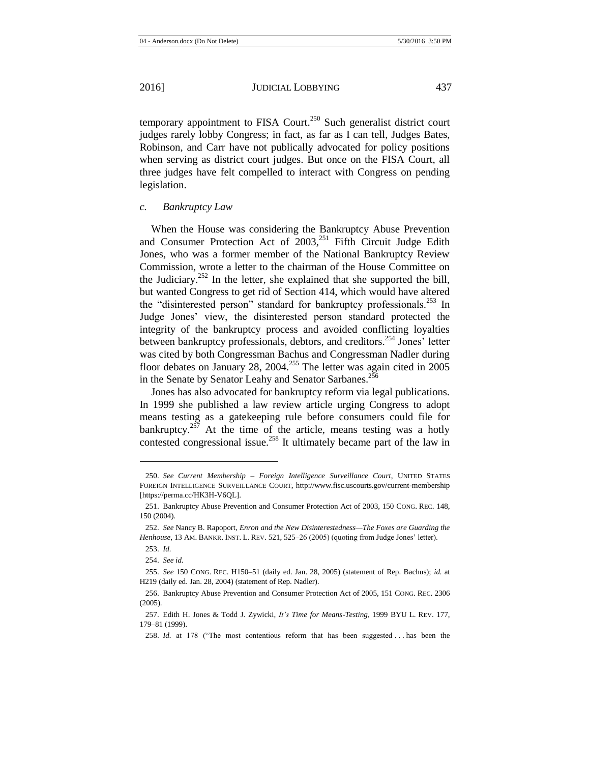temporary appointment to FISA Court.<sup>250</sup> Such generalist district court judges rarely lobby Congress; in fact, as far as I can tell, Judges Bates, Robinson, and Carr have not publically advocated for policy positions when serving as district court judges. But once on the FISA Court, all three judges have felt compelled to interact with Congress on pending legislation.

# *c. Bankruptcy Law*

When the House was considering the Bankruptcy Abuse Prevention and Consumer Protection Act of  $2003$ ,<sup>251</sup> Fifth Circuit Judge Edith Jones, who was a former member of the National Bankruptcy Review Commission, wrote a letter to the chairman of the House Committee on the Judiciary.<sup>252</sup> In the letter, she explained that she supported the bill, but wanted Congress to get rid of Section 414, which would have altered the "disinterested person" standard for bankruptcy professionals.<sup>253</sup> In Judge Jones' view, the disinterested person standard protected the integrity of the bankruptcy process and avoided conflicting loyalties between bankruptcy professionals, debtors, and creditors.<sup>254</sup> Jones' letter was cited by both Congressman Bachus and Congressman Nadler during floor debates on January 28, 2004.<sup>255</sup> The letter was again cited in  $2005$ in the Senate by Senator Leahy and Senator Sarbanes.<sup>256</sup>

Jones has also advocated for bankruptcy reform via legal publications. In 1999 she published a law review article urging Congress to adopt means testing as a gatekeeping rule before consumers could file for bankruptcy.<sup>257</sup> At the time of the article, means testing was a hotly contested congressional issue.<sup>258</sup> It ultimately became part of the law in

<sup>250.</sup> *See Current Membership – Foreign Intelligence Surveillance Court*, UNITED STATES FOREIGN INTELLIGENCE SURVEILLANCE COURT, http://www.fisc.uscourts.gov/current-membership [https://perma.cc/HK3H-V6QL].

<sup>251.</sup> Bankruptcy Abuse Prevention and Consumer Protection Act of 2003, 150 CONG. REC. 148, 150 (2004).

<sup>252.</sup> *See* Nancy B. Rapoport, *Enron and the New Disinterestedness—The Foxes are Guarding the Henhouse*, 13 AM. BANKR. INST. L. REV. 521, 525–26 (2005) (quoting from Judge Jones' letter).

<sup>253.</sup> *Id.*

<sup>254.</sup> *See id.*

<sup>255.</sup> *See* 150 CONG. REC. H150–51 (daily ed. Jan. 28, 2005) (statement of Rep. Bachus); *id.* at H219 (daily ed. Jan. 28, 2004) (statement of Rep. Nadler).

<sup>256.</sup> Bankruptcy Abuse Prevention and Consumer Protection Act of 2005, 151 CONG. REC. 2306 (2005).

<sup>257.</sup> Edith H. Jones & Todd J. Zywicki, *It's Time for Means-Testing*, 1999 BYU L. REV. 177, 179–81 (1999).

<sup>258.</sup> *Id.* at 178 ("The most contentious reform that has been suggested . . . has been the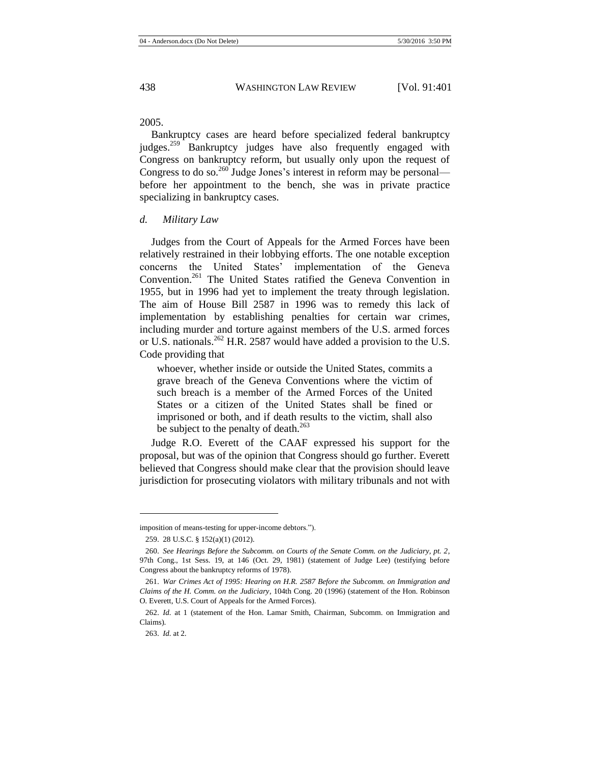2005.

Bankruptcy cases are heard before specialized federal bankruptcy judges.<sup>259</sup> Bankruptcy judges have also frequently engaged with Congress on bankruptcy reform, but usually only upon the request of Congress to do so.<sup>260</sup> Judge Jones's interest in reform may be personal before her appointment to the bench, she was in private practice specializing in bankruptcy cases.

*d. Military Law*

<span id="page-38-0"></span>Judges from the Court of Appeals for the Armed Forces have been relatively restrained in their lobbying efforts. The one notable exception concerns the United States' implementation of the Geneva Convention.<sup>261</sup> The United States ratified the Geneva Convention in 1955, but in 1996 had yet to implement the treaty through legislation. The aim of House Bill 2587 in 1996 was to remedy this lack of implementation by establishing penalties for certain war crimes, including murder and torture against members of the U.S. armed forces or U.S. nationals.<sup>262</sup> H.R. 2587 would have added a provision to the U.S. Code providing that

whoever, whether inside or outside the United States, commits a grave breach of the Geneva Conventions where the victim of such breach is a member of the Armed Forces of the United States or a citizen of the United States shall be fined or imprisoned or both, and if death results to the victim, shall also be subject to the penalty of death.<sup>263</sup>

Judge R.O. Everett of the CAAF expressed his support for the proposal, but was of the opinion that Congress should go further. Everett believed that Congress should make clear that the provision should leave jurisdiction for prosecuting violators with military tribunals and not with

imposition of means-testing for upper-income debtors.").

<sup>259.</sup> 28 U.S.C. § 152(a)(1) (2012).

<sup>260.</sup> *See Hearings Before the Subcomm. on Courts of the Senate Comm. on the Judiciary, pt. 2*, 97th Cong., 1st Sess. 19, at 146 (Oct. 29, 1981) (statement of Judge Lee) (testifying before Congress about the bankruptcy reforms of 1978).

<sup>261.</sup> *War Crimes Act of 1995: Hearing on H.R. 2587 Before the Subcomm. on Immigration and Claims of the H. Comm. on the Judiciary*, 104th Cong. 20 (1996) (statement of the Hon. Robinson O. Everett, U.S. Court of Appeals for the Armed Forces).

<sup>262.</sup> *Id.* at 1 (statement of the Hon. Lamar Smith, Chairman, Subcomm. on Immigration and Claims).

<sup>263.</sup> *Id.* at 2.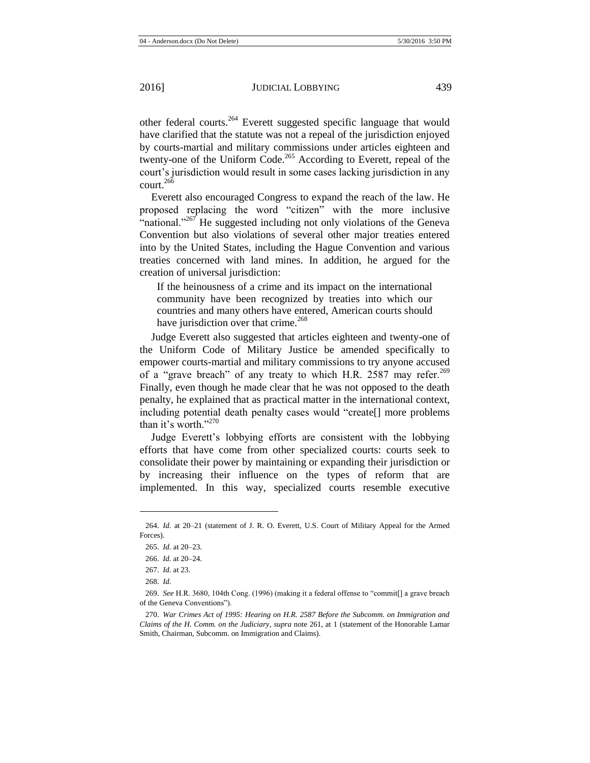other federal courts.<sup>264</sup> Everett suggested specific language that would have clarified that the statute was not a repeal of the jurisdiction enjoyed by courts-martial and military commissions under articles eighteen and twenty-one of the Uniform Code.<sup>265</sup> According to Everett, repeal of the court's jurisdiction would result in some cases lacking jurisdiction in any court. $266$ 

Everett also encouraged Congress to expand the reach of the law. He proposed replacing the word "citizen" with the more inclusive "national."<sup>267</sup> He suggested including not only violations of the Geneva Convention but also violations of several other major treaties entered into by the United States, including the Hague Convention and various treaties concerned with land mines. In addition, he argued for the creation of universal jurisdiction:

If the heinousness of a crime and its impact on the international community have been recognized by treaties into which our countries and many others have entered, American courts should have jurisdiction over that crime.<sup>268</sup>

Judge Everett also suggested that articles eighteen and twenty-one of the Uniform Code of Military Justice be amended specifically to empower courts-martial and military commissions to try anyone accused of a "grave breach" of any treaty to which H.R. 2587 may refer.<sup>269</sup> Finally, even though he made clear that he was not opposed to the death penalty, he explained that as practical matter in the international context, including potential death penalty cases would "create[] more problems than it's worth."270

Judge Everett's lobbying efforts are consistent with the lobbying efforts that have come from other specialized courts: courts seek to consolidate their power by maintaining or expanding their jurisdiction or by increasing their influence on the types of reform that are implemented. In this way, specialized courts resemble executive

<sup>264.</sup> *Id.* at 20–21 (statement of J. R. O. Everett, U.S. Court of Military Appeal for the Armed Forces).

<sup>265.</sup> *Id.* at 20–23.

<sup>266.</sup> *Id.* at 20–24.

<sup>267.</sup> *Id.* at 23.

<sup>268.</sup> *Id.*

<sup>269.</sup> *See* H.R. 3680, 104th Cong. (1996) (making it a federal offense to "commit[] a grave breach of the Geneva Conventions").

<sup>270.</sup> *War Crimes Act of 1995: Hearing on H.R. 2587 Before the Subcomm. on Immigration and Claims of the H. Comm. on the Judiciary*, *supra* note [261,](#page-38-0) at 1 (statement of the Honorable Lamar Smith, Chairman, Subcomm. on Immigration and Claims).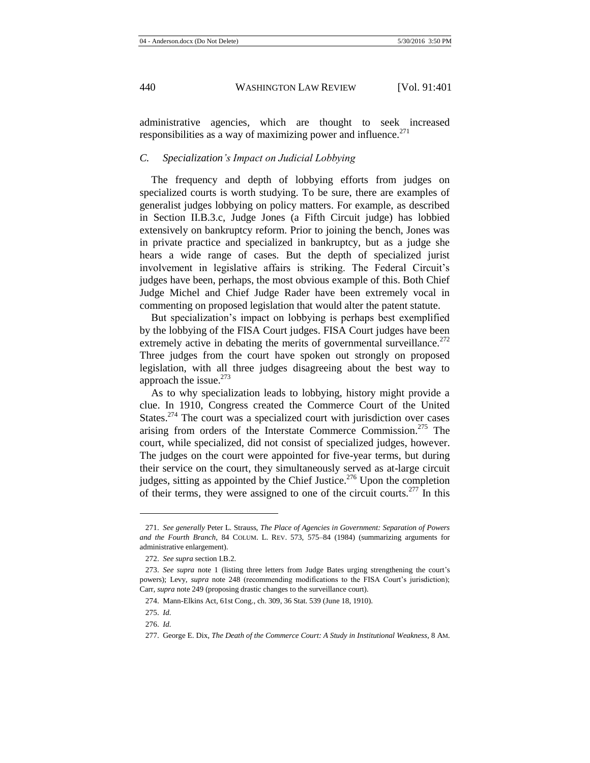administrative agencies, which are thought to seek increased responsibilities as a way of maximizing power and influence. $271$ 

## *C. Specialization's Impact on Judicial Lobbying*

The frequency and depth of lobbying efforts from judges on specialized courts is worth studying. To be sure, there are examples of generalist judges lobbying on policy matters. For example, as described in Section II.B.3.c, Judge Jones (a Fifth Circuit judge) has lobbied extensively on bankruptcy reform. Prior to joining the bench, Jones was in private practice and specialized in bankruptcy, but as a judge she hears a wide range of cases. But the depth of specialized jurist involvement in legislative affairs is striking. The Federal Circuit's judges have been, perhaps, the most obvious example of this. Both Chief Judge Michel and Chief Judge Rader have been extremely vocal in commenting on proposed legislation that would alter the patent statute.

But specialization's impact on lobbying is perhaps best exemplified by the lobbying of the FISA Court judges. FISA Court judges have been extremely active in debating the merits of governmental surveillance.<sup>272</sup> Three judges from the court have spoken out strongly on proposed legislation, with all three judges disagreeing about the best way to approach the issue. $273$ 

As to why specialization leads to lobbying, history might provide a clue. In 1910, Congress created the Commerce Court of the United States.<sup> $274$ </sup> The court was a specialized court with jurisdiction over cases arising from orders of the Interstate Commerce Commission.<sup>275</sup> The court, while specialized, did not consist of specialized judges, however. The judges on the court were appointed for five-year terms, but during their service on the court, they simultaneously served as at-large circuit judges, sitting as appointed by the Chief Justice.<sup>276</sup> Upon the completion of their terms, they were assigned to one of the circuit courts.<sup>277</sup> In this

<sup>271.</sup> *See generally* Peter L. Strauss, *The Place of Agencies in Government: Separation of Powers and the Fourth Branch*, 84 COLUM. L. REV. 573, 575–84 (1984) (summarizing arguments for administrative enlargement).

<sup>272.</sup> *See supra* section I.B.2*.*

<sup>273.</sup> *See supra* note [1](#page-2-0) (listing three letters from Judge Bates urging strengthening the court's powers); Levy, *supra* note [248](#page-36-0) (recommending modifications to the FISA Court's jurisdiction); Carr, *supra* not[e 249](#page-36-1) (proposing drastic changes to the surveillance court).

<sup>274.</sup> Mann-Elkins Act, 61st Cong., ch. 309, 36 Stat. 539 (June 18, 1910).

<sup>275.</sup> *Id.*

<sup>276.</sup> *Id.*

<sup>277.</sup> George E. Dix, *The Death of the Commerce Court: A Study in Institutional Weakness*, 8 AM.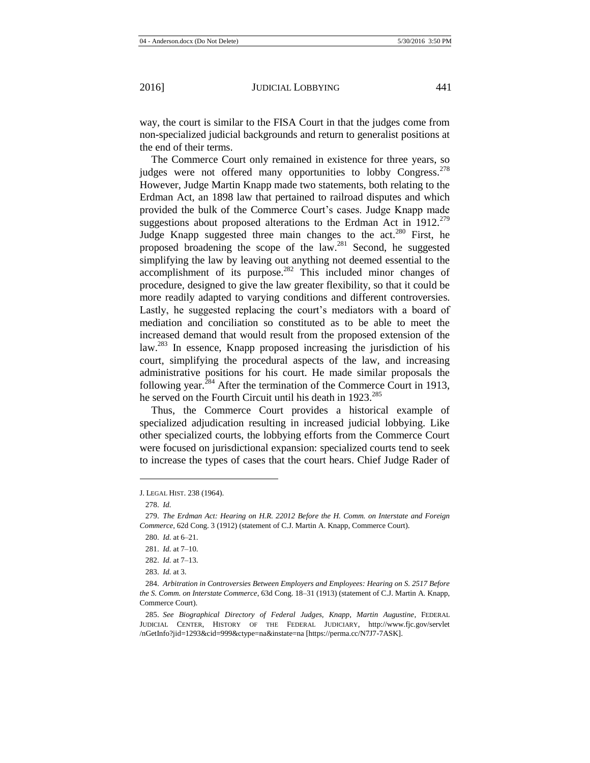way, the court is similar to the FISA Court in that the judges come from non-specialized judicial backgrounds and return to generalist positions at the end of their terms.

The Commerce Court only remained in existence for three years, so judges were not offered many opportunities to lobby Congress.<sup> $278$ </sup> However, Judge Martin Knapp made two statements, both relating to the Erdman Act, an 1898 law that pertained to railroad disputes and which provided the bulk of the Commerce Court's cases. Judge Knapp made suggestions about proposed alterations to the Erdman Act in  $1912^{279}$ Judge Knapp suggested three main changes to the act.<sup>280</sup> First, he proposed broadening the scope of the law.<sup>281</sup> Second, he suggested simplifying the law by leaving out anything not deemed essential to the accomplishment of its purpose.<sup>282</sup> This included minor changes of procedure, designed to give the law greater flexibility, so that it could be more readily adapted to varying conditions and different controversies. Lastly, he suggested replacing the court's mediators with a board of mediation and conciliation so constituted as to be able to meet the increased demand that would result from the proposed extension of the law.<sup>283</sup> In essence, Knapp proposed increasing the jurisdiction of his court, simplifying the procedural aspects of the law, and increasing administrative positions for his court. He made similar proposals the following year. ${}^{284}$  After the termination of the Commerce Court in 1913, he served on the Fourth Circuit until his death in  $1923^{285}$ 

Thus, the Commerce Court provides a historical example of specialized adjudication resulting in increased judicial lobbying. Like other specialized courts, the lobbying efforts from the Commerce Court were focused on jurisdictional expansion: specialized courts tend to seek to increase the types of cases that the court hears. Chief Judge Rader of

J. LEGAL HIST. 238 (1964).

<sup>278.</sup> *Id.*

<sup>279.</sup> *The Erdman Act: Hearing on H.R. 22012 Before the H. Comm. on Interstate and Foreign Commerce*, 62d Cong. 3 (1912) (statement of C.J. Martin A. Knapp, Commerce Court).

<sup>280.</sup> *Id.* at 6–21.

<sup>281.</sup> *Id.* at 7–10.

<sup>282.</sup> *Id.* at 7–13.

<sup>283.</sup> *Id.* at 3.

<sup>284.</sup> *Arbitration in Controversies Between Employers and Employees: Hearing on S. 2517 Before the S. Comm. on Interstate Commerce*, 63d Cong. 18–31 (1913) (statement of C.J. Martin A. Knapp, Commerce Court).

<sup>285.</sup> *See Biographical Directory of Federal Judges, Knapp, Martin Augustine*, FEDERAL JUDICIAL CENTER, HISTORY OF THE FEDERAL JUDICIARY, http://www.fjc.gov/servlet /nGetInfo?jid=1293&cid=999&ctype=na&instate=na [https://perma.cc/N7J7-7ASK].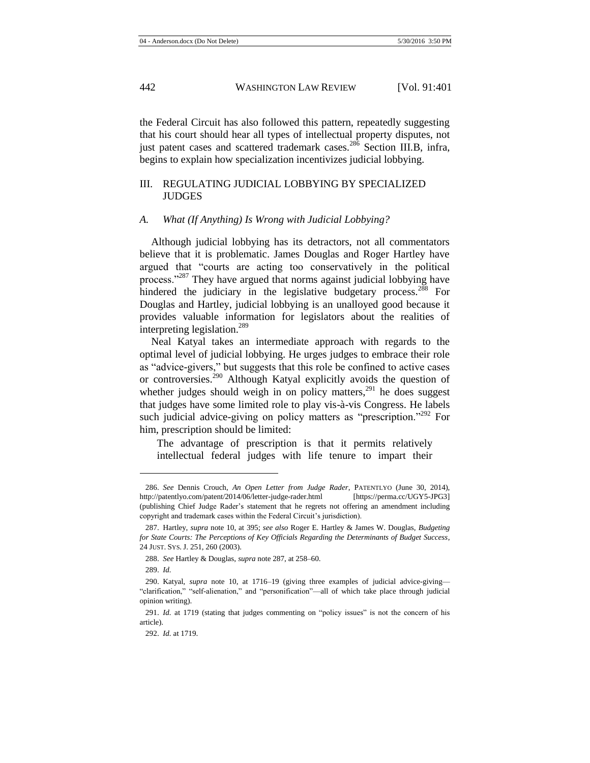the Federal Circuit has also followed this pattern, repeatedly suggesting that his court should hear all types of intellectual property disputes, not just patent cases and scattered trademark cases.<sup>286</sup> Section III.B, infra, begins to explain how specialization incentivizes judicial lobbying.

# III. REGULATING JUDICIAL LOBBYING BY SPECIALIZED JUDGES

#### *A. What (If Anything) Is Wrong with Judicial Lobbying?*

<span id="page-42-0"></span>Although judicial lobbying has its detractors, not all commentators believe that it is problematic. James Douglas and Roger Hartley have argued that "courts are acting too conservatively in the political process."<sup>287</sup> They have argued that norms against judicial lobbying have hindered the judiciary in the legislative budgetary process.<sup>288</sup> For Douglas and Hartley, judicial lobbying is an unalloyed good because it provides valuable information for legislators about the realities of interpreting legislation.<sup>289</sup>

Neal Katyal takes an intermediate approach with regards to the optimal level of judicial lobbying. He urges judges to embrace their role as "advice-givers," but suggests that this role be confined to active cases or controversies.<sup>290</sup> Although Katyal explicitly avoids the question of whether judges should weigh in on policy matters,  $291$  he does suggest that judges have some limited role to play vis-à-vis Congress. He labels such judicial advice-giving on policy matters as "prescription."<sup>292</sup> For him, prescription should be limited:

The advantage of prescription is that it permits relatively intellectual federal judges with life tenure to impart their

<sup>286.</sup> *See* Dennis Crouch, *An Open Letter from Judge Rader*, PATENTLYO (June 30, 2014), http://patentlyo.com/patent/2014/06/letter-judge-rader.html [https://perma.cc/UGY5-JPG3] (publishing Chief Judge Rader's statement that he regrets not offering an amendment including copyright and trademark cases within the Federal Circuit's jurisdiction).

<sup>287.</sup> Hartley, *supra* note [10,](#page-3-1) at 395; *see also* Roger E. Hartley & James W. Douglas, *Budgeting for State Courts: The Perceptions of Key Officials Regarding the Determinants of Budget Success*, 24 JUST. SYS. J. 251, 260 (2003).

<sup>288.</sup> *See* Hartley & Douglas, *supra* not[e 287,](#page-42-0) at 258–60.

<sup>289.</sup> *Id.*

<sup>290.</sup> Katyal, *supra* note [10,](#page-3-1) at 1716–19 (giving three examples of judicial advice-giving— "clarification," "self-alienation," and "personification"—all of which take place through judicial opinion writing).

<sup>291.</sup> *Id.* at 1719 (stating that judges commenting on "policy issues" is not the concern of his article).

<sup>292.</sup> *Id.* at 1719.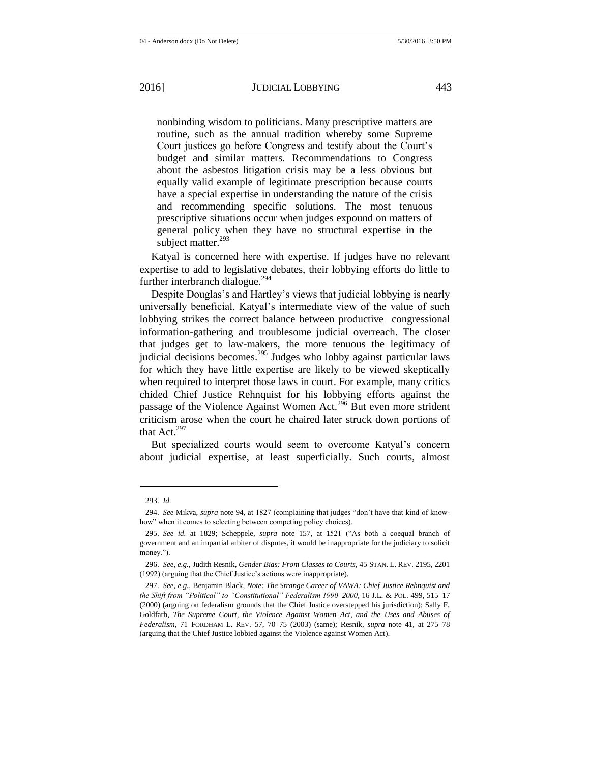nonbinding wisdom to politicians. Many prescriptive matters are routine, such as the annual tradition whereby some Supreme Court justices go before Congress and testify about the Court's budget and similar matters. Recommendations to Congress about the asbestos litigation crisis may be a less obvious but equally valid example of legitimate prescription because courts have a special expertise in understanding the nature of the crisis and recommending specific solutions. The most tenuous prescriptive situations occur when judges expound on matters of general policy when they have no structural expertise in the subject matter.<sup>293</sup>

Katyal is concerned here with expertise. If judges have no relevant expertise to add to legislative debates, their lobbying efforts do little to further interbranch dialogue. $^{294}$ 

Despite Douglas's and Hartley's views that judicial lobbying is nearly universally beneficial, Katyal's intermediate view of the value of such lobbying strikes the correct balance between productive congressional information-gathering and troublesome judicial overreach. The closer that judges get to law-makers, the more tenuous the legitimacy of judicial decisions becomes.<sup>295</sup> Judges who lobby against particular laws for which they have little expertise are likely to be viewed skeptically when required to interpret those laws in court. For example, many critics chided Chief Justice Rehnquist for his lobbying efforts against the passage of the Violence Against Women Act.<sup>296</sup> But even more strident criticism arose when the court he chaired later struck down portions of that Act. $297$ 

<span id="page-43-0"></span>But specialized courts would seem to overcome Katyal's concern about judicial expertise, at least superficially. Such courts, almost

<sup>293.</sup> *Id.*

<sup>294.</sup> *See* Mikva, *supra* not[e 94,](#page-17-0) at 1827 (complaining that judges "don't have that kind of knowhow" when it comes to selecting between competing policy choices).

<sup>295.</sup> *See id.* at 1829; Scheppele, *supra* note [157,](#page-24-0) at 1521 ("As both a coequal branch of government and an impartial arbiter of disputes, it would be inappropriate for the judiciary to solicit money.").

<sup>296.</sup> *See, e.g.*, Judith Resnik, *Gender Bias: From Classes to Courts*, 45 STAN. L. REV. 2195, 2201 (1992) (arguing that the Chief Justice's actions were inappropriate).

<sup>297.</sup> *See, e.g.*, Benjamin Black, *Note: The Strange Career of VAWA: Chief Justice Rehnquist and the Shift from "Political" to "Constitutional" Federalism 1990–2000*, 16 J.L. & POL. 499, 515–17 (2000) (arguing on federalism grounds that the Chief Justice overstepped his jurisdiction); Sally F. Goldfarb, *The Supreme Court, the Violence Against Women Act, and the Uses and Abuses of Federalism*, 71 FORDHAM L. REV. 57, 70–75 (2003) (same); Resnik, *supra* note [41,](#page-9-1) at 275–78 (arguing that the Chief Justice lobbied against the Violence against Women Act).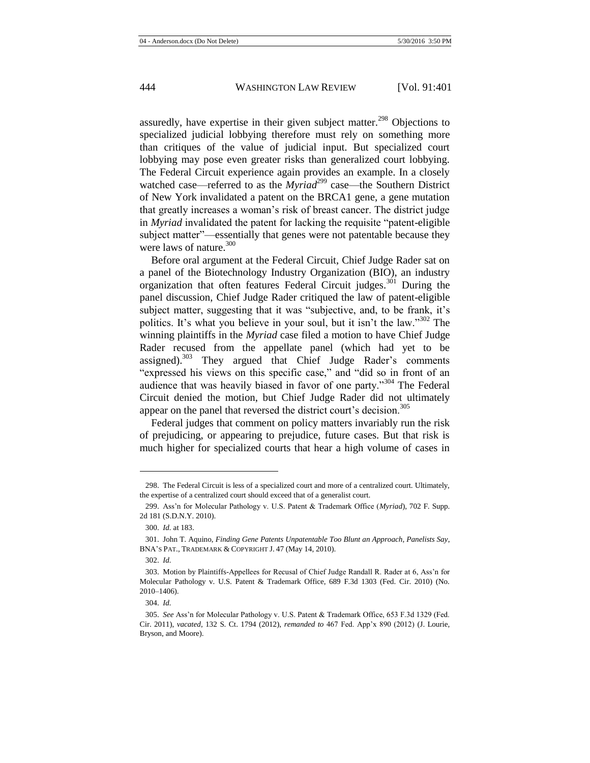assuredly, have expertise in their given subject matter.<sup>298</sup> Objections to specialized judicial lobbying therefore must rely on something more than critiques of the value of judicial input. But specialized court lobbying may pose even greater risks than generalized court lobbying. The Federal Circuit experience again provides an example. In a closely watched case—referred to as the *Myriad*<sup>299</sup> case—the Southern District of New York invalidated a patent on the BRCA1 gene, a gene mutation that greatly increases a woman's risk of breast cancer. The district judge in *Myriad* invalidated the patent for lacking the requisite "patent-eligible subject matter"—essentially that genes were not patentable because they were laws of nature. $300$ 

Before oral argument at the Federal Circuit, Chief Judge Rader sat on a panel of the Biotechnology Industry Organization (BIO), an industry organization that often features Federal Circuit judges.<sup>301</sup> During the panel discussion, Chief Judge Rader critiqued the law of patent-eligible subject matter, suggesting that it was "subjective, and, to be frank, it's politics. It's what you believe in your soul, but it isn't the law."<sup>302</sup> The winning plaintiffs in the *Myriad* case filed a motion to have Chief Judge Rader recused from the appellate panel (which had yet to be assigned).<sup>303</sup> They argued that Chief Judge Rader's comments "expressed his views on this specific case," and "did so in front of an audience that was heavily biased in favor of one party."<sup>304</sup> The Federal Circuit denied the motion, but Chief Judge Rader did not ultimately appear on the panel that reversed the district court's decision.<sup>305</sup>

Federal judges that comment on policy matters invariably run the risk of prejudicing, or appearing to prejudice, future cases. But that risk is much higher for specialized courts that hear a high volume of cases in

<sup>298.</sup> The Federal Circuit is less of a specialized court and more of a centralized court. Ultimately, the expertise of a centralized court should exceed that of a generalist court.

<sup>299.</sup> Ass'n for Molecular Pathology v. U.S. Patent & Trademark Office (*Myriad*), 702 F. Supp. 2d 181 (S.D.N.Y. 2010).

<sup>300.</sup> *Id.* at 183.

<sup>301.</sup> John T. Aquino, *Finding Gene Patents Unpatentable Too Blunt an Approach, Panelists Say*, BNA'S PAT., TRADEMARK & COPYRIGHT J. 47 (May 14, 2010).

<sup>302.</sup> *Id.*

<sup>303.</sup> Motion by Plaintiffs-Appellees for Recusal of Chief Judge Randall R. Rader at 6, Ass'n for Molecular Pathology v. U.S. Patent & Trademark Office, 689 F.3d 1303 (Fed. Cir. 2010) (No. 2010–1406).

<sup>304.</sup> *Id.*

<sup>305.</sup> *See* Ass'n for Molecular Pathology v. U.S. Patent & Trademark Office, 653 F.3d 1329 (Fed. Cir. 2011), *vacated*, 132 S. Ct. 1794 (2012), *remanded to* 467 Fed. App'x 890 (2012) (J. Lourie, Bryson, and Moore).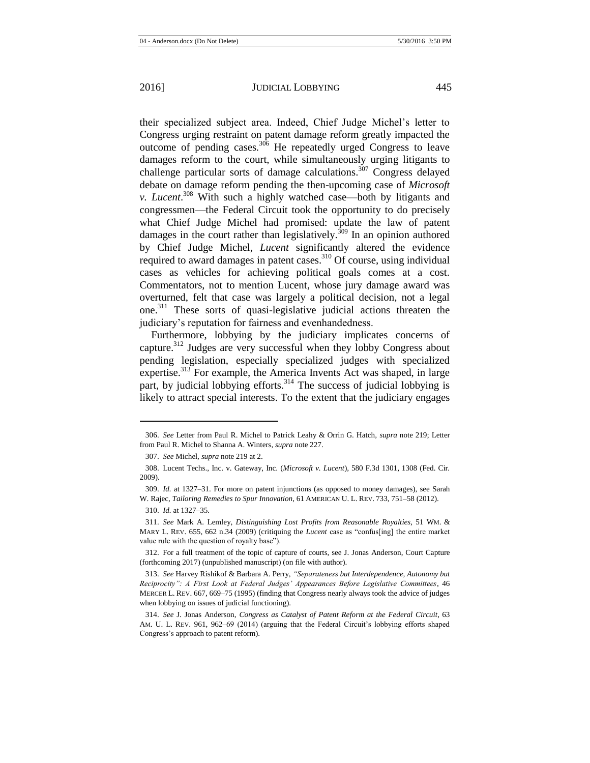their specialized subject area. Indeed, Chief Judge Michel's letter to Congress urging restraint on patent damage reform greatly impacted the outcome of pending cases.<sup>306</sup> He repeatedly urged Congress to leave damages reform to the court, while simultaneously urging litigants to challenge particular sorts of damage calculations.<sup>307</sup> Congress delayed debate on damage reform pending the then-upcoming case of *Microsoft v. Lucent*. <sup>308</sup> With such a highly watched case—both by litigants and congressmen—the Federal Circuit took the opportunity to do precisely what Chief Judge Michel had promised: update the law of patent damages in the court rather than legislatively.<sup>309</sup> In an opinion authored by Chief Judge Michel, *Lucent* significantly altered the evidence required to award damages in patent cases.<sup>310</sup> Of course, using individual cases as vehicles for achieving political goals comes at a cost. Commentators, not to mention Lucent, whose jury damage award was overturned, felt that case was largely a political decision, not a legal one.<sup>311</sup> These sorts of quasi-legislative judicial actions threaten the judiciary's reputation for fairness and evenhandedness.

<span id="page-45-1"></span><span id="page-45-0"></span>Furthermore, lobbying by the judiciary implicates concerns of capture.<sup>312</sup> Judges are very successful when they lobby Congress about pending legislation, especially specialized judges with specialized expertise.<sup>313</sup> For example, the America Invents Act was shaped, in large part, by judicial lobbying efforts.<sup>314</sup> The success of judicial lobbying is likely to attract special interests. To the extent that the judiciary engages

<sup>306.</sup> *See* Letter from Paul R. Michel to Patrick Leahy & Orrin G. Hatch, *supra* note [219;](#page-33-0) Letter from Paul R. Michel to Shanna A. Winters, *supra* not[e 227.](#page-33-1)

<sup>307.</sup> *See* Michel, *supra* not[e 219](#page-33-0) at 2.

<sup>308.</sup> Lucent Techs., Inc. v. Gateway, Inc. (*Microsoft v. Lucent*), 580 F.3d 1301, 1308 (Fed. Cir. 2009).

<sup>309.</sup> *Id.* at 1327–31. For more on patent injunctions (as opposed to money damages), see Sarah W. Rajec, *Tailoring Remedies to Spur Innovation*, 61 AMERICAN U. L. REV. 733, 751–58 (2012).

<sup>310.</sup> *Id.* at 1327–35.

<sup>311.</sup> *See* Mark A. Lemley, *Distinguishing Lost Profits from Reasonable Royalties,* 51 WM. & MARY L. REV. 655, 662 n.34 (2009) (critiquing the *Lucent* case as "confus[ing] the entire market value rule with the question of royalty base").

<sup>312.</sup> For a full treatment of the topic of capture of courts, see J. Jonas Anderson, Court Capture (forthcoming 2017) (unpublished manuscript) (on file with author).

<sup>313.</sup> *See* Harvey Rishikof & Barbara A. Perry, *"Separateness but Interdependence, Autonomy but Reciprocity": A First Look at Federal Judges' Appearances Before Legislative Committees*, 46 MERCER L. REV. 667, 669–75 (1995) (finding that Congress nearly always took the advice of judges when lobbying on issues of judicial functioning).

<sup>314.</sup> *See* J. Jonas Anderson, *Congress as Catalyst of Patent Reform at the Federal Circuit*, 63 AM. U. L. REV. 961, 962–69 (2014) (arguing that the Federal Circuit's lobbying efforts shaped Congress's approach to patent reform).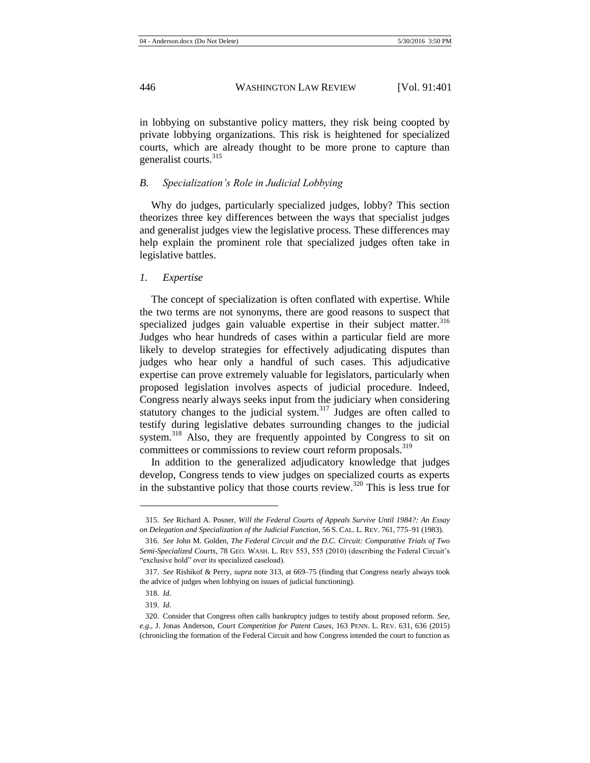in lobbying on substantive policy matters, they risk being coopted by private lobbying organizations. This risk is heightened for specialized courts, which are already thought to be more prone to capture than generalist courts. $315$ 

#### *B. Specialization's Role in Judicial Lobbying*

Why do judges, particularly specialized judges, lobby? This section theorizes three key differences between the ways that specialist judges and generalist judges view the legislative process. These differences may help explain the prominent role that specialized judges often take in legislative battles.

#### *1. Expertise*

<span id="page-46-0"></span>The concept of specialization is often conflated with expertise. While the two terms are not synonyms, there are good reasons to suspect that specialized judges gain valuable expertise in their subject matter.<sup>316</sup> Judges who hear hundreds of cases within a particular field are more likely to develop strategies for effectively adjudicating disputes than judges who hear only a handful of such cases. This adjudicative expertise can prove extremely valuable for legislators, particularly when proposed legislation involves aspects of judicial procedure. Indeed, Congress nearly always seeks input from the judiciary when considering statutory changes to the judicial system. $317$  Judges are often called to testify during legislative debates surrounding changes to the judicial system.<sup>318</sup> Also, they are frequently appointed by Congress to sit on committees or commissions to review court reform proposals.<sup>319</sup>

In addition to the generalized adjudicatory knowledge that judges develop, Congress tends to view judges on specialized courts as experts in the substantive policy that those courts review.<sup>320</sup> This is less true for

<sup>315.</sup> *See* Richard A. Posner, *Will the Federal Courts of Appeals Survive Until 1984?: An Essay on Delegation and Specialization of the Judicial Function*, 56 S. CAL. L. REV. 761, 775–91 (1983).

<sup>316.</sup> *See* John M. Golden, *The Federal Circuit and the D.C. Circuit: Comparative Trials of Two Semi-Specialized Courts*, 78 GEO. WASH. L. REV 553, 555 (2010) (describing the Federal Circuit's "exclusive hold" over its specialized caseload).

<sup>317.</sup> *See* Rishikof & Perry, *supra* note [313,](#page-45-0) at 669–75 (finding that Congress nearly always took the advice of judges when lobbying on issues of judicial functioning).

<sup>318.</sup> *Id.*

<sup>319.</sup> *Id.*

<sup>320.</sup> Consider that Congress often calls bankruptcy judges to testify about proposed reform. *See, e.g*., J. Jonas Anderson, *Court Competition for Patent Cases*, 163 PENN. L. REV. 631, 636 (2015) (chronicling the formation of the Federal Circuit and how Congress intended the court to function as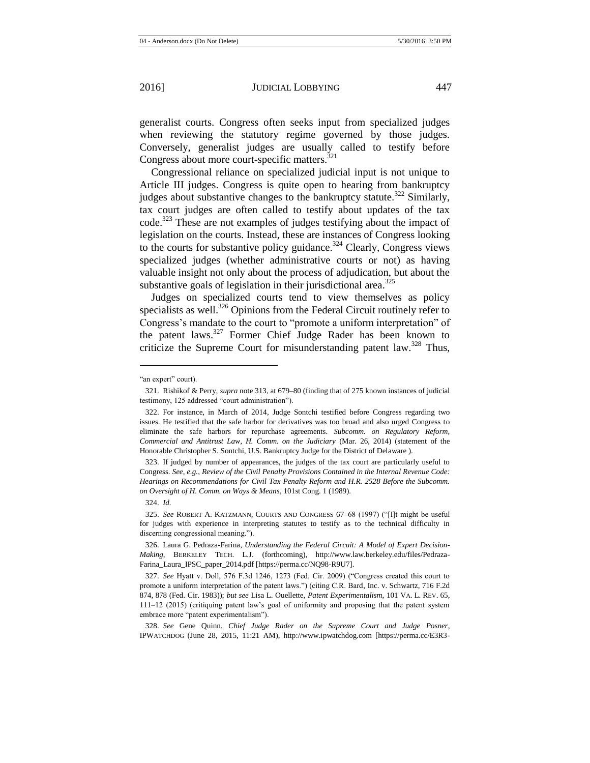generalist courts. Congress often seeks input from specialized judges when reviewing the statutory regime governed by those judges. Conversely, generalist judges are usually called to testify before Congress about more court-specific matters.<sup>321</sup>

Congressional reliance on specialized judicial input is not unique to Article III judges. Congress is quite open to hearing from bankruptcy judges about substantive changes to the bankruptcy statute.<sup>322</sup> Similarly, tax court judges are often called to testify about updates of the tax code.<sup>323</sup> These are not examples of judges testifying about the impact of legislation on the courts. Instead, these are instances of Congress looking to the courts for substantive policy guidance.<sup>324</sup> Clearly, Congress views specialized judges (whether administrative courts or not) as having valuable insight not only about the process of adjudication, but about the substantive goals of legislation in their jurisdictional area.<sup>325</sup>

<span id="page-47-0"></span>Judges on specialized courts tend to view themselves as policy specialists as well.<sup>326</sup> Opinions from the Federal Circuit routinely refer to Congress's mandate to the court to "promote a uniform interpretation" of the patent laws.<sup>327</sup> Former Chief Judge Rader has been known to criticize the Supreme Court for misunderstanding patent law.<sup>328</sup> Thus,

l

323. If judged by number of appearances, the judges of the tax court are particularly useful to Congress. *See, e.g.*, *Review of the Civil Penalty Provisions Contained in the Internal Revenue Code: Hearings on Recommendations for Civil Tax Penalty Reform and H.R. 2528 Before the Subcomm. on Oversight of H. Comm. on Ways & Means*, 101st Cong. 1 (1989).

324. *Id.*

325. *See* ROBERT A. KATZMANN, COURTS AND CONGRESS 67–68 (1997) ("[I]t might be useful for judges with experience in interpreting statutes to testify as to the technical difficulty in discerning congressional meaning.").

326. Laura G. Pedraza-Farina, *Understanding the Federal Circuit: A Model of Expert Decision-Making*, BERKELEY TECH. L.J. (forthcoming), http://www.law.berkeley.edu/files/Pedraza-Farina\_Laura\_IPSC\_paper\_2014.pdf [https://perma.cc/NQ98-R9U7].

327. *See* Hyatt v. Doll, 576 F.3d 1246, 1273 (Fed. Cir. 2009) ("Congress created this court to promote a uniform interpretation of the patent laws.") (citing C.R. Bard, Inc. v. Schwartz, 716 F.2d 874, 878 (Fed. Cir. 1983)); *but see* Lisa L. Ouellette, *Patent Experimentalism*, 101 VA. L. REV. 65, 111–12 (2015) (critiquing patent law's goal of uniformity and proposing that the patent system embrace more "patent experimentalism").

328. *See* Gene Quinn, *Chief Judge Rader on the Supreme Court and Judge Posner*, IPWATCHDOG (June 28, 2015, 11:21 AM), http://www.ipwatchdog.com [https://perma.cc/E3R3-

<sup>&</sup>quot;an expert" court).

<sup>321.</sup> Rishikof & Perry, *supra* not[e 313,](#page-45-0) at 679–80 (finding that of 275 known instances of judicial testimony, 125 addressed "court administration").

<sup>322.</sup> For instance, in March of 2014, Judge Sontchi testified before Congress regarding two issues. He testified that the safe harbor for derivatives was too broad and also urged Congress to eliminate the safe harbors for repurchase agreements. *Subcomm. on Regulatory Reform, Commercial and Antitrust Law, H. Comm. on the Judiciary* (Mar. 26, 2014) (statement of the Honorable Christopher S. Sontchi, U.S. Bankruptcy Judge for the District of Delaware ).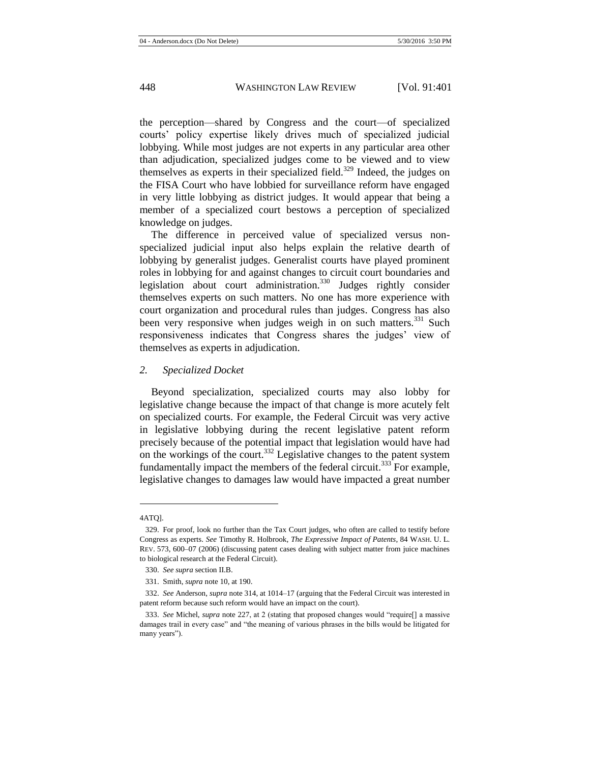the perception—shared by Congress and the court—of specialized courts' policy expertise likely drives much of specialized judicial lobbying. While most judges are not experts in any particular area other than adjudication, specialized judges come to be viewed and to view themselves as experts in their specialized field. $329$  Indeed, the judges on the FISA Court who have lobbied for surveillance reform have engaged in very little lobbying as district judges. It would appear that being a member of a specialized court bestows a perception of specialized knowledge on judges.

The difference in perceived value of specialized versus nonspecialized judicial input also helps explain the relative dearth of lobbying by generalist judges. Generalist courts have played prominent roles in lobbying for and against changes to circuit court boundaries and legislation about court administration.<sup>330</sup> Judges rightly consider themselves experts on such matters. No one has more experience with court organization and procedural rules than judges. Congress has also been very responsive when judges weigh in on such matters.<sup>331</sup> Such responsiveness indicates that Congress shares the judges' view of themselves as experts in adjudication.

#### *2. Specialized Docket*

Beyond specialization, specialized courts may also lobby for legislative change because the impact of that change is more acutely felt on specialized courts. For example, the Federal Circuit was very active in legislative lobbying during the recent legislative patent reform precisely because of the potential impact that legislation would have had on the workings of the court.<sup>332</sup> Legislative changes to the patent system fundamentally impact the members of the federal circuit.<sup>333</sup> For example, legislative changes to damages law would have impacted a great number

<sup>4</sup>ATQ].

<sup>329.</sup> For proof, look no further than the Tax Court judges, who often are called to testify before Congress as experts. *See* Timothy R. Holbrook, *The Expressive Impact of Patents*, 84 WASH. U. L. REV. 573, 600–07 (2006) (discussing patent cases dealing with subject matter from juice machines to biological research at the Federal Circuit).

<sup>330.</sup> *See supra* section II.B.

<sup>331.</sup> Smith, *supra* not[e 10,](#page-3-1) at 190.

<sup>332.</sup> *See* Anderson, *supra* not[e 314,](#page-45-1) at 1014–17 (arguing that the Federal Circuit was interested in patent reform because such reform would have an impact on the court).

<sup>333.</sup> *See* Michel, *supra* not[e 227,](#page-33-1) at 2 (stating that proposed changes would "require[] a massive damages trail in every case" and "the meaning of various phrases in the bills would be litigated for many years").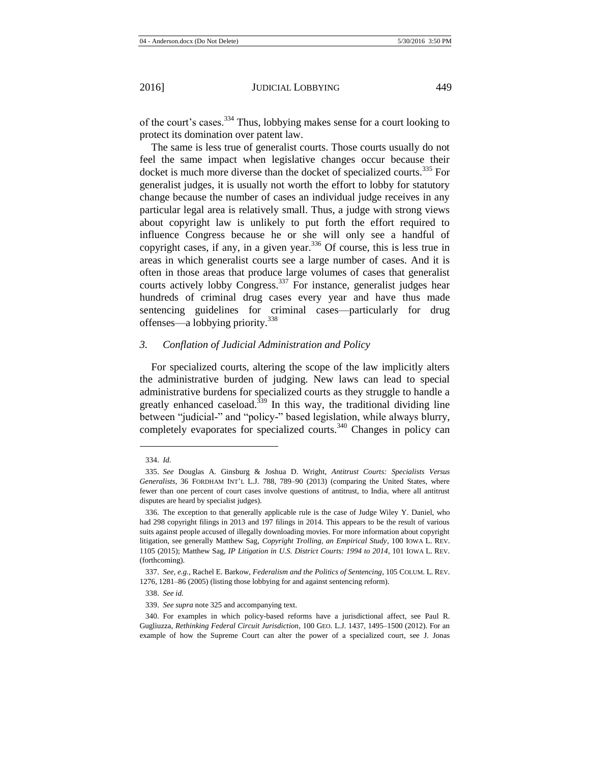of the court's cases.<sup>334</sup> Thus, lobbying makes sense for a court looking to protect its domination over patent law.

The same is less true of generalist courts. Those courts usually do not feel the same impact when legislative changes occur because their docket is much more diverse than the docket of specialized courts.<sup>335</sup> For generalist judges, it is usually not worth the effort to lobby for statutory change because the number of cases an individual judge receives in any particular legal area is relatively small. Thus, a judge with strong views about copyright law is unlikely to put forth the effort required to influence Congress because he or she will only see a handful of copyright cases, if any, in a given year.<sup>336</sup> Of course, this is less true in areas in which generalist courts see a large number of cases. And it is often in those areas that produce large volumes of cases that generalist courts actively lobby Congress.<sup>337</sup> For instance, generalist judges hear hundreds of criminal drug cases every year and have thus made sentencing guidelines for criminal cases—particularly for drug offenses—a lobbying priority.<sup>338</sup>

# *3. Conflation of Judicial Administration and Policy*

For specialized courts, altering the scope of the law implicitly alters the administrative burden of judging. New laws can lead to special administrative burdens for specialized courts as they struggle to handle a greatly enhanced caseload.<sup> $339$ </sup> In this way, the traditional dividing line between "judicial-" and "policy-" based legislation, while always blurry, completely evaporates for specialized courts.<sup>340</sup> Changes in policy can

<sup>334.</sup> *Id.*

<sup>335.</sup> *See* Douglas A. Ginsburg & Joshua D. Wright, *Antitrust Courts: Specialists Versus Generalists*, 36 FORDHAM INT'L L.J. 788, 789–90 (2013) (comparing the United States, where fewer than one percent of court cases involve questions of antitrust, to India, where all antitrust disputes are heard by specialist judges).

<sup>336.</sup> The exception to that generally applicable rule is the case of Judge Wiley Y. Daniel, who had 298 copyright filings in 2013 and 197 filings in 2014. This appears to be the result of various suits against people accused of illegally downloading movies. For more information about copyright litigation, see generally Matthew Sag, *Copyright Trolling, an Empirical Study*, 100 IOWA L. REV. 1105 (2015); Matthew Sag, *IP Litigation in U.S. District Courts: 1994 to 2014*, 101 IOWA L. REV. (forthcoming).

<sup>337.</sup> *See, e.g.*, Rachel E. Barkow, *Federalism and the Politics of Sentencing*, 105 COLUM. L. REV. 1276, 1281–86 (2005) (listing those lobbying for and against sentencing reform).

<sup>338.</sup> *See id.*

<sup>339.</sup> *See supra* not[e 325](#page-47-0) and accompanying text.

<sup>340.</sup> For examples in which policy-based reforms have a jurisdictional affect, see Paul R. Gugliuzza, *Rethinking Federal Circuit Jurisdiction*, 100 GEO. L.J. 1437, 1495–1500 (2012). For an example of how the Supreme Court can alter the power of a specialized court, see J. Jonas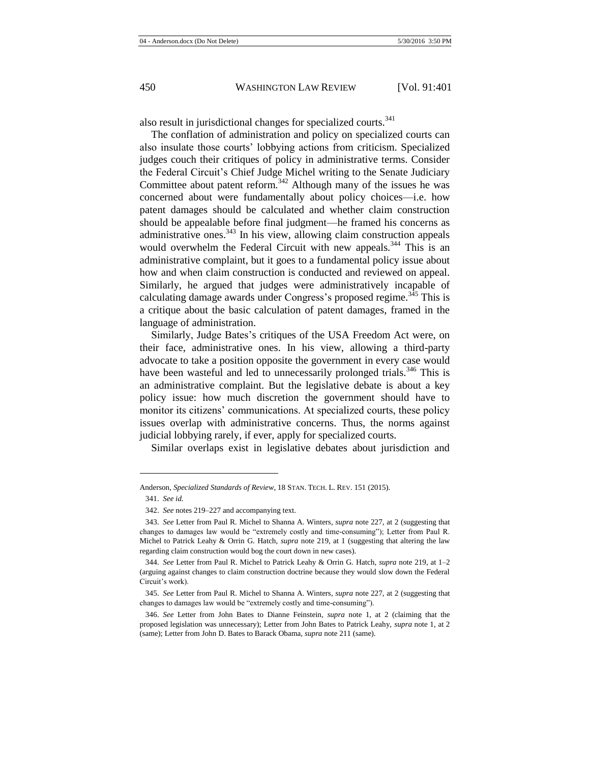also result in jurisdictional changes for specialized courts.<sup>341</sup>

The conflation of administration and policy on specialized courts can also insulate those courts' lobbying actions from criticism. Specialized judges couch their critiques of policy in administrative terms. Consider the Federal Circuit's Chief Judge Michel writing to the Senate Judiciary Committee about patent reform.<sup>342</sup> Although many of the issues he was concerned about were fundamentally about policy choices—i.e. how patent damages should be calculated and whether claim construction should be appealable before final judgment—he framed his concerns as administrative ones. $343$  In his view, allowing claim construction appeals would overwhelm the Federal Circuit with new appeals.<sup>344</sup> This is an administrative complaint, but it goes to a fundamental policy issue about how and when claim construction is conducted and reviewed on appeal. Similarly, he argued that judges were administratively incapable of calculating damage awards under Congress's proposed regime.<sup>345</sup> This is a critique about the basic calculation of patent damages, framed in the language of administration.

Similarly, Judge Bates's critiques of the USA Freedom Act were, on their face, administrative ones. In his view, allowing a third-party advocate to take a position opposite the government in every case would have been wasteful and led to unnecessarily prolonged trials.<sup>346</sup> This is an administrative complaint. But the legislative debate is about a key policy issue: how much discretion the government should have to monitor its citizens' communications. At specialized courts, these policy issues overlap with administrative concerns. Thus, the norms against judicial lobbying rarely, if ever, apply for specialized courts.

Similar overlaps exist in legislative debates about jurisdiction and

Anderson, *Specialized Standards of Review*, 18 STAN. TECH. L. REV. 151 (2015).

<sup>341.</sup> *See id.*

<sup>342.</sup> *See* note[s 219](#page-33-0)[–227](#page-33-1) and accompanying text.

<sup>343.</sup> *See* Letter from Paul R. Michel to Shanna A. Winters, *supra* not[e 227,](#page-33-1) at 2 (suggesting that changes to damages law would be "extremely costly and time-consuming"); Letter from Paul R. Michel to Patrick Leahy & Orrin G. Hatch, *supra* note [219,](#page-33-0) at 1 (suggesting that altering the law regarding claim construction would bog the court down in new cases).

<sup>344.</sup> *See* Letter from Paul R. Michel to Patrick Leahy & Orrin G. Hatch, *supra* not[e 219,](#page-33-0) at 1–2 (arguing against changes to claim construction doctrine because they would slow down the Federal Circuit's work).

<sup>345.</sup> *See* Letter from Paul R. Michel to Shanna A. Winters, *supra* not[e 227,](#page-33-1) at 2 (suggesting that changes to damages law would be "extremely costly and time-consuming").

<sup>346.</sup> *See* Letter from John Bates to Dianne Feinstein, *supra* note [1,](#page-2-0) at 2 (claiming that the proposed legislation was unnecessary); Letter from John Bates to Patrick Leahy, *supra* not[e 1,](#page-2-0) at 2 (same); Letter from John D. Bates to Barack Obama, *supra* not[e 211](#page-31-0) (same).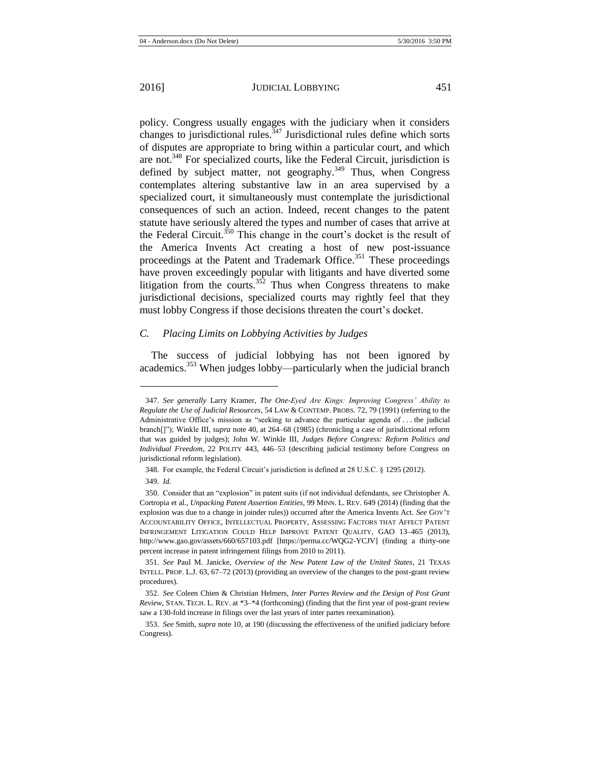policy. Congress usually engages with the judiciary when it considers changes to jurisdictional rules.<sup>347</sup> Jurisdictional rules define which sorts of disputes are appropriate to bring within a particular court, and which are not.<sup>348</sup> For specialized courts, like the Federal Circuit, jurisdiction is defined by subject matter, not geography.<sup>349</sup> Thus, when Congress contemplates altering substantive law in an area supervised by a specialized court, it simultaneously must contemplate the jurisdictional consequences of such an action. Indeed, recent changes to the patent statute have seriously altered the types and number of cases that arrive at the Federal Circuit.<sup> $350$ </sup> This change in the court's docket is the result of the America Invents Act creating a host of new post-issuance proceedings at the Patent and Trademark Office.<sup>351</sup> These proceedings have proven exceedingly popular with litigants and have diverted some litigation from the courts.<sup>352</sup> Thus when Congress threatens to make jurisdictional decisions, specialized courts may rightly feel that they must lobby Congress if those decisions threaten the court's docket.

# *C. Placing Limits on Lobbying Activities by Judges*

The success of judicial lobbying has not been ignored by academics.<sup>353</sup> When judges lobby—particularly when the judicial branch

<sup>347.</sup> *See generally* Larry Kramer, *The One-Eyed Are Kings: Improving Congress' Ability to Regulate the Use of Judicial Resources*, 54 LAW & CONTEMP. PROBS. 72, 79 (1991) (referring to the Administrative Office's mission as "seeking to advance the particular agenda of . . . the judicial branch[]"); Winkle III, *supra* note [40,](#page-8-0) at 264–68 (1985) (chronicling a case of jurisdictional reform that was guided by judges); John W. Winkle III, *Judges Before Congress: Reform Politics and Individual Freedom*, 22 POLITY 443, 446–53 (describing judicial testimony before Congress on jurisdictional reform legislation).

<sup>348.</sup> For example, the Federal Circuit's jurisdiction is defined at 28 U.S.C. § 1295 (2012).

<sup>349.</sup> *Id.*

<sup>350.</sup> Consider that an "explosion" in patent suits (if not individual defendants, *see* Christopher A. Cortropia et al., *Unpacking Patent Assertion Entities,* 99 MINN. L. REV. 649 (2014) (finding that the explosion was due to a change in joinder rules)) occurred after the America Invents Act. *See* GOV'T ACCOUNTABILITY OFFICE, INTELLECTUAL PROPERTY, ASSESSING FACTORS THAT AFFECT PATENT INFRINGEMENT LITIGATION COULD HELP IMPROVE PATENT QUALITY, GAO 13–465 (2013), http://www.gao.gov/assets/660/657103.pdf [https://perma.cc/WQG2-YCJV] (finding a thirty-one percent increase in patent infringement filings from 2010 to 2011).

<sup>351.</sup> *See* Paul M. Janicke, *Overview of the New Patent Law of the United States*, 21 TEXAS INTELL. PROP. L.J. 63, 67–72 (2013) (providing an overview of the changes to the post-grant review procedures).

<sup>352.</sup> *See* Coleen Chien & Christian Helmers, *Inter Partes Review and the Design of Post Grant Review*, STAN. TECH. L. REV. at \*3–\*4 (forthcoming) (finding that the first year of post-grant review saw a 130-fold increase in filings over the last years of inter partes reexamination).

<sup>353.</sup> *See* Smith, *supra* not[e 10,](#page-3-1) at 190 (discussing the effectiveness of the unified judiciary before Congress).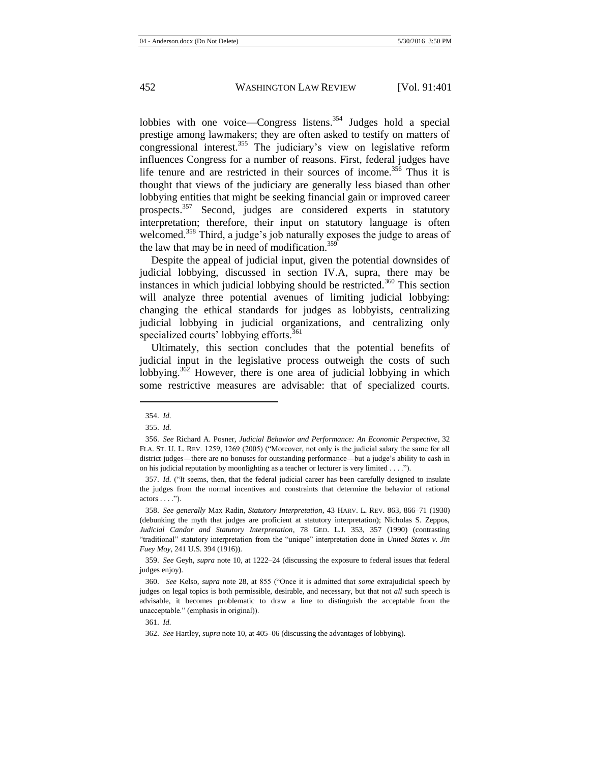lobbies with one voice—Congress listens.<sup>354</sup> Judges hold a special prestige among lawmakers; they are often asked to testify on matters of congressional interest.<sup>355</sup> The judiciary's view on legislative reform influences Congress for a number of reasons. First, federal judges have life tenure and are restricted in their sources of income.<sup>356</sup> Thus it is thought that views of the judiciary are generally less biased than other lobbying entities that might be seeking financial gain or improved career prospects.<sup>357</sup> Second, judges are considered experts in statutory interpretation; therefore, their input on statutory language is often welcomed.<sup>358</sup> Third, a judge's job naturally exposes the judge to areas of the law that may be in need of modification.<sup>359</sup>

Despite the appeal of judicial input, given the potential downsides of judicial lobbying, discussed in section IV.A, supra, there may be instances in which judicial lobbying should be restricted.<sup>360</sup> This section will analyze three potential avenues of limiting judicial lobbying: changing the ethical standards for judges as lobbyists, centralizing judicial lobbying in judicial organizations, and centralizing only specialized courts' lobbying efforts.<sup>361</sup>

Ultimately, this section concludes that the potential benefits of judicial input in the legislative process outweigh the costs of such lobbying.<sup>362</sup> However, there is one area of judicial lobbying in which some restrictive measures are advisable: that of specialized courts.

<sup>354.</sup> *Id.*

<sup>355.</sup> *Id.*

<sup>356.</sup> *See* Richard A. Posner, *Judicial Behavior and Performance: An Economic Perspective*, 32 FLA. ST. U. L. REV. 1259, 1269 (2005) ("Moreover, not only is the judicial salary the same for all district judges—there are no bonuses for outstanding performance—but a judge's ability to cash in on his judicial reputation by moonlighting as a teacher or lecturer is very limited . . . .").

<sup>357.</sup> *Id.* ("It seems, then, that the federal judicial career has been carefully designed to insulate the judges from the normal incentives and constraints that determine the behavior of rational  $actors \dots$ ").

<sup>358.</sup> *See generally* Max Radin, *Statutory Interpretation*, 43 HARV. L. REV. 863, 866–71 (1930) (debunking the myth that judges are proficient at statutory interpretation); Nicholas S. Zeppos, *Judicial Candor and Statutory Interpretation*, 78 GEO. L.J. 353, 357 (1990) (contrasting "traditional" statutory interpretation from the "unique" interpretation done in *United States v. Jin Fuey Moy*, 241 U.S. 394 (1916)).

<sup>359.</sup> *See* Geyh, *supra* not[e 10,](#page-3-1) at 1222–24 (discussing the exposure to federal issues that federal judges enjoy).

<sup>360.</sup> *See* Kelso, *supra* note [28,](#page-6-0) at 855 ("Once it is admitted that *some* extrajudicial speech by judges on legal topics is both permissible, desirable, and necessary, but that not *all* such speech is advisable, it becomes problematic to draw a line to distinguish the acceptable from the unacceptable." (emphasis in original)).

<sup>361.</sup> *Id.*

<sup>362.</sup> *See* Hartley, *supra* not[e 10,](#page-3-1) at 405–06 (discussing the advantages of lobbying).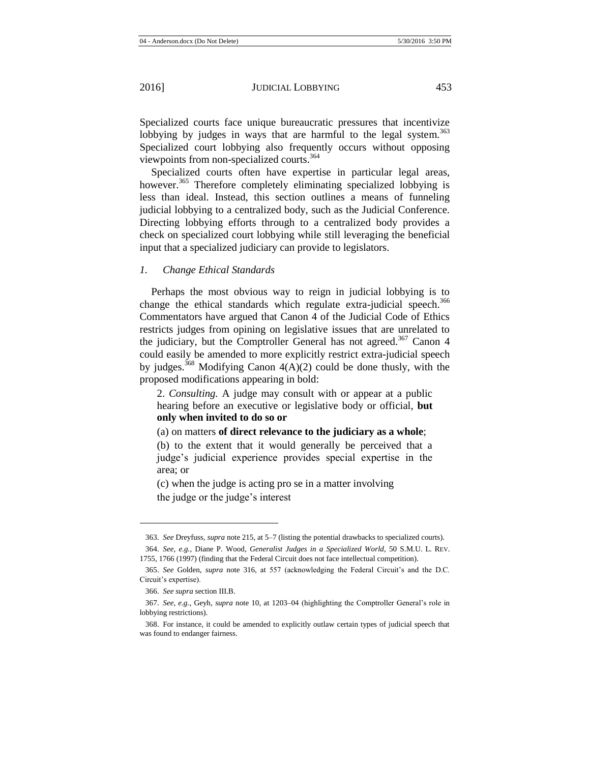Specialized courts face unique bureaucratic pressures that incentivize lobbying by judges in ways that are harmful to the legal system.<sup>363</sup> Specialized court lobbying also frequently occurs without opposing viewpoints from non-specialized courts.<sup>364</sup>

<span id="page-53-0"></span>Specialized courts often have expertise in particular legal areas, however.<sup>365</sup> Therefore completely eliminating specialized lobbying is less than ideal. Instead, this section outlines a means of funneling judicial lobbying to a centralized body, such as the Judicial Conference. Directing lobbying efforts through to a centralized body provides a check on specialized court lobbying while still leveraging the beneficial input that a specialized judiciary can provide to legislators.

#### *1. Change Ethical Standards*

Perhaps the most obvious way to reign in judicial lobbying is to change the ethical standards which regulate extra-judicial speech.<sup>366</sup> Commentators have argued that Canon 4 of the Judicial Code of Ethics restricts judges from opining on legislative issues that are unrelated to the judiciary, but the Comptroller General has not agreed.<sup>367</sup> Canon 4 could easily be amended to more explicitly restrict extra-judicial speech by judges.<sup>368</sup> Modifying Canon  $4(A)(2)$  could be done thusly, with the proposed modifications appearing in bold:

2. *Consulting.* A judge may consult with or appear at a public hearing before an executive or legislative body or official, **but only when invited to do so or**

(a) on matters **of direct relevance to the judiciary as a whole**;

(b) to the extent that it would generally be perceived that a judge's judicial experience provides special expertise in the area; or

(c) when the judge is acting pro se in a matter involving the judge or the judge's interest

<sup>363.</sup> *See* Dreyfuss, *supra* not[e 215,](#page-32-0) at 5–7 (listing the potential drawbacks to specialized courts).

<sup>364.</sup> *See, e.g.*, Diane P. Wood, *Generalist Judges in a Specialized World*, 50 S.M.U. L. REV. 1755, 1766 (1997) (finding that the Federal Circuit does not face intellectual competition).

<sup>365.</sup> *See* Golden, *supra* note [316,](#page-46-0) at 557 (acknowledging the Federal Circuit's and the D.C. Circuit's expertise).

<sup>366.</sup> *See supra* section III.B.

<sup>367.</sup> *See, e.g.*, Geyh, *supra* note [10,](#page-3-1) at 1203–04 (highlighting the Comptroller General's role in lobbying restrictions).

<sup>368.</sup> For instance, it could be amended to explicitly outlaw certain types of judicial speech that was found to endanger fairness.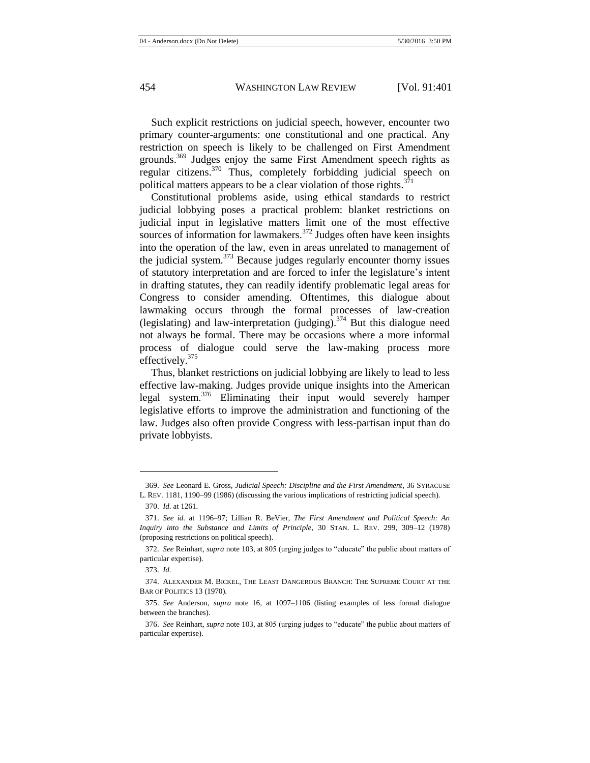Such explicit restrictions on judicial speech, however, encounter two primary counter-arguments: one constitutional and one practical. Any restriction on speech is likely to be challenged on First Amendment grounds.<sup>369</sup> Judges enjoy the same First Amendment speech rights as regular citizens.<sup>370</sup> Thus, completely forbidding judicial speech on political matters appears to be a clear violation of those rights. $371$ 

Constitutional problems aside, using ethical standards to restrict judicial lobbying poses a practical problem: blanket restrictions on judicial input in legislative matters limit one of the most effective sources of information for lawmakers.<sup>372</sup> Judges often have keen insights into the operation of the law, even in areas unrelated to management of the judicial system. $373$  Because judges regularly encounter thorny issues of statutory interpretation and are forced to infer the legislature's intent in drafting statutes, they can readily identify problematic legal areas for Congress to consider amending. Oftentimes, this dialogue about lawmaking occurs through the formal processes of law-creation (legislating) and law-interpretation (judging).  $374$  But this dialogue need not always be formal. There may be occasions where a more informal process of dialogue could serve the law-making process more effectively.<sup>375</sup>

Thus, blanket restrictions on judicial lobbying are likely to lead to less effective law-making. Judges provide unique insights into the American legal system.<sup>376</sup> Eliminating their input would severely hamper legislative efforts to improve the administration and functioning of the law. Judges also often provide Congress with less-partisan input than do private lobbyists.

<sup>369.</sup> *See* Leonard E. Gross, *Judicial Speech: Discipline and the First Amendment*, 36 SYRACUSE L. REV. 1181, 1190–99 (1986) (discussing the various implications of restricting judicial speech).

<sup>370.</sup> *Id.* at 1261.

<sup>371.</sup> *See id.* at 1196–97; Lillian R. BeVier, *The First Amendment and Political Speech: An Inquiry into the Substance and Limits of Principle*, 30 STAN. L. REV. 299, 309–12 (1978) (proposing restrictions on political speech).

<sup>372.</sup> *See* Reinhart, *supra* not[e 103,](#page-18-0) at 805 (urging judges to "educate" the public about matters of particular expertise).

<sup>373.</sup> *Id.*

<sup>374.</sup> ALEXANDER M. BICKEL, THE LEAST DANGEROUS BRANCH: THE SUPREME COURT AT THE BAR OF POLITICS 13 (1970).

<sup>375.</sup> *See* Anderson, *supra* note [16,](#page-5-0) at 1097–1106 (listing examples of less formal dialogue between the branches).

<sup>376.</sup> *See* Reinhart, *supra* not[e 103,](#page-18-0) at 805 (urging judges to "educate" the public about matters of particular expertise).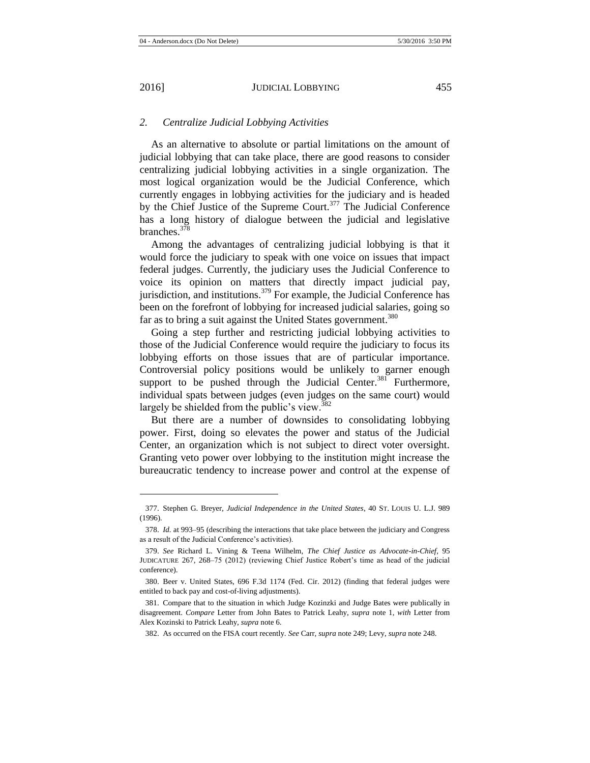l

# *2. Centralize Judicial Lobbying Activities*

As an alternative to absolute or partial limitations on the amount of judicial lobbying that can take place, there are good reasons to consider centralizing judicial lobbying activities in a single organization. The most logical organization would be the Judicial Conference, which currently engages in lobbying activities for the judiciary and is headed by the Chief Justice of the Supreme Court.<sup>377</sup> The Judicial Conference has a long history of dialogue between the judicial and legislative branches.<sup>378</sup>

Among the advantages of centralizing judicial lobbying is that it would force the judiciary to speak with one voice on issues that impact federal judges. Currently, the judiciary uses the Judicial Conference to voice its opinion on matters that directly impact judicial pay, jurisdiction, and institutions.<sup>379</sup> For example, the Judicial Conference has been on the forefront of lobbying for increased judicial salaries, going so far as to bring a suit against the United States government.<sup>380</sup>

<span id="page-55-0"></span>Going a step further and restricting judicial lobbying activities to those of the Judicial Conference would require the judiciary to focus its lobbying efforts on those issues that are of particular importance. Controversial policy positions would be unlikely to garner enough support to be pushed through the Judicial Center.<sup>381</sup> Furthermore, individual spats between judges (even judges on the same court) would largely be shielded from the public's view.<sup>382</sup>

But there are a number of downsides to consolidating lobbying power. First, doing so elevates the power and status of the Judicial Center, an organization which is not subject to direct voter oversight. Granting veto power over lobbying to the institution might increase the bureaucratic tendency to increase power and control at the expense of

<sup>377.</sup> Stephen G. Breyer, *Judicial Independence in the United States*, 40 ST. LOUIS U. L.J. 989 (1996).

<sup>378.</sup> *Id.* at 993–95 (describing the interactions that take place between the judiciary and Congress as a result of the Judicial Conference's activities).

<sup>379.</sup> *See* Richard L. Vining & Teena Wilhelm, *The Chief Justice as Advocate-in-Chief,* 95 JUDICATURE 267, 268–75 (2012) (reviewing Chief Justice Robert's time as head of the judicial conference).

<sup>380.</sup> Beer v. United States, 696 F.3d 1174 (Fed. Cir. 2012) (finding that federal judges were entitled to back pay and cost-of-living adjustments).

<sup>381.</sup> Compare that to the situation in which Judge Kozinzki and Judge Bates were publically in disagreement. *Compare* Letter from John Bates to Patrick Leahy, *supra* note [1,](#page-2-0) *with* Letter from Alex Kozinski to Patrick Leahy, *supra* not[e 6.](#page-3-3)

<sup>382.</sup> As occurred on the FISA court recently. *See* Carr, *supra* not[e 249;](#page-36-1) Levy, *supra* not[e 248.](#page-36-0)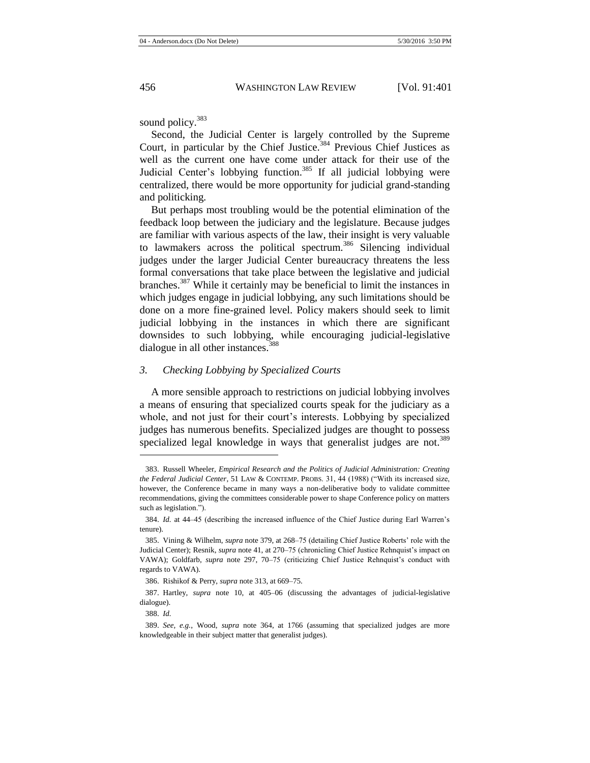sound policy.<sup>383</sup>

Second, the Judicial Center is largely controlled by the Supreme Court, in particular by the Chief Justice.<sup>384</sup> Previous Chief Justices as well as the current one have come under attack for their use of the Judicial Center's lobbying function.<sup>385</sup> If all judicial lobbying were centralized, there would be more opportunity for judicial grand-standing and politicking.

But perhaps most troubling would be the potential elimination of the feedback loop between the judiciary and the legislature. Because judges are familiar with various aspects of the law, their insight is very valuable to lawmakers across the political spectrum.<sup>386</sup> Silencing individual judges under the larger Judicial Center bureaucracy threatens the less formal conversations that take place between the legislative and judicial branches.<sup>387</sup> While it certainly may be beneficial to limit the instances in which judges engage in judicial lobbying, any such limitations should be done on a more fine-grained level. Policy makers should seek to limit judicial lobbying in the instances in which there are significant downsides to such lobbying, while encouraging judicial-legislative dialogue in all other instances.<sup>388</sup>

## *3. Checking Lobbying by Specialized Courts*

A more sensible approach to restrictions on judicial lobbying involves a means of ensuring that specialized courts speak for the judiciary as a whole, and not just for their court's interests. Lobbying by specialized judges has numerous benefits. Specialized judges are thought to possess specialized legal knowledge in ways that generalist judges are not.<sup>389</sup>

<sup>383.</sup> Russell Wheeler, *Empirical Research and the Politics of Judicial Administration: Creating the Federal Judicial Center*, 51 LAW & CONTEMP. PROBS. 31, 44 (1988) ("With its increased size, however, the Conference became in many ways a non-deliberative body to validate committee recommendations, giving the committees considerable power to shape Conference policy on matters such as legislation.").

<sup>384.</sup> *Id.* at 44–45 (describing the increased influence of the Chief Justice during Earl Warren's tenure).

<sup>385.</sup> Vining & Wilhelm, *supra* not[e 379,](#page-55-0) at 268–75 (detailing Chief Justice Roberts' role with the Judicial Center); Resnik, *supra* not[e 41,](#page-9-1) at 270–75 (chronicling Chief Justice Rehnquist's impact on VAWA); Goldfarb, *supra* note [297,](#page-43-0) 70–75 (criticizing Chief Justice Rehnquist's conduct with regards to VAWA).

<sup>386.</sup> Rishikof & Perry, *supra* not[e 313,](#page-45-0) at 669–75.

<sup>387.</sup> Hartley, *supra* note [10,](#page-3-1) at 405–06 (discussing the advantages of judicial-legislative dialogue).

<sup>388.</sup> *Id.*

<sup>389.</sup> *See, e.g.*, Wood, *supra* note [364,](#page-53-0) at 1766 (assuming that specialized judges are more knowledgeable in their subject matter that generalist judges).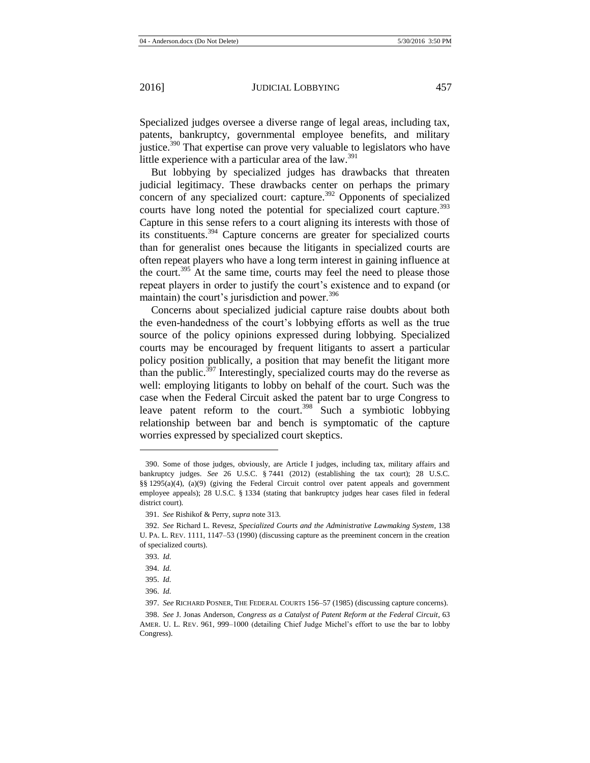Specialized judges oversee a diverse range of legal areas, including tax, patents, bankruptcy, governmental employee benefits, and military justice.<sup>390</sup> That expertise can prove very valuable to legislators who have little experience with a particular area of the law.<sup>391</sup>

But lobbying by specialized judges has drawbacks that threaten judicial legitimacy. These drawbacks center on perhaps the primary concern of any specialized court: capture.<sup>392</sup> Opponents of specialized courts have long noted the potential for specialized court capture.<sup>393</sup> Capture in this sense refers to a court aligning its interests with those of its constituents.<sup>394</sup> Capture concerns are greater for specialized courts than for generalist ones because the litigants in specialized courts are often repeat players who have a long term interest in gaining influence at the court.<sup>395</sup> At the same time, courts may feel the need to please those repeat players in order to justify the court's existence and to expand (or maintain) the court's jurisdiction and power. $396$ 

Concerns about specialized judicial capture raise doubts about both the even-handedness of the court's lobbying efforts as well as the true source of the policy opinions expressed during lobbying. Specialized courts may be encouraged by frequent litigants to assert a particular policy position publically, a position that may benefit the litigant more than the public.<sup> $397$ </sup> Interestingly, specialized courts may do the reverse as well: employing litigants to lobby on behalf of the court. Such was the case when the Federal Circuit asked the patent bar to urge Congress to leave patent reform to the court.<sup>398</sup> Such a symbiotic lobbying relationship between bar and bench is symptomatic of the capture worries expressed by specialized court skeptics.

<sup>390.</sup> Some of those judges, obviously, are Article I judges, including tax, military affairs and bankruptcy judges. *See* 26 U.S.C. § 7441 (2012) (establishing the tax court); 28 U.S.C. §§ 1295(a)(4), (a)(9) (giving the Federal Circuit control over patent appeals and government employee appeals); 28 U.S.C. § 1334 (stating that bankruptcy judges hear cases filed in federal district court).

<sup>391.</sup> *See* Rishikof & Perry, *supra* not[e 313.](#page-45-0)

<sup>392.</sup> *See* Richard L. Revesz, *Specialized Courts and the Administrative Lawmaking System*, 138 U. PA. L. REV. 1111, 1147–53 (1990) (discussing capture as the preeminent concern in the creation of specialized courts).

<sup>393.</sup> *Id.*

<sup>394.</sup> *Id.*

<sup>395.</sup> *Id.*

<sup>396.</sup> *Id.*

<sup>397.</sup> *See* RICHARD POSNER, THE FEDERAL COURTS 156–57 (1985) (discussing capture concerns).

<sup>398.</sup> *See* J. Jonas Anderson, *Congress as a Catalyst of Patent Reform at the Federal Circuit*, 63 AMER. U. L. REV. 961, 999–1000 (detailing Chief Judge Michel's effort to use the bar to lobby Congress).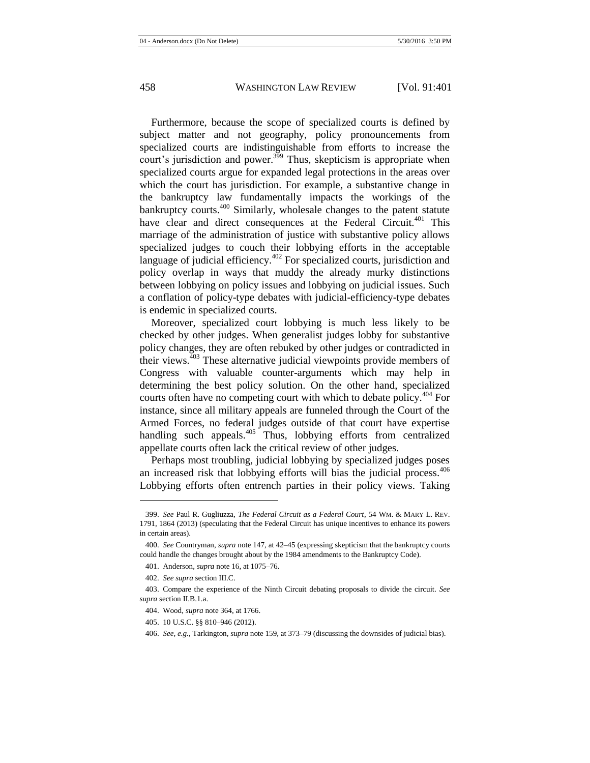Furthermore, because the scope of specialized courts is defined by subject matter and not geography, policy pronouncements from specialized courts are indistinguishable from efforts to increase the court's jurisdiction and power.<sup>399</sup> Thus, skepticism is appropriate when specialized courts argue for expanded legal protections in the areas over which the court has jurisdiction. For example, a substantive change in the bankruptcy law fundamentally impacts the workings of the bankruptcy courts.<sup>400</sup> Similarly, wholesale changes to the patent statute have clear and direct consequences at the Federal Circuit.<sup>401</sup> This marriage of the administration of justice with substantive policy allows specialized judges to couch their lobbying efforts in the acceptable language of judicial efficiency.<sup>402</sup> For specialized courts, jurisdiction and policy overlap in ways that muddy the already murky distinctions between lobbying on policy issues and lobbying on judicial issues. Such a conflation of policy-type debates with judicial-efficiency-type debates is endemic in specialized courts.

Moreover, specialized court lobbying is much less likely to be checked by other judges. When generalist judges lobby for substantive policy changes, they are often rebuked by other judges or contradicted in their views. $403$  These alternative judicial viewpoints provide members of Congress with valuable counter-arguments which may help in determining the best policy solution. On the other hand, specialized courts often have no competing court with which to debate policy.<sup>404</sup> For instance, since all military appeals are funneled through the Court of the Armed Forces, no federal judges outside of that court have expertise handling such appeals. $405$  Thus, lobbying efforts from centralized appellate courts often lack the critical review of other judges.

Perhaps most troubling, judicial lobbying by specialized judges poses an increased risk that lobbying efforts will bias the judicial process. $406$ Lobbying efforts often entrench parties in their policy views. Taking

l

405. 10 U.S.C. §§ 810–946 (2012).

<sup>399.</sup> *See* Paul R. Gugliuzza, *The Federal Circuit as a Federal Court*, 54 WM. & MARY L. REV. 1791, 1864 (2013) (speculating that the Federal Circuit has unique incentives to enhance its powers in certain areas).

<sup>400.</sup> *See* Countryman, *supra* not[e 147,](#page-23-1) at 42–45 (expressing skepticism that the bankruptcy courts could handle the changes brought about by the 1984 amendments to the Bankruptcy Code).

<sup>401.</sup> Anderson, *supra* not[e 16,](#page-5-0) at 1075–76.

<sup>402.</sup> *See supra* section III.C.

<sup>403.</sup> Compare the experience of the Ninth Circuit debating proposals to divide the circuit. *See supra* section II.B.1.a.

<sup>404.</sup> Wood, *supra* not[e 364,](#page-53-0) at 1766.

<sup>406.</sup> *See, e.g.*, Tarkington, *supra* not[e 159,](#page-24-1) at 373–79 (discussing the downsides of judicial bias).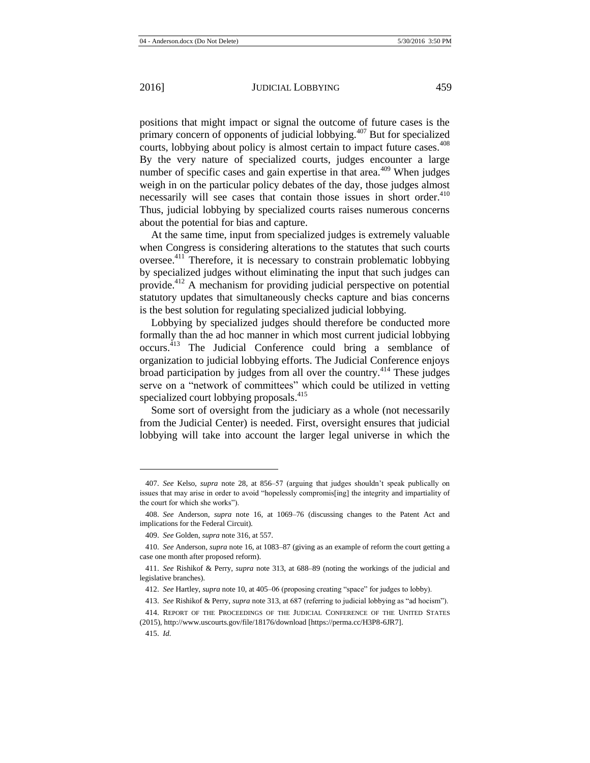positions that might impact or signal the outcome of future cases is the primary concern of opponents of judicial lobbying. $407$  But for specialized courts, lobbying about policy is almost certain to impact future cases.<sup>408</sup> By the very nature of specialized courts, judges encounter a large number of specific cases and gain expertise in that area.<sup>409</sup> When judges weigh in on the particular policy debates of the day, those judges almost necessarily will see cases that contain those issues in short order.<sup>410</sup> Thus, judicial lobbying by specialized courts raises numerous concerns

about the potential for bias and capture. At the same time, input from specialized judges is extremely valuable when Congress is considering alterations to the statutes that such courts oversee.<sup>411</sup> Therefore, it is necessary to constrain problematic lobbying by specialized judges without eliminating the input that such judges can provide.<sup>412</sup> A mechanism for providing judicial perspective on potential statutory updates that simultaneously checks capture and bias concerns is the best solution for regulating specialized judicial lobbying.

Lobbying by specialized judges should therefore be conducted more formally than the ad hoc manner in which most current judicial lobbying occurs.<sup>413</sup> The Judicial Conference could bring a semblance of organization to judicial lobbying efforts. The Judicial Conference enjoys broad participation by judges from all over the country.<sup>414</sup> These judges serve on a "network of committees" which could be utilized in vetting specialized court lobbying proposals. $415$ 

Some sort of oversight from the judiciary as a whole (not necessarily from the Judicial Center) is needed. First, oversight ensures that judicial lobbying will take into account the larger legal universe in which the

<sup>407.</sup> *See* Kelso, *supra* note [28,](#page-6-0) at 856–57 (arguing that judges shouldn't speak publically on issues that may arise in order to avoid "hopelessly compromis[ing] the integrity and impartiality of the court for which she works").

<sup>408.</sup> *See* Anderson, *supra* note [16,](#page-5-0) at 1069–76 (discussing changes to the Patent Act and implications for the Federal Circuit).

<sup>409.</sup> *See* Golden, *supra* not[e 316,](#page-46-0) at 557.

<sup>410.</sup> *See* Anderson, *supra* not[e 16,](#page-5-0) at 1083–87 (giving as an example of reform the court getting a case one month after proposed reform).

<sup>411.</sup> *See* Rishikof & Perry, *supra* note [313,](#page-45-0) at 688–89 (noting the workings of the judicial and legislative branches).

<sup>412.</sup> *See* Hartley, *supra* not[e 10,](#page-3-1) at 405–06 (proposing creating "space" for judges to lobby).

<sup>413.</sup> *See* Rishikof & Perry, *supra* not[e 313,](#page-45-0) at 687 (referring to judicial lobbying as "ad hocism").

<sup>414.</sup> REPORT OF THE PROCEEDINGS OF THE JUDICIAL CONFERENCE OF THE UNITED STATES (2015), http://www.uscourts.gov/file/18176/download [https://perma.cc/H3P8-6JR7].

<sup>415.</sup> *Id.*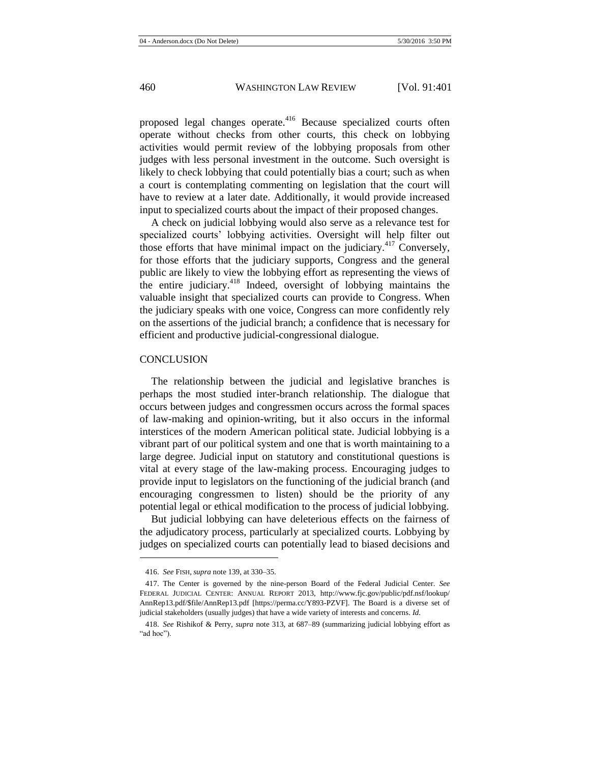proposed legal changes operate.<sup>416</sup> Because specialized courts often operate without checks from other courts, this check on lobbying activities would permit review of the lobbying proposals from other judges with less personal investment in the outcome. Such oversight is likely to check lobbying that could potentially bias a court; such as when a court is contemplating commenting on legislation that the court will have to review at a later date. Additionally, it would provide increased input to specialized courts about the impact of their proposed changes.

A check on judicial lobbying would also serve as a relevance test for specialized courts' lobbying activities. Oversight will help filter out those efforts that have minimal impact on the judiciary.<sup>417</sup> Conversely, for those efforts that the judiciary supports, Congress and the general public are likely to view the lobbying effort as representing the views of the entire judiciary.<sup>418</sup> Indeed, oversight of lobbying maintains the valuable insight that specialized courts can provide to Congress. When the judiciary speaks with one voice, Congress can more confidently rely on the assertions of the judicial branch; a confidence that is necessary for efficient and productive judicial-congressional dialogue.

#### **CONCLUSION**

The relationship between the judicial and legislative branches is perhaps the most studied inter-branch relationship. The dialogue that occurs between judges and congressmen occurs across the formal spaces of law-making and opinion-writing, but it also occurs in the informal interstices of the modern American political state. Judicial lobbying is a vibrant part of our political system and one that is worth maintaining to a large degree. Judicial input on statutory and constitutional questions is vital at every stage of the law-making process. Encouraging judges to provide input to legislators on the functioning of the judicial branch (and encouraging congressmen to listen) should be the priority of any potential legal or ethical modification to the process of judicial lobbying.

But judicial lobbying can have deleterious effects on the fairness of the adjudicatory process, particularly at specialized courts. Lobbying by judges on specialized courts can potentially lead to biased decisions and

<sup>416.</sup> *See* FISH, *supra* not[e 139,](#page-22-0) at 330–35.

<sup>417.</sup> The Center is governed by the nine-person Board of the Federal Judicial Center. *See*  FEDERAL JUDICIAL CENTER: ANNUAL REPORT 2013, http://www.fjc.gov/public/pdf.nsf/lookup/ AnnRep13.pdf/\$file/AnnRep13.pdf [https://perma.cc/Y893-PZVF]. The Board is a diverse set of judicial stakeholders (usually judges) that have a wide variety of interests and concerns. *Id.*

<sup>418.</sup> *See* Rishikof & Perry, *supra* note [313,](#page-45-0) at 687–89 (summarizing judicial lobbying effort as "ad hoc").